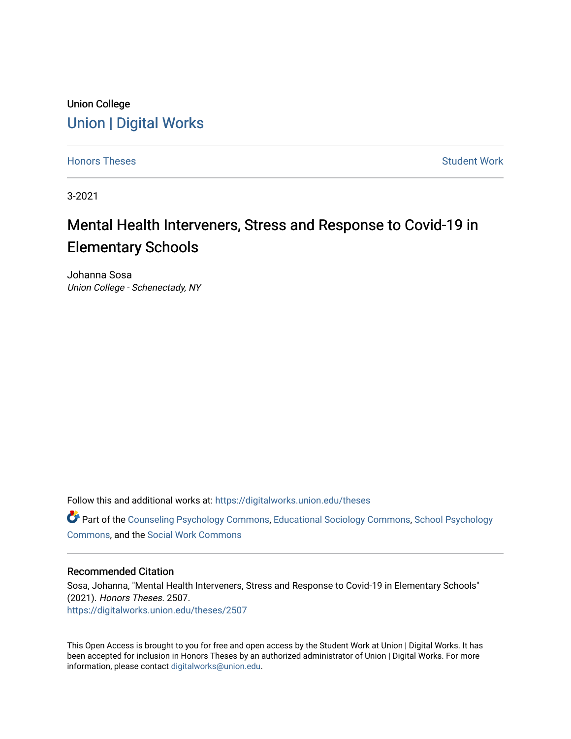## Union College [Union | Digital Works](https://digitalworks.union.edu/)

[Honors Theses](https://digitalworks.union.edu/theses) **Student Work** [Student Work](https://digitalworks.union.edu/studentwork) **Student Work** Student Work

3-2021

# Mental Health Interveners, Stress and Response to Covid-19 in Elementary Schools

Johanna Sosa Union College - Schenectady, NY

Follow this and additional works at: [https://digitalworks.union.edu/theses](https://digitalworks.union.edu/theses?utm_source=digitalworks.union.edu%2Ftheses%2F2507&utm_medium=PDF&utm_campaign=PDFCoverPages) 

Part of the [Counseling Psychology Commons](http://network.bepress.com/hgg/discipline/1044?utm_source=digitalworks.union.edu%2Ftheses%2F2507&utm_medium=PDF&utm_campaign=PDFCoverPages), [Educational Sociology Commons](http://network.bepress.com/hgg/discipline/1071?utm_source=digitalworks.union.edu%2Ftheses%2F2507&utm_medium=PDF&utm_campaign=PDFCoverPages), [School Psychology](http://network.bepress.com/hgg/discipline/1072?utm_source=digitalworks.union.edu%2Ftheses%2F2507&utm_medium=PDF&utm_campaign=PDFCoverPages)  [Commons](http://network.bepress.com/hgg/discipline/1072?utm_source=digitalworks.union.edu%2Ftheses%2F2507&utm_medium=PDF&utm_campaign=PDFCoverPages), and the [Social Work Commons](http://network.bepress.com/hgg/discipline/713?utm_source=digitalworks.union.edu%2Ftheses%2F2507&utm_medium=PDF&utm_campaign=PDFCoverPages)

#### Recommended Citation

Sosa, Johanna, "Mental Health Interveners, Stress and Response to Covid-19 in Elementary Schools" (2021). Honors Theses. 2507. [https://digitalworks.union.edu/theses/2507](https://digitalworks.union.edu/theses/2507?utm_source=digitalworks.union.edu%2Ftheses%2F2507&utm_medium=PDF&utm_campaign=PDFCoverPages)

This Open Access is brought to you for free and open access by the Student Work at Union | Digital Works. It has been accepted for inclusion in Honors Theses by an authorized administrator of Union | Digital Works. For more information, please contact [digitalworks@union.edu.](mailto:digitalworks@union.edu)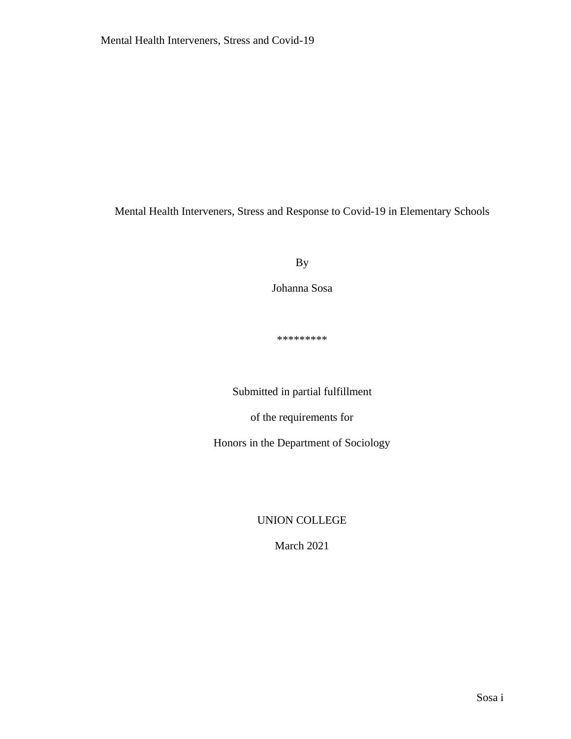Mental Health Interveners, Stress and Response to Covid-19 in Elementary Schools

By

Johanna Sosa

\*\*\*\*\*\*\*\*\*

Submitted in partial fulfillment

of the requirements for

Honors in the Department of Sociology

UNION COLLEGE

March 2021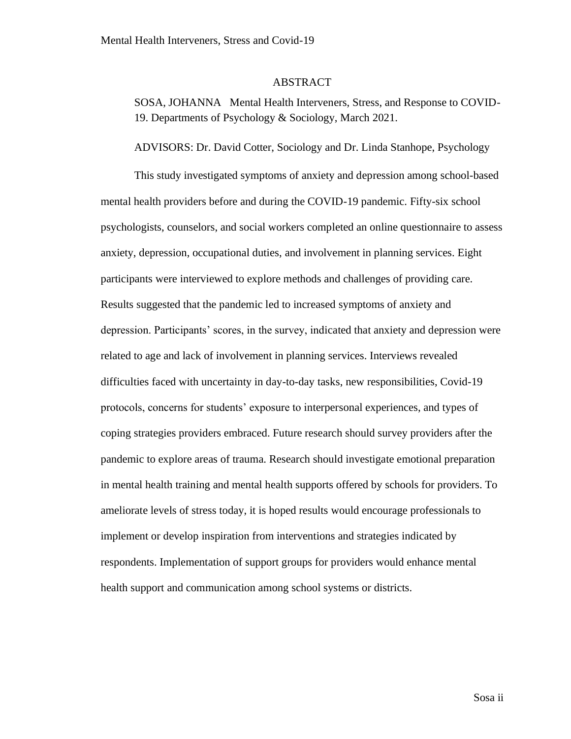#### ABSTRACT

<span id="page-2-0"></span>SOSA, JOHANNA Mental Health Interveners, Stress, and Response to COVID-19. Departments of Psychology & Sociology, March 2021.

#### ADVISORS: Dr. David Cotter, Sociology and Dr. Linda Stanhope, Psychology

This study investigated symptoms of anxiety and depression among school-based mental health providers before and during the COVID-19 pandemic. Fifty-six school psychologists, counselors, and social workers completed an online questionnaire to assess anxiety, depression, occupational duties, and involvement in planning services. Eight participants were interviewed to explore methods and challenges of providing care. Results suggested that the pandemic led to increased symptoms of anxiety and depression. Participants' scores, in the survey, indicated that anxiety and depression were related to age and lack of involvement in planning services. Interviews revealed difficulties faced with uncertainty in day-to-day tasks, new responsibilities, Covid-19 protocols, concerns for students' exposure to interpersonal experiences, and types of coping strategies providers embraced. Future research should survey providers after the pandemic to explore areas of trauma. Research should investigate emotional preparation in mental health training and mental health supports offered by schools for providers. To ameliorate levels of stress today, it is hoped results would encourage professionals to implement or develop inspiration from interventions and strategies indicated by respondents. Implementation of support groups for providers would enhance mental health support and communication among school systems or districts.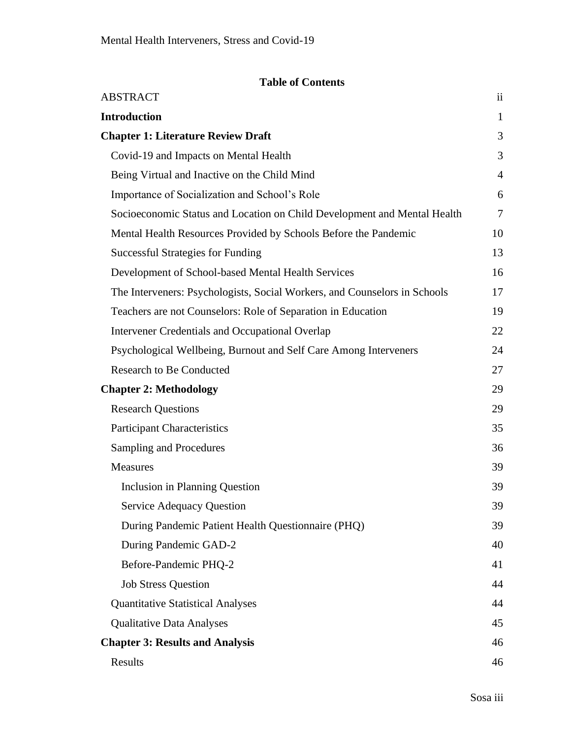### **Table of Contents**

| <b>ABSTRACT</b>                                                           | $\overline{\mathbf{u}}$ |
|---------------------------------------------------------------------------|-------------------------|
| <b>Introduction</b>                                                       | $\mathbf{1}$            |
| <b>Chapter 1: Literature Review Draft</b>                                 | 3                       |
| Covid-19 and Impacts on Mental Health                                     | 3                       |
| Being Virtual and Inactive on the Child Mind                              | $\overline{4}$          |
| Importance of Socialization and School's Role                             | 6                       |
| Socioeconomic Status and Location on Child Development and Mental Health  | $\tau$                  |
| Mental Health Resources Provided by Schools Before the Pandemic           | 10                      |
| <b>Successful Strategies for Funding</b>                                  | 13                      |
| Development of School-based Mental Health Services                        | 16                      |
| The Interveners: Psychologists, Social Workers, and Counselors in Schools | 17                      |
| Teachers are not Counselors: Role of Separation in Education              | 19                      |
| Intervener Credentials and Occupational Overlap                           | 22                      |
| Psychological Wellbeing, Burnout and Self Care Among Interveners          | 24                      |
| <b>Research to Be Conducted</b>                                           | 27                      |
| <b>Chapter 2: Methodology</b>                                             | 29                      |
| <b>Research Questions</b>                                                 | 29                      |
| <b>Participant Characteristics</b>                                        | 35                      |
| <b>Sampling and Procedures</b>                                            | 36                      |
| <b>Measures</b>                                                           | 39                      |
| <b>Inclusion in Planning Question</b>                                     | 39                      |
| <b>Service Adequacy Question</b>                                          | 39                      |
| During Pandemic Patient Health Questionnaire (PHQ)                        | 39                      |
| During Pandemic GAD-2                                                     | 40                      |
| Before-Pandemic PHQ-2                                                     | 41                      |
| <b>Job Stress Question</b>                                                | 44                      |
| <b>Quantitative Statistical Analyses</b>                                  | 44                      |
| <b>Qualitative Data Analyses</b>                                          | 45                      |
| <b>Chapter 3: Results and Analysis</b>                                    | 46                      |
| Results                                                                   | 46                      |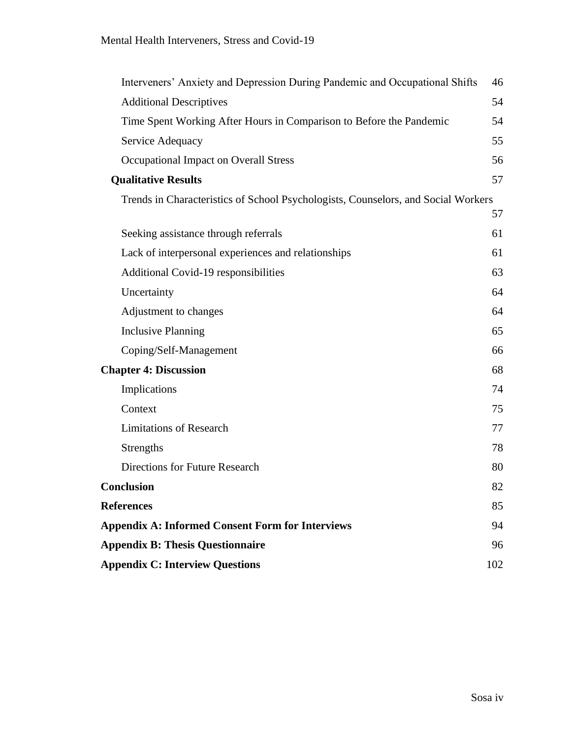| Interveners' Anxiety and Depression During Pandemic and Occupational Shifts       | 46  |
|-----------------------------------------------------------------------------------|-----|
| <b>Additional Descriptives</b>                                                    | 54  |
| Time Spent Working After Hours in Comparison to Before the Pandemic               | 54  |
| Service Adequacy                                                                  | 55  |
| <b>Occupational Impact on Overall Stress</b>                                      | 56  |
| <b>Qualitative Results</b>                                                        | 57  |
| Trends in Characteristics of School Psychologists, Counselors, and Social Workers |     |
|                                                                                   | 57  |
| Seeking assistance through referrals                                              | 61  |
| Lack of interpersonal experiences and relationships                               | 61  |
| Additional Covid-19 responsibilities                                              | 63  |
| Uncertainty                                                                       | 64  |
| Adjustment to changes                                                             | 64  |
| <b>Inclusive Planning</b>                                                         | 65  |
| Coping/Self-Management                                                            | 66  |
| <b>Chapter 4: Discussion</b>                                                      | 68  |
| Implications                                                                      | 74  |
| Context                                                                           | 75  |
| <b>Limitations of Research</b>                                                    | 77  |
| Strengths                                                                         | 78  |
| <b>Directions for Future Research</b>                                             | 80  |
| <b>Conclusion</b>                                                                 | 82  |
| <b>References</b>                                                                 | 85  |
| <b>Appendix A: Informed Consent Form for Interviews</b>                           | 94  |
| <b>Appendix B: Thesis Questionnaire</b>                                           | 96  |
| <b>Appendix C: Interview Questions</b>                                            | 102 |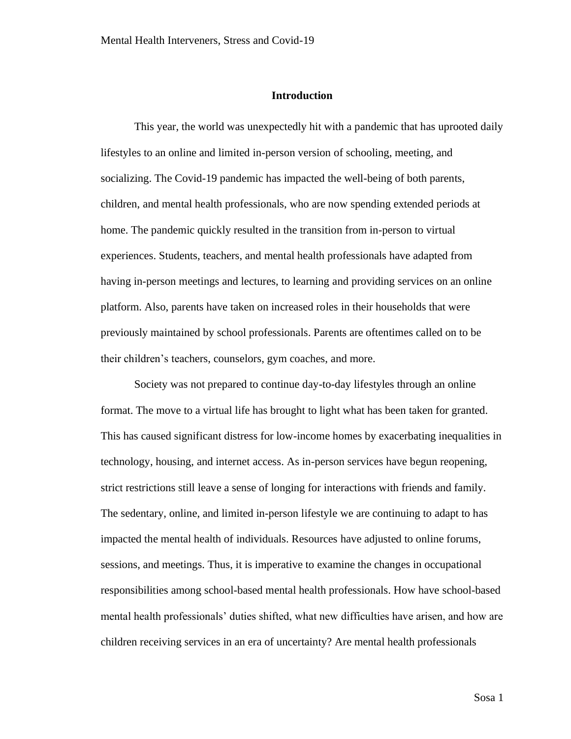#### **Introduction**

<span id="page-5-0"></span>This year, the world was unexpectedly hit with a pandemic that has uprooted daily lifestyles to an online and limited in-person version of schooling, meeting, and socializing. The Covid-19 pandemic has impacted the well-being of both parents, children, and mental health professionals, who are now spending extended periods at home. The pandemic quickly resulted in the transition from in-person to virtual experiences. Students, teachers, and mental health professionals have adapted from having in-person meetings and lectures, to learning and providing services on an online platform. Also, parents have taken on increased roles in their households that were previously maintained by school professionals. Parents are oftentimes called on to be their children's teachers, counselors, gym coaches, and more.

Society was not prepared to continue day-to-day lifestyles through an online format. The move to a virtual life has brought to light what has been taken for granted. This has caused significant distress for low-income homes by exacerbating inequalities in technology, housing, and internet access. As in-person services have begun reopening, strict restrictions still leave a sense of longing for interactions with friends and family. The sedentary, online, and limited in-person lifestyle we are continuing to adapt to has impacted the mental health of individuals. Resources have adjusted to online forums, sessions, and meetings. Thus, it is imperative to examine the changes in occupational responsibilities among school-based mental health professionals. How have school-based mental health professionals' duties shifted, what new difficulties have arisen, and how are children receiving services in an era of uncertainty? Are mental health professionals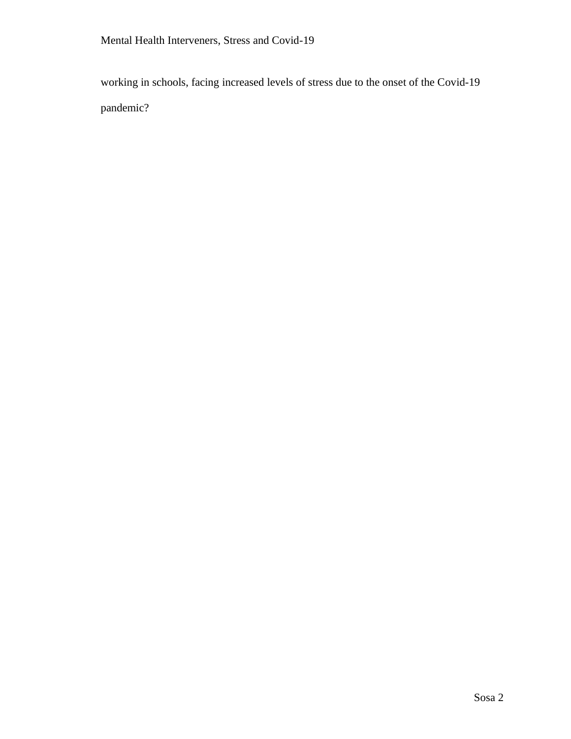working in schools, facing increased levels of stress due to the onset of the Covid-19 pandemic?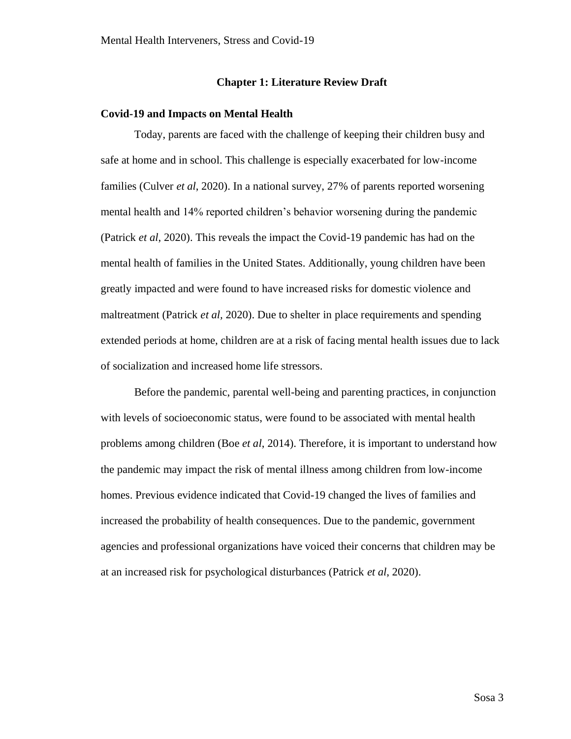#### **Chapter 1: Literature Review Draft**

#### <span id="page-7-1"></span><span id="page-7-0"></span>**Covid-19 and Impacts on Mental Health**

Today, parents are faced with the challenge of keeping their children busy and safe at home and in school. This challenge is especially exacerbated for low-income families (Culver *et al*, 2020). In a national survey, 27% of parents reported worsening mental health and 14% reported children's behavior worsening during the pandemic (Patrick *et al*, 2020). This reveals the impact the Covid-19 pandemic has had on the mental health of families in the United States. Additionally, young children have been greatly impacted and were found to have increased risks for domestic violence and maltreatment (Patrick *et al,* 2020). Due to shelter in place requirements and spending extended periods at home, children are at a risk of facing mental health issues due to lack of socialization and increased home life stressors.

Before the pandemic, parental well-being and parenting practices, in conjunction with levels of socioeconomic status, were found to be associated with mental health problems among children (Boe *et al*, 2014). Therefore, it is important to understand how the pandemic may impact the risk of mental illness among children from low-income homes. Previous evidence indicated that Covid-19 changed the lives of families and increased the probability of health consequences. Due to the pandemic, government agencies and professional organizations have voiced their concerns that children may be at an increased risk for psychological disturbances (Patrick *et al*, 2020).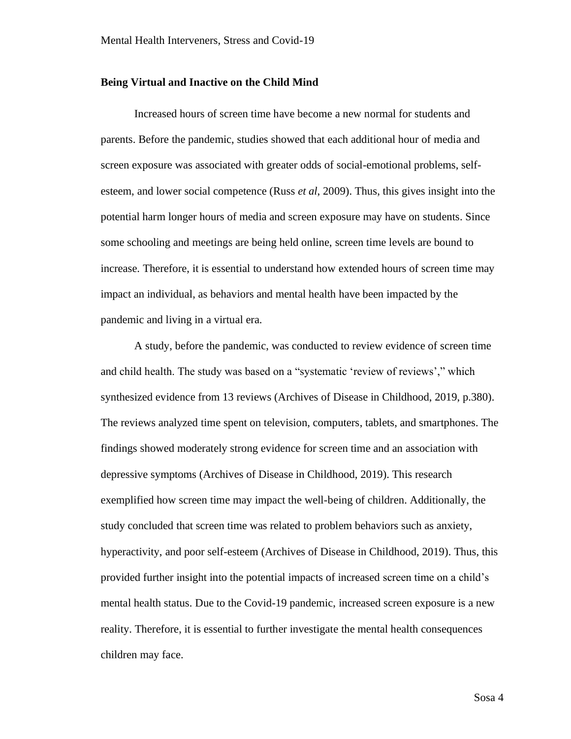#### <span id="page-8-0"></span>**Being Virtual and Inactive on the Child Mind**

Increased hours of screen time have become a new normal for students and parents. Before the pandemic, studies showed that each additional hour of media and screen exposure was associated with greater odds of social-emotional problems, selfesteem, and lower social competence (Russ *et al*, 2009). Thus, this gives insight into the potential harm longer hours of media and screen exposure may have on students. Since some schooling and meetings are being held online, screen time levels are bound to increase. Therefore, it is essential to understand how extended hours of screen time may impact an individual, as behaviors and mental health have been impacted by the pandemic and living in a virtual era.

A study, before the pandemic, was conducted to review evidence of screen time and child health. The study was based on a "systematic 'review of reviews'," which synthesized evidence from 13 reviews (Archives of Disease in Childhood, 2019, p.380). The reviews analyzed time spent on television, computers, tablets, and smartphones. The findings showed moderately strong evidence for screen time and an association with depressive symptoms (Archives of Disease in Childhood, 2019). This research exemplified how screen time may impact the well-being of children. Additionally, the study concluded that screen time was related to problem behaviors such as anxiety, hyperactivity, and poor self-esteem (Archives of Disease in Childhood, 2019). Thus, this provided further insight into the potential impacts of increased screen time on a child's mental health status. Due to the Covid-19 pandemic, increased screen exposure is a new reality. Therefore, it is essential to further investigate the mental health consequences children may face.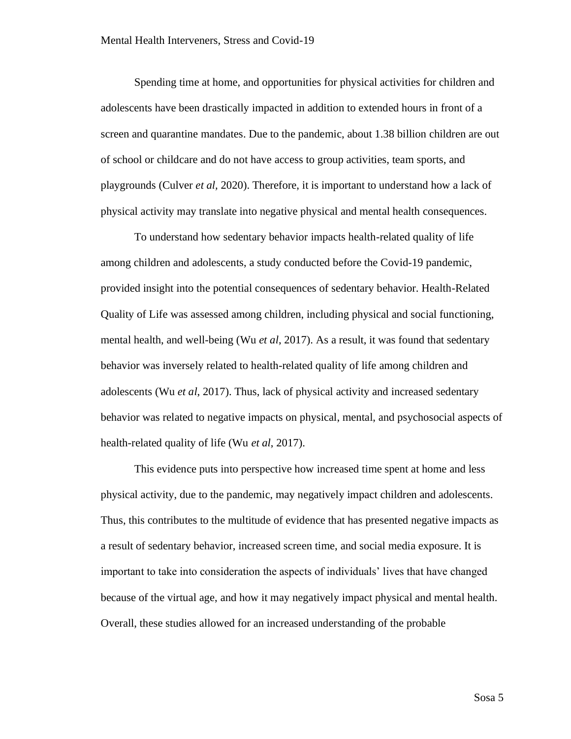Spending time at home, and opportunities for physical activities for children and adolescents have been drastically impacted in addition to extended hours in front of a screen and quarantine mandates. Due to the pandemic, about 1.38 billion children are out of school or childcare and do not have access to group activities, team sports, and playgrounds (Culver *et al,* 2020). Therefore, it is important to understand how a lack of physical activity may translate into negative physical and mental health consequences.

To understand how sedentary behavior impacts health-related quality of life among children and adolescents, a study conducted before the Covid-19 pandemic, provided insight into the potential consequences of sedentary behavior. Health-Related Quality of Life was assessed among children, including physical and social functioning, mental health, and well-being (Wu *et al*, 2017). As a result, it was found that sedentary behavior was inversely related to health-related quality of life among children and adolescents (Wu *et al*, 2017). Thus, lack of physical activity and increased sedentary behavior was related to negative impacts on physical, mental, and psychosocial aspects of health-related quality of life (Wu *et al*, 2017).

This evidence puts into perspective how increased time spent at home and less physical activity, due to the pandemic, may negatively impact children and adolescents. Thus, this contributes to the multitude of evidence that has presented negative impacts as a result of sedentary behavior, increased screen time, and social media exposure. It is important to take into consideration the aspects of individuals' lives that have changed because of the virtual age, and how it may negatively impact physical and mental health. Overall, these studies allowed for an increased understanding of the probable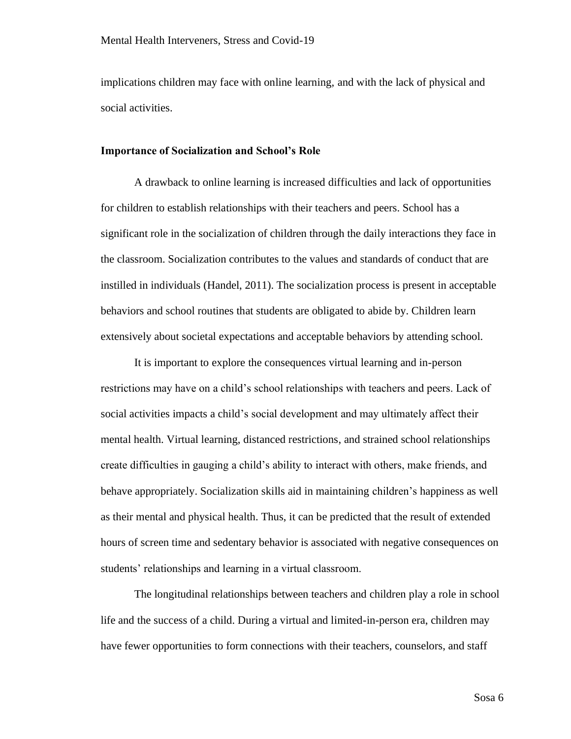implications children may face with online learning, and with the lack of physical and social activities.

#### <span id="page-10-0"></span>**Importance of Socialization and School's Role**

A drawback to online learning is increased difficulties and lack of opportunities for children to establish relationships with their teachers and peers. School has a significant role in the socialization of children through the daily interactions they face in the classroom. Socialization contributes to the values and standards of conduct that are instilled in individuals (Handel, 2011). The socialization process is present in acceptable behaviors and school routines that students are obligated to abide by. Children learn extensively about societal expectations and acceptable behaviors by attending school.

It is important to explore the consequences virtual learning and in-person restrictions may have on a child's school relationships with teachers and peers. Lack of social activities impacts a child's social development and may ultimately affect their mental health. Virtual learning, distanced restrictions, and strained school relationships create difficulties in gauging a child's ability to interact with others, make friends, and behave appropriately. Socialization skills aid in maintaining children's happiness as well as their mental and physical health. Thus, it can be predicted that the result of extended hours of screen time and sedentary behavior is associated with negative consequences on students' relationships and learning in a virtual classroom.

The longitudinal relationships between teachers and children play a role in school life and the success of a child. During a virtual and limited-in-person era, children may have fewer opportunities to form connections with their teachers, counselors, and staff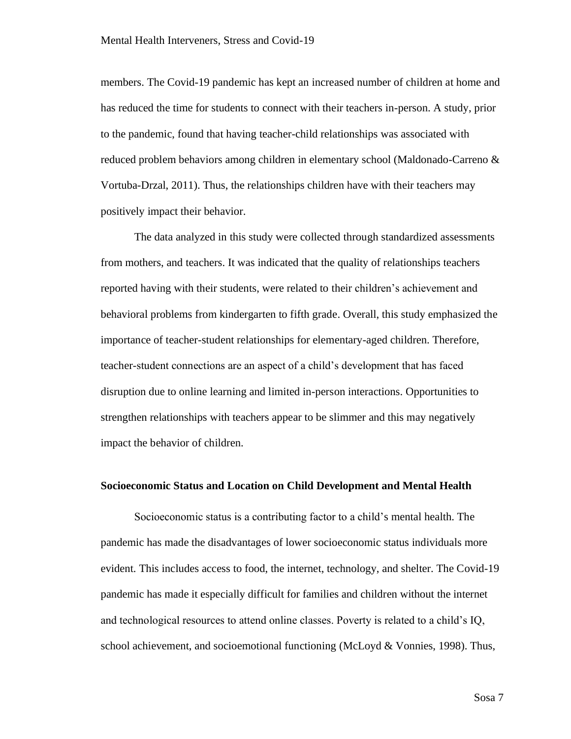members. The Covid-19 pandemic has kept an increased number of children at home and has reduced the time for students to connect with their teachers in-person. A study, prior to the pandemic, found that having teacher-child relationships was associated with reduced problem behaviors among children in elementary school (Maldonado-Carreno & Vortuba-Drzal, 2011). Thus, the relationships children have with their teachers may positively impact their behavior.

The data analyzed in this study were collected through standardized assessments from mothers, and teachers. It was indicated that the quality of relationships teachers reported having with their students, were related to their children's achievement and behavioral problems from kindergarten to fifth grade. Overall, this study emphasized the importance of teacher-student relationships for elementary-aged children. Therefore, teacher-student connections are an aspect of a child's development that has faced disruption due to online learning and limited in-person interactions. Opportunities to strengthen relationships with teachers appear to be slimmer and this may negatively impact the behavior of children.

#### <span id="page-11-0"></span>**Socioeconomic Status and Location on Child Development and Mental Health**

Socioeconomic status is a contributing factor to a child's mental health. The pandemic has made the disadvantages of lower socioeconomic status individuals more evident. This includes access to food, the internet, technology, and shelter. The Covid-19 pandemic has made it especially difficult for families and children without the internet and technological resources to attend online classes. Poverty is related to a child's IQ, school achievement, and socioemotional functioning (McLoyd & Vonnies, 1998). Thus,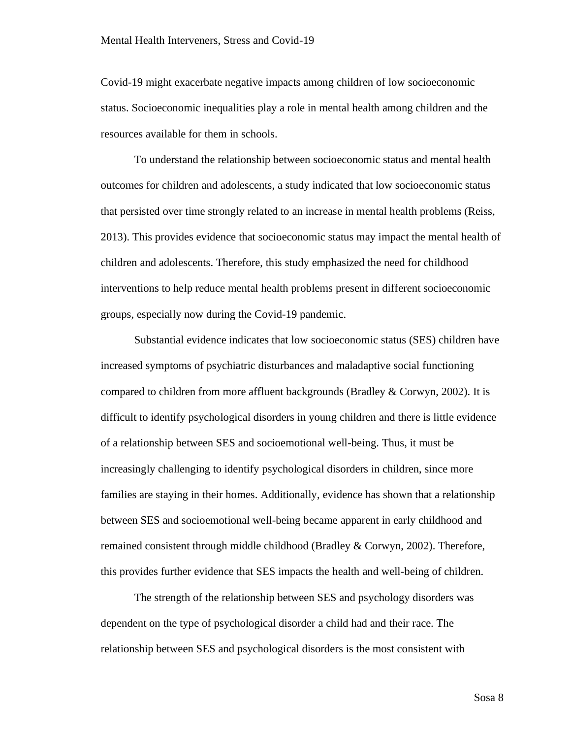Covid-19 might exacerbate negative impacts among children of low socioeconomic status. Socioeconomic inequalities play a role in mental health among children and the resources available for them in schools.

To understand the relationship between socioeconomic status and mental health outcomes for children and adolescents, a study indicated that low socioeconomic status that persisted over time strongly related to an increase in mental health problems (Reiss, 2013). This provides evidence that socioeconomic status may impact the mental health of children and adolescents. Therefore, this study emphasized the need for childhood interventions to help reduce mental health problems present in different socioeconomic groups, especially now during the Covid-19 pandemic.

Substantial evidence indicates that low socioeconomic status (SES) children have increased symptoms of psychiatric disturbances and maladaptive social functioning compared to children from more affluent backgrounds (Bradley & Corwyn, 2002). It is difficult to identify psychological disorders in young children and there is little evidence of a relationship between SES and socioemotional well-being. Thus, it must be increasingly challenging to identify psychological disorders in children, since more families are staying in their homes. Additionally, evidence has shown that a relationship between SES and socioemotional well-being became apparent in early childhood and remained consistent through middle childhood (Bradley & Corwyn, 2002). Therefore, this provides further evidence that SES impacts the health and well-being of children.

The strength of the relationship between SES and psychology disorders was dependent on the type of psychological disorder a child had and their race. The relationship between SES and psychological disorders is the most consistent with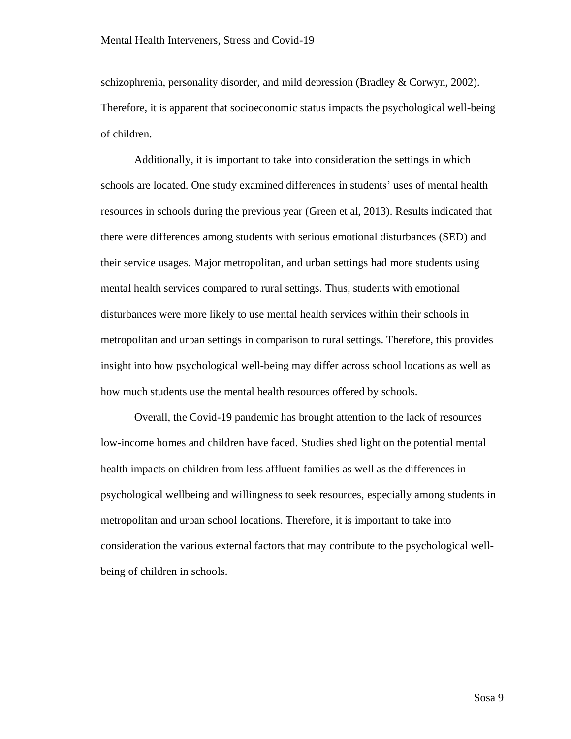schizophrenia, personality disorder, and mild depression (Bradley & Corwyn, 2002). Therefore, it is apparent that socioeconomic status impacts the psychological well-being of children.

Additionally, it is important to take into consideration the settings in which schools are located. One study examined differences in students' uses of mental health resources in schools during the previous year (Green et al, 2013). Results indicated that there were differences among students with serious emotional disturbances (SED) and their service usages. Major metropolitan, and urban settings had more students using mental health services compared to rural settings. Thus, students with emotional disturbances were more likely to use mental health services within their schools in metropolitan and urban settings in comparison to rural settings. Therefore, this provides insight into how psychological well-being may differ across school locations as well as how much students use the mental health resources offered by schools.

Overall, the Covid-19 pandemic has brought attention to the lack of resources low-income homes and children have faced. Studies shed light on the potential mental health impacts on children from less affluent families as well as the differences in psychological wellbeing and willingness to seek resources, especially among students in metropolitan and urban school locations. Therefore, it is important to take into consideration the various external factors that may contribute to the psychological wellbeing of children in schools.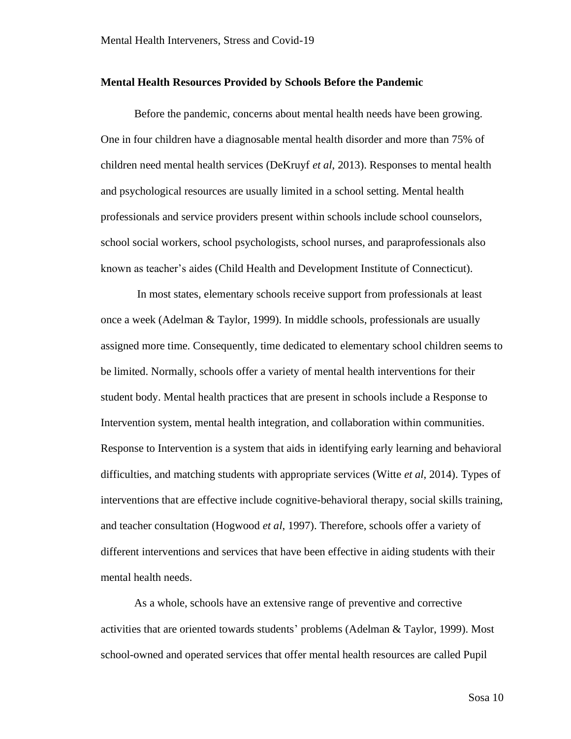#### <span id="page-14-0"></span>**Mental Health Resources Provided by Schools Before the Pandemic**

Before the pandemic, concerns about mental health needs have been growing. One in four children have a diagnosable mental health disorder and more than 75% of children need mental health services (DeKruyf *et al*, 2013). Responses to mental health and psychological resources are usually limited in a school setting. Mental health professionals and service providers present within schools include school counselors, school social workers, school psychologists, school nurses, and paraprofessionals also known as teacher's aides (Child Health and Development Institute of Connecticut).

In most states, elementary schools receive support from professionals at least once a week (Adelman & Taylor, 1999). In middle schools, professionals are usually assigned more time. Consequently, time dedicated to elementary school children seems to be limited. Normally, schools offer a variety of mental health interventions for their student body. Mental health practices that are present in schools include a Response to Intervention system, mental health integration, and collaboration within communities. Response to Intervention is a system that aids in identifying early learning and behavioral difficulties, and matching students with appropriate services (Witte *et al*, 2014). Types of interventions that are effective include cognitive-behavioral therapy, social skills training, and teacher consultation (Hogwood *et al*, 1997). Therefore, schools offer a variety of different interventions and services that have been effective in aiding students with their mental health needs.

As a whole, schools have an extensive range of preventive and corrective activities that are oriented towards students' problems (Adelman & Taylor, 1999). Most school-owned and operated services that offer mental health resources are called Pupil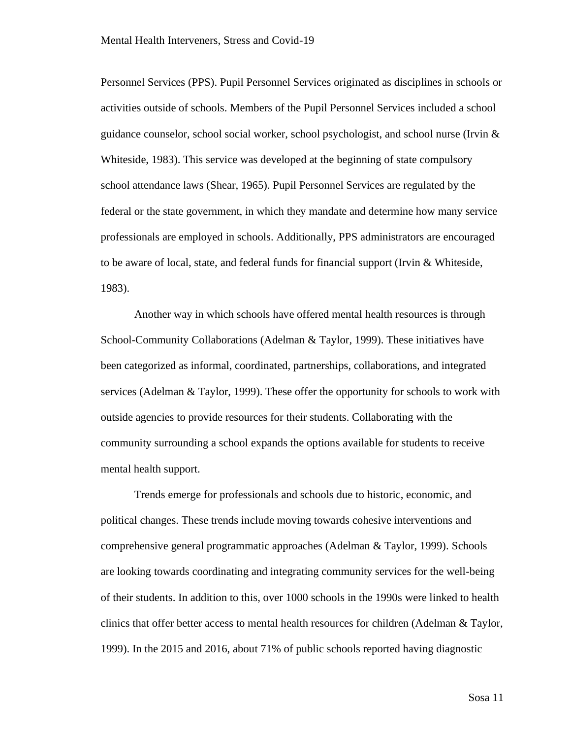Personnel Services (PPS). Pupil Personnel Services originated as disciplines in schools or activities outside of schools. Members of the Pupil Personnel Services included a school guidance counselor, school social worker, school psychologist, and school nurse (Irvin & Whiteside, 1983). This service was developed at the beginning of state compulsory school attendance laws (Shear, 1965). Pupil Personnel Services are regulated by the federal or the state government, in which they mandate and determine how many service professionals are employed in schools. Additionally, PPS administrators are encouraged to be aware of local, state, and federal funds for financial support (Irvin & Whiteside, 1983).

Another way in which schools have offered mental health resources is through School-Community Collaborations (Adelman & Taylor, 1999). These initiatives have been categorized as informal, coordinated, partnerships, collaborations, and integrated services (Adelman & Taylor, 1999). These offer the opportunity for schools to work with outside agencies to provide resources for their students. Collaborating with the community surrounding a school expands the options available for students to receive mental health support.

Trends emerge for professionals and schools due to historic, economic, and political changes. These trends include moving towards cohesive interventions and comprehensive general programmatic approaches (Adelman & Taylor, 1999). Schools are looking towards coordinating and integrating community services for the well-being of their students. In addition to this, over 1000 schools in the 1990s were linked to health clinics that offer better access to mental health resources for children (Adelman & Taylor, 1999). In the 2015 and 2016, about 71% of public schools reported having diagnostic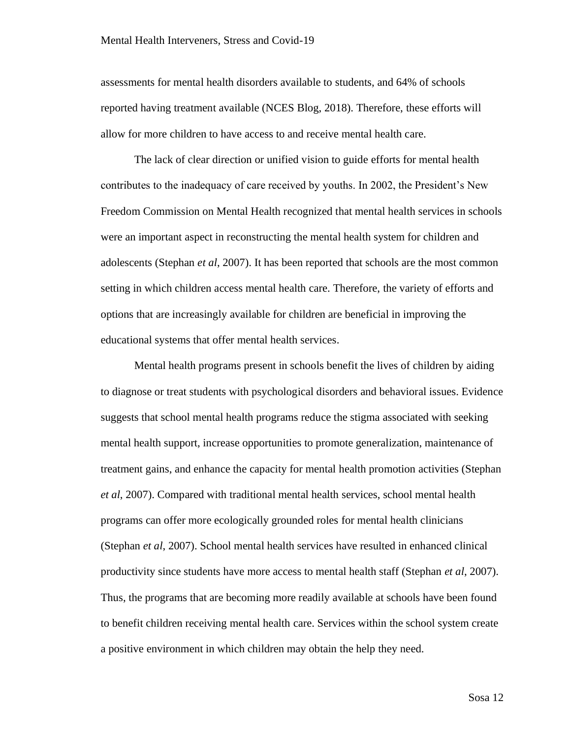assessments for mental health disorders available to students, and 64% of schools reported having treatment available (NCES Blog, 2018). Therefore, these efforts will allow for more children to have access to and receive mental health care.

The lack of clear direction or unified vision to guide efforts for mental health contributes to the inadequacy of care received by youths. In 2002, the President's New Freedom Commission on Mental Health recognized that mental health services in schools were an important aspect in reconstructing the mental health system for children and adolescents (Stephan *et al*, 2007). It has been reported that schools are the most common setting in which children access mental health care. Therefore, the variety of efforts and options that are increasingly available for children are beneficial in improving the educational systems that offer mental health services.

Mental health programs present in schools benefit the lives of children by aiding to diagnose or treat students with psychological disorders and behavioral issues. Evidence suggests that school mental health programs reduce the stigma associated with seeking mental health support, increase opportunities to promote generalization, maintenance of treatment gains, and enhance the capacity for mental health promotion activities (Stephan *et al*, 2007). Compared with traditional mental health services, school mental health programs can offer more ecologically grounded roles for mental health clinicians (Stephan *et al*, 2007). School mental health services have resulted in enhanced clinical productivity since students have more access to mental health staff (Stephan *et al*, 2007). Thus, the programs that are becoming more readily available at schools have been found to benefit children receiving mental health care. Services within the school system create a positive environment in which children may obtain the help they need.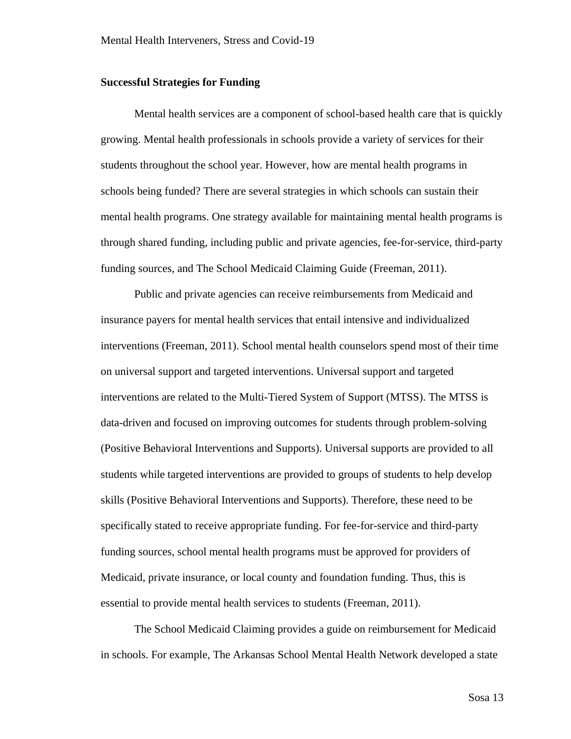#### <span id="page-17-0"></span>**Successful Strategies for Funding**

Mental health services are a component of school-based health care that is quickly growing. Mental health professionals in schools provide a variety of services for their students throughout the school year. However, how are mental health programs in schools being funded? There are several strategies in which schools can sustain their mental health programs. One strategy available for maintaining mental health programs is through shared funding, including public and private agencies, fee-for-service, third-party funding sources, and The School Medicaid Claiming Guide (Freeman, 2011).

Public and private agencies can receive reimbursements from Medicaid and insurance payers for mental health services that entail intensive and individualized interventions (Freeman, 2011). School mental health counselors spend most of their time on universal support and targeted interventions. Universal support and targeted interventions are related to the Multi-Tiered System of Support (MTSS). The MTSS is data-driven and focused on improving outcomes for students through problem-solving (Positive Behavioral Interventions and Supports). Universal supports are provided to all students while targeted interventions are provided to groups of students to help develop skills (Positive Behavioral Interventions and Supports). Therefore, these need to be specifically stated to receive appropriate funding. For fee-for-service and third-party funding sources, school mental health programs must be approved for providers of Medicaid, private insurance, or local county and foundation funding. Thus, this is essential to provide mental health services to students (Freeman, 2011).

The School Medicaid Claiming provides a guide on reimbursement for Medicaid in schools. For example, The Arkansas School Mental Health Network developed a state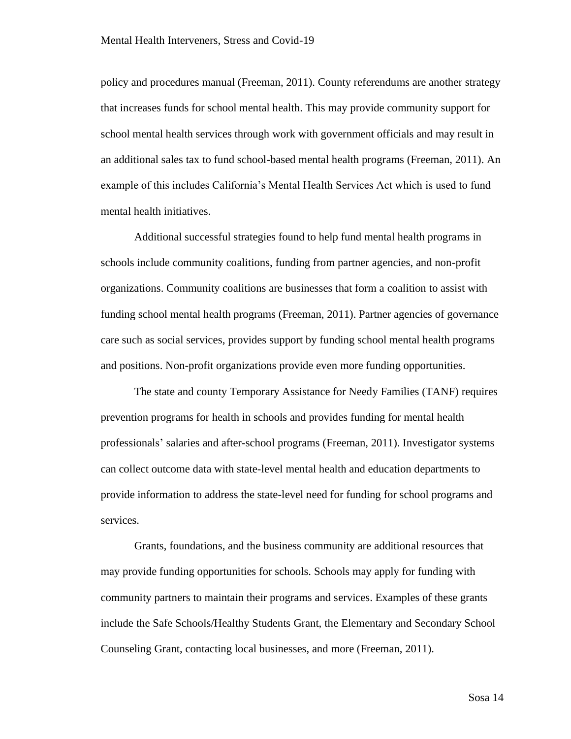policy and procedures manual (Freeman, 2011). County referendums are another strategy that increases funds for school mental health. This may provide community support for school mental health services through work with government officials and may result in an additional sales tax to fund school-based mental health programs (Freeman, 2011). An example of this includes California's Mental Health Services Act which is used to fund mental health initiatives.

Additional successful strategies found to help fund mental health programs in schools include community coalitions, funding from partner agencies, and non-profit organizations. Community coalitions are businesses that form a coalition to assist with funding school mental health programs (Freeman, 2011). Partner agencies of governance care such as social services, provides support by funding school mental health programs and positions. Non-profit organizations provide even more funding opportunities.

The state and county Temporary Assistance for Needy Families (TANF) requires prevention programs for health in schools and provides funding for mental health professionals' salaries and after-school programs (Freeman, 2011). Investigator systems can collect outcome data with state-level mental health and education departments to provide information to address the state-level need for funding for school programs and services.

Grants, foundations, and the business community are additional resources that may provide funding opportunities for schools. Schools may apply for funding with community partners to maintain their programs and services. Examples of these grants include the Safe Schools/Healthy Students Grant, the Elementary and Secondary School Counseling Grant, contacting local businesses, and more (Freeman, 2011).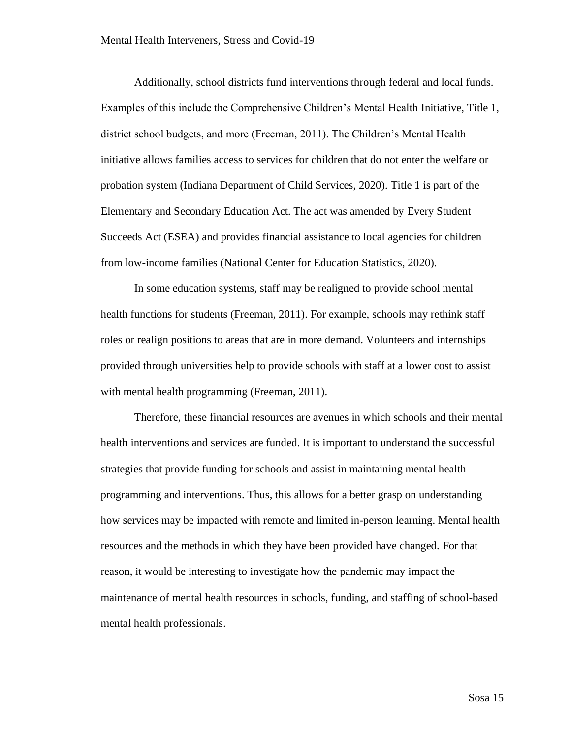Additionally, school districts fund interventions through federal and local funds. Examples of this include the Comprehensive Children's Mental Health Initiative, Title 1, district school budgets, and more (Freeman, 2011). The Children's Mental Health initiative allows families access to services for children that do not enter the welfare or probation system (Indiana Department of Child Services, 2020). Title 1 is part of the Elementary and Secondary Education Act. The act was amended by Every Student Succeeds Act (ESEA) and provides financial assistance to local agencies for children from low-income families (National Center for Education Statistics, 2020).

In some education systems, staff may be realigned to provide school mental health functions for students (Freeman, 2011). For example, schools may rethink staff roles or realign positions to areas that are in more demand. Volunteers and internships provided through universities help to provide schools with staff at a lower cost to assist with mental health programming (Freeman, 2011).

Therefore, these financial resources are avenues in which schools and their mental health interventions and services are funded. It is important to understand the successful strategies that provide funding for schools and assist in maintaining mental health programming and interventions. Thus, this allows for a better grasp on understanding how services may be impacted with remote and limited in-person learning. Mental health resources and the methods in which they have been provided have changed. For that reason, it would be interesting to investigate how the pandemic may impact the maintenance of mental health resources in schools, funding, and staffing of school-based mental health professionals.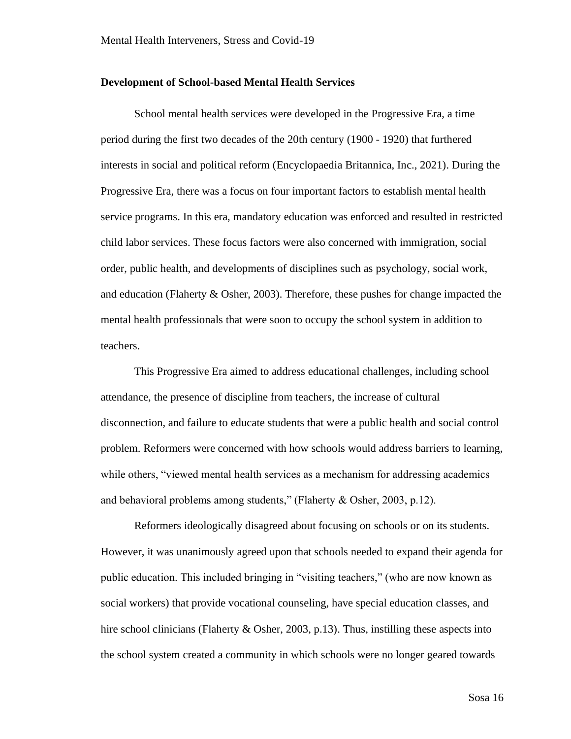#### <span id="page-20-0"></span>**Development of School-based Mental Health Services**

School mental health services were developed in the Progressive Era, a time period during the first two decades of the 20th century (1900 - 1920) that furthered interests in social and political reform (Encyclopaedia Britannica, Inc., 2021). During the Progressive Era, there was a focus on four important factors to establish mental health service programs. In this era, mandatory education was enforced and resulted in restricted child labor services. These focus factors were also concerned with immigration, social order, public health, and developments of disciplines such as psychology, social work, and education (Flaherty & Osher, 2003). Therefore, these pushes for change impacted the mental health professionals that were soon to occupy the school system in addition to teachers.

This Progressive Era aimed to address educational challenges, including school attendance, the presence of discipline from teachers, the increase of cultural disconnection, and failure to educate students that were a public health and social control problem. Reformers were concerned with how schools would address barriers to learning, while others, "viewed mental health services as a mechanism for addressing academics and behavioral problems among students," (Flaherty & Osher, 2003, p.12).

Reformers ideologically disagreed about focusing on schools or on its students. However, it was unanimously agreed upon that schools needed to expand their agenda for public education. This included bringing in "visiting teachers," (who are now known as social workers) that provide vocational counseling, have special education classes, and hire school clinicians (Flaherty & Osher, 2003, p.13). Thus, instilling these aspects into the school system created a community in which schools were no longer geared towards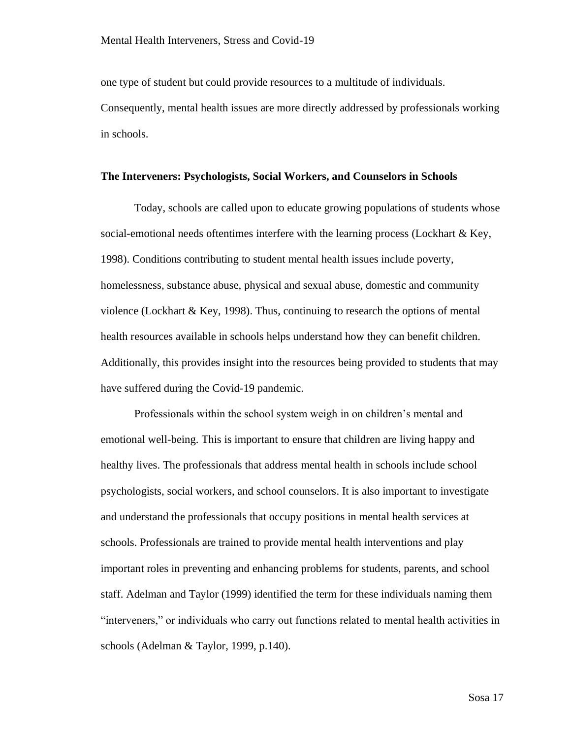one type of student but could provide resources to a multitude of individuals. Consequently, mental health issues are more directly addressed by professionals working in schools.

#### <span id="page-21-0"></span>**The Interveners: Psychologists, Social Workers, and Counselors in Schools**

Today, schools are called upon to educate growing populations of students whose social-emotional needs oftentimes interfere with the learning process (Lockhart  $\&$  Key, 1998). Conditions contributing to student mental health issues include poverty, homelessness, substance abuse, physical and sexual abuse, domestic and community violence (Lockhart & Key, 1998). Thus, continuing to research the options of mental health resources available in schools helps understand how they can benefit children. Additionally, this provides insight into the resources being provided to students that may have suffered during the Covid-19 pandemic.

Professionals within the school system weigh in on children's mental and emotional well-being. This is important to ensure that children are living happy and healthy lives. The professionals that address mental health in schools include school psychologists, social workers, and school counselors. It is also important to investigate and understand the professionals that occupy positions in mental health services at schools. Professionals are trained to provide mental health interventions and play important roles in preventing and enhancing problems for students, parents, and school staff. Adelman and Taylor (1999) identified the term for these individuals naming them "interveners," or individuals who carry out functions related to mental health activities in schools (Adelman & Taylor, 1999, p.140).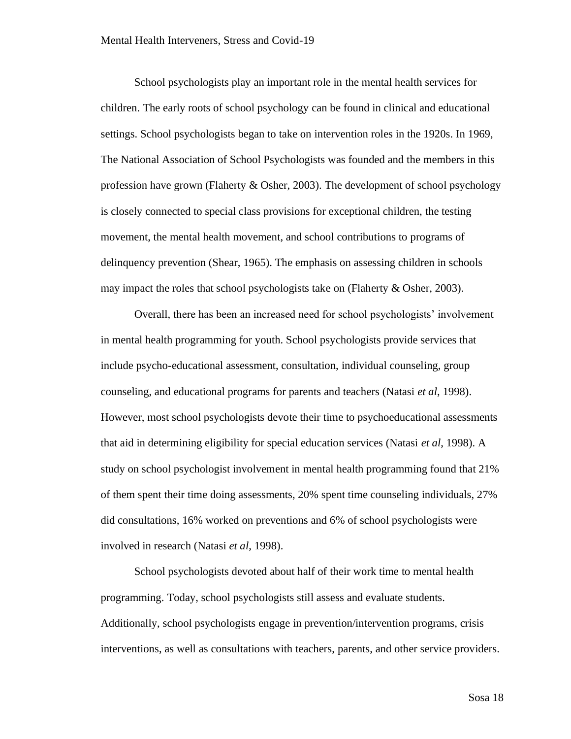School psychologists play an important role in the mental health services for children. The early roots of school psychology can be found in clinical and educational settings. School psychologists began to take on intervention roles in the 1920s. In 1969, The National Association of School Psychologists was founded and the members in this profession have grown (Flaherty & Osher, 2003). The development of school psychology is closely connected to special class provisions for exceptional children, the testing movement, the mental health movement, and school contributions to programs of delinquency prevention (Shear, 1965). The emphasis on assessing children in schools may impact the roles that school psychologists take on (Flaherty & Osher, 2003).

Overall, there has been an increased need for school psychologists' involvement in mental health programming for youth. School psychologists provide services that include psycho-educational assessment, consultation, individual counseling, group counseling, and educational programs for parents and teachers (Natasi *et al*, 1998). However, most school psychologists devote their time to psychoeducational assessments that aid in determining eligibility for special education services (Natasi *et al*, 1998). A study on school psychologist involvement in mental health programming found that 21% of them spent their time doing assessments, 20% spent time counseling individuals, 27% did consultations, 16% worked on preventions and 6% of school psychologists were involved in research (Natasi *et al*, 1998).

School psychologists devoted about half of their work time to mental health programming. Today, school psychologists still assess and evaluate students. Additionally, school psychologists engage in prevention/intervention programs, crisis interventions, as well as consultations with teachers, parents, and other service providers.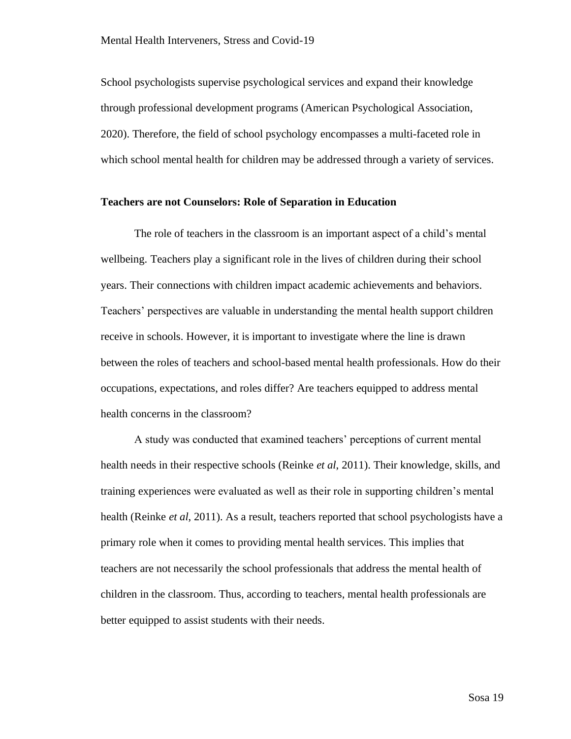School psychologists supervise psychological services and expand their knowledge through professional development programs (American Psychological Association, 2020). Therefore, the field of school psychology encompasses a multi-faceted role in which school mental health for children may be addressed through a variety of services.

#### <span id="page-23-0"></span>**Teachers are not Counselors: Role of Separation in Education**

The role of teachers in the classroom is an important aspect of a child's mental wellbeing. Teachers play a significant role in the lives of children during their school years. Their connections with children impact academic achievements and behaviors. Teachers' perspectives are valuable in understanding the mental health support children receive in schools. However, it is important to investigate where the line is drawn between the roles of teachers and school-based mental health professionals. How do their occupations, expectations, and roles differ? Are teachers equipped to address mental health concerns in the classroom?

A study was conducted that examined teachers' perceptions of current mental health needs in their respective schools (Reinke *et al*, 2011). Their knowledge, skills, and training experiences were evaluated as well as their role in supporting children's mental health (Reinke *et al*, 2011). As a result, teachers reported that school psychologists have a primary role when it comes to providing mental health services. This implies that teachers are not necessarily the school professionals that address the mental health of children in the classroom. Thus, according to teachers, mental health professionals are better equipped to assist students with their needs.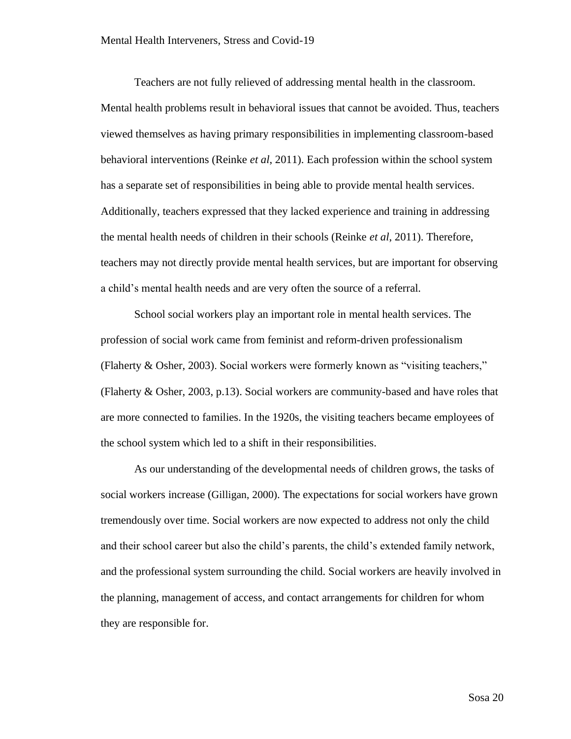Teachers are not fully relieved of addressing mental health in the classroom. Mental health problems result in behavioral issues that cannot be avoided. Thus, teachers viewed themselves as having primary responsibilities in implementing classroom-based behavioral interventions (Reinke *et al*, 2011). Each profession within the school system has a separate set of responsibilities in being able to provide mental health services. Additionally, teachers expressed that they lacked experience and training in addressing the mental health needs of children in their schools (Reinke *et al*, 2011). Therefore, teachers may not directly provide mental health services, but are important for observing a child's mental health needs and are very often the source of a referral.

School social workers play an important role in mental health services. The profession of social work came from feminist and reform-driven professionalism (Flaherty & Osher, 2003). Social workers were formerly known as "visiting teachers," (Flaherty & Osher, 2003, p.13). Social workers are community-based and have roles that are more connected to families. In the 1920s, the visiting teachers became employees of the school system which led to a shift in their responsibilities.

As our understanding of the developmental needs of children grows, the tasks of social workers increase (Gilligan, 2000). The expectations for social workers have grown tremendously over time. Social workers are now expected to address not only the child and their school career but also the child's parents, the child's extended family network, and the professional system surrounding the child. Social workers are heavily involved in the planning, management of access, and contact arrangements for children for whom they are responsible for.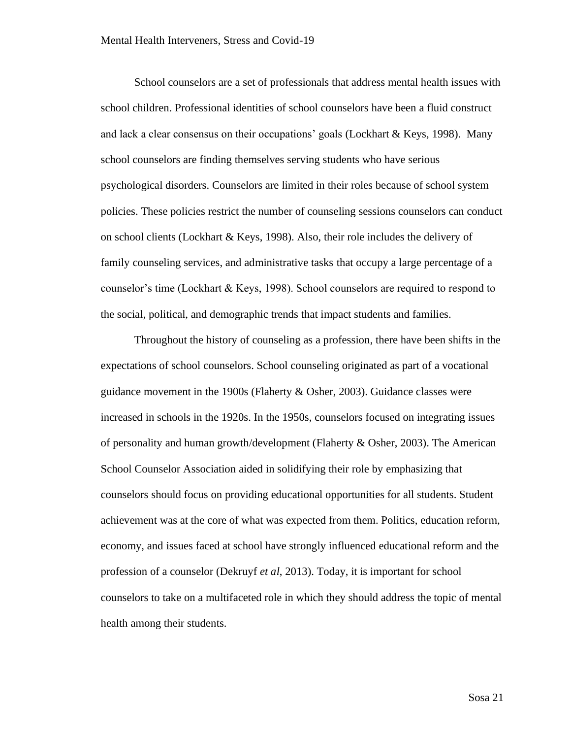School counselors are a set of professionals that address mental health issues with school children. Professional identities of school counselors have been a fluid construct and lack a clear consensus on their occupations' goals (Lockhart & Keys, 1998). Many school counselors are finding themselves serving students who have serious psychological disorders. Counselors are limited in their roles because of school system policies. These policies restrict the number of counseling sessions counselors can conduct on school clients (Lockhart & Keys, 1998). Also, their role includes the delivery of family counseling services, and administrative tasks that occupy a large percentage of a counselor's time (Lockhart & Keys, 1998). School counselors are required to respond to the social, political, and demographic trends that impact students and families.

Throughout the history of counseling as a profession, there have been shifts in the expectations of school counselors. School counseling originated as part of a vocational guidance movement in the 1900s (Flaherty & Osher, 2003). Guidance classes were increased in schools in the 1920s. In the 1950s, counselors focused on integrating issues of personality and human growth/development (Flaherty & Osher, 2003). The American School Counselor Association aided in solidifying their role by emphasizing that counselors should focus on providing educational opportunities for all students. Student achievement was at the core of what was expected from them. Politics, education reform, economy, and issues faced at school have strongly influenced educational reform and the profession of a counselor (Dekruyf *et al*, 2013). Today, it is important for school counselors to take on a multifaceted role in which they should address the topic of mental health among their students.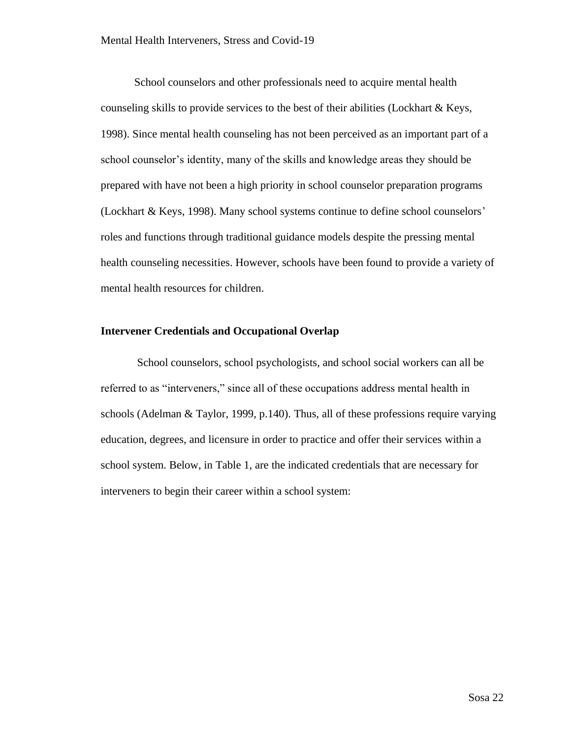School counselors and other professionals need to acquire mental health counseling skills to provide services to the best of their abilities (Lockhart & Keys, 1998). Since mental health counseling has not been perceived as an important part of a school counselor's identity, many of the skills and knowledge areas they should be prepared with have not been a high priority in school counselor preparation programs (Lockhart & Keys, 1998). Many school systems continue to define school counselors' roles and functions through traditional guidance models despite the pressing mental health counseling necessities. However, schools have been found to provide a variety of mental health resources for children.

#### <span id="page-26-0"></span>**Intervener Credentials and Occupational Overlap**

School counselors, school psychologists, and school social workers can all be referred to as "interveners," since all of these occupations address mental health in schools (Adelman & Taylor, 1999, p.140). Thus, all of these professions require varying education, degrees, and licensure in order to practice and offer their services within a school system. Below, in Table 1, are the indicated credentials that are necessary for interveners to begin their career within a school system: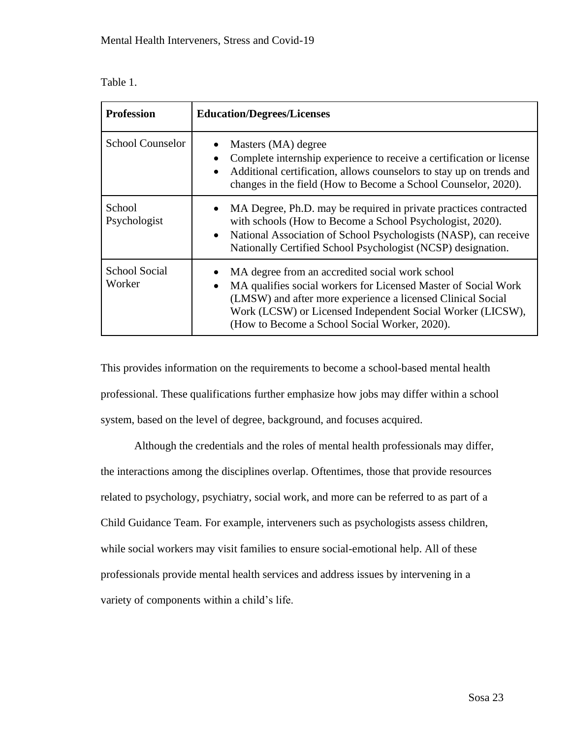| <b>Table</b> |  |
|--------------|--|
|--------------|--|

| <b>Profession</b>              | <b>Education/Degrees/Licenses</b>                                                                                                                                                                                                                                                                            |
|--------------------------------|--------------------------------------------------------------------------------------------------------------------------------------------------------------------------------------------------------------------------------------------------------------------------------------------------------------|
| <b>School Counselor</b>        | Masters (MA) degree<br>Complete internship experience to receive a certification or license<br>Additional certification, allows counselors to stay up on trends and<br>$\bullet$<br>changes in the field (How to Become a School Counselor, 2020).                                                           |
| School<br>Psychologist         | MA Degree, Ph.D. may be required in private practices contracted<br>with schools (How to Become a School Psychologist, 2020).<br>National Association of School Psychologists (NASP), can receive<br>$\bullet$<br>Nationally Certified School Psychologist (NCSP) designation.                               |
| <b>School Social</b><br>Worker | MA degree from an accredited social work school<br>MA qualifies social workers for Licensed Master of Social Work<br>$\bullet$<br>(LMSW) and after more experience a licensed Clinical Social<br>Work (LCSW) or Licensed Independent Social Worker (LICSW),<br>(How to Become a School Social Worker, 2020). |

This provides information on the requirements to become a school-based mental health professional. These qualifications further emphasize how jobs may differ within a school system, based on the level of degree, background, and focuses acquired.

Although the credentials and the roles of mental health professionals may differ, the interactions among the disciplines overlap. Oftentimes, those that provide resources related to psychology, psychiatry, social work, and more can be referred to as part of a Child Guidance Team. For example, interveners such as psychologists assess children, while social workers may visit families to ensure social-emotional help. All of these professionals provide mental health services and address issues by intervening in a variety of components within a child's life.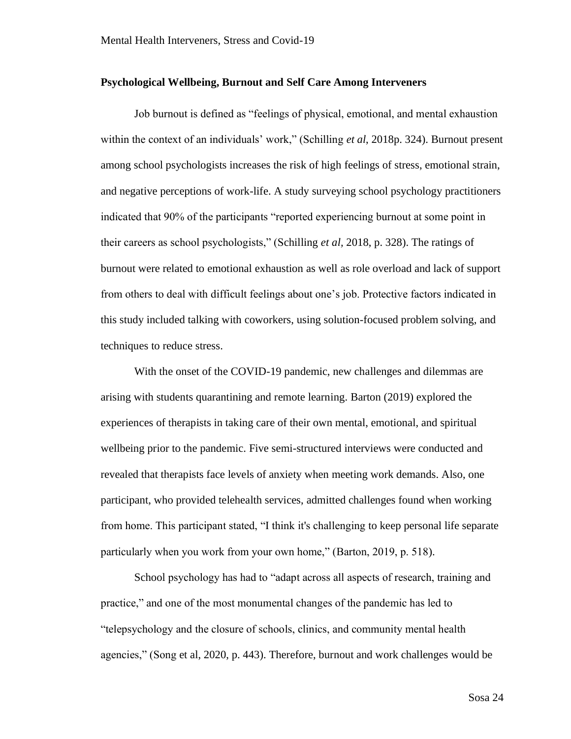#### <span id="page-28-0"></span>**Psychological Wellbeing, Burnout and Self Care Among Interveners**

Job burnout is defined as "feelings of physical, emotional, and mental exhaustion within the context of an individuals' work," (Schilling *et al*, 2018p. 324). Burnout present among school psychologists increases the risk of high feelings of stress, emotional strain, and negative perceptions of work-life. A study surveying school psychology practitioners indicated that 90% of the participants "reported experiencing burnout at some point in their careers as school psychologists," (Schilling *et al,* 2018, p. 328). The ratings of burnout were related to emotional exhaustion as well as role overload and lack of support from others to deal with difficult feelings about one's job. Protective factors indicated in this study included talking with coworkers, using solution-focused problem solving, and techniques to reduce stress.

With the onset of the COVID-19 pandemic, new challenges and dilemmas are arising with students quarantining and remote learning. Barton (2019) explored the experiences of therapists in taking care of their own mental, emotional, and spiritual wellbeing prior to the pandemic. Five semi-structured interviews were conducted and revealed that therapists face levels of anxiety when meeting work demands. Also, one participant, who provided telehealth services, admitted challenges found when working from home. This participant stated, "I think it's challenging to keep personal life separate particularly when you work from your own home," (Barton, 2019, p. 518).

School psychology has had to "adapt across all aspects of research, training and practice," and one of the most monumental changes of the pandemic has led to "telepsychology and the closure of schools, clinics, and community mental health agencies," (Song et al, 2020, p. 443). Therefore, burnout and work challenges would be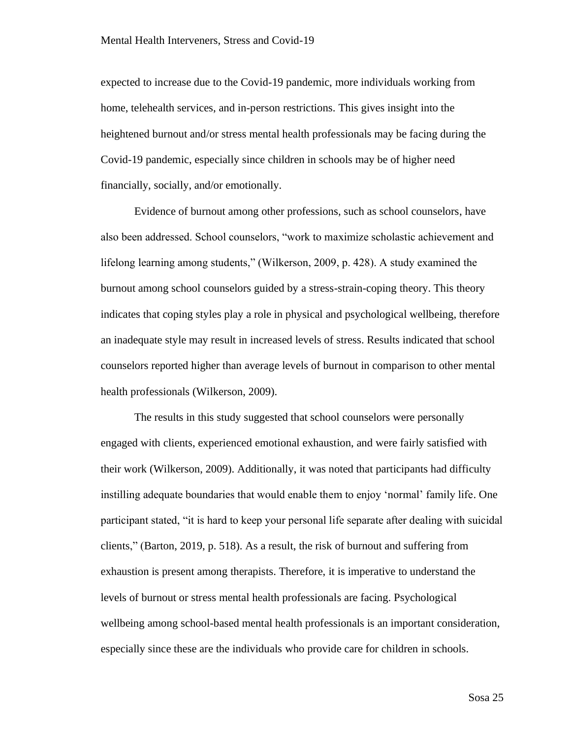expected to increase due to the Covid-19 pandemic, more individuals working from home, telehealth services, and in-person restrictions. This gives insight into the heightened burnout and/or stress mental health professionals may be facing during the Covid-19 pandemic, especially since children in schools may be of higher need financially, socially, and/or emotionally.

Evidence of burnout among other professions, such as school counselors, have also been addressed. School counselors, "work to maximize scholastic achievement and lifelong learning among students," (Wilkerson, 2009, p. 428). A study examined the burnout among school counselors guided by a stress-strain-coping theory. This theory indicates that coping styles play a role in physical and psychological wellbeing, therefore an inadequate style may result in increased levels of stress. Results indicated that school counselors reported higher than average levels of burnout in comparison to other mental health professionals (Wilkerson, 2009).

The results in this study suggested that school counselors were personally engaged with clients, experienced emotional exhaustion, and were fairly satisfied with their work (Wilkerson, 2009). Additionally, it was noted that participants had difficulty instilling adequate boundaries that would enable them to enjoy 'normal' family life. One participant stated, "it is hard to keep your personal life separate after dealing with suicidal clients," (Barton, 2019, p. 518). As a result, the risk of burnout and suffering from exhaustion is present among therapists. Therefore, it is imperative to understand the levels of burnout or stress mental health professionals are facing. Psychological wellbeing among school-based mental health professionals is an important consideration, especially since these are the individuals who provide care for children in schools.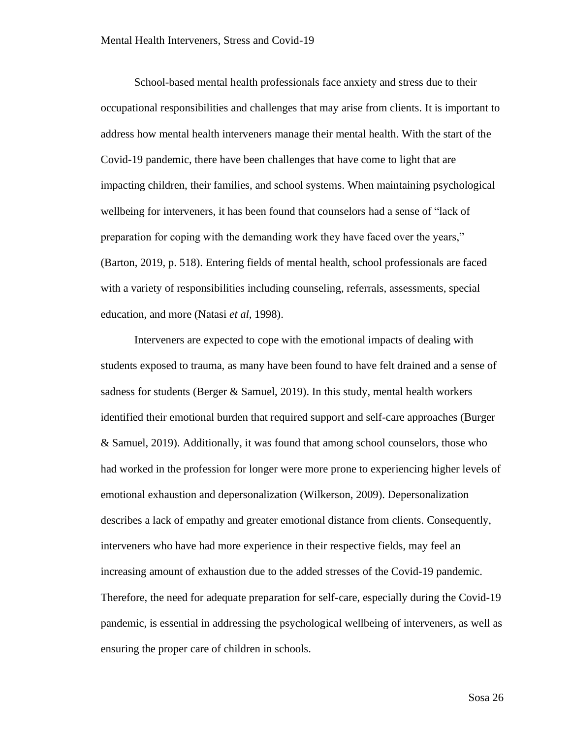School-based mental health professionals face anxiety and stress due to their occupational responsibilities and challenges that may arise from clients. It is important to address how mental health interveners manage their mental health. With the start of the Covid-19 pandemic, there have been challenges that have come to light that are impacting children, their families, and school systems. When maintaining psychological wellbeing for interveners, it has been found that counselors had a sense of "lack of preparation for coping with the demanding work they have faced over the years," (Barton, 2019, p. 518). Entering fields of mental health, school professionals are faced with a variety of responsibilities including counseling, referrals, assessments, special education, and more (Natasi *et al,* 1998).

Interveners are expected to cope with the emotional impacts of dealing with students exposed to trauma, as many have been found to have felt drained and a sense of sadness for students (Berger  $\&$  Samuel, 2019). In this study, mental health workers identified their emotional burden that required support and self-care approaches (Burger & Samuel, 2019). Additionally, it was found that among school counselors, those who had worked in the profession for longer were more prone to experiencing higher levels of emotional exhaustion and depersonalization (Wilkerson, 2009). Depersonalization describes a lack of empathy and greater emotional distance from clients. Consequently, interveners who have had more experience in their respective fields, may feel an increasing amount of exhaustion due to the added stresses of the Covid-19 pandemic. Therefore, the need for adequate preparation for self-care, especially during the Covid-19 pandemic, is essential in addressing the psychological wellbeing of interveners, as well as ensuring the proper care of children in schools.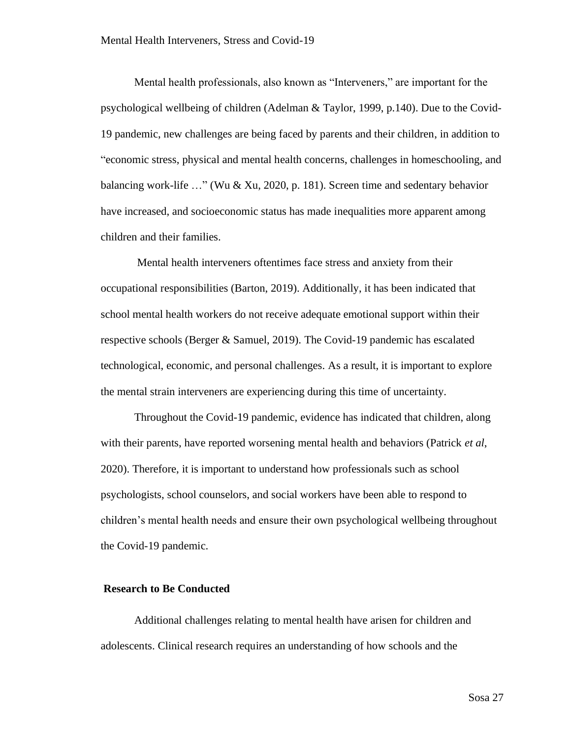Mental health professionals, also known as "Interveners," are important for the psychological wellbeing of children (Adelman & Taylor, 1999, p.140). Due to the Covid-19 pandemic, new challenges are being faced by parents and their children, in addition to "economic stress, physical and mental health concerns, challenges in homeschooling, and balancing work-life …" (Wu & Xu, 2020, p. 181). Screen time and sedentary behavior have increased, and socioeconomic status has made inequalities more apparent among children and their families.

Mental health interveners oftentimes face stress and anxiety from their occupational responsibilities (Barton, 2019). Additionally, it has been indicated that school mental health workers do not receive adequate emotional support within their respective schools (Berger & Samuel, 2019). The Covid-19 pandemic has escalated technological, economic, and personal challenges. As a result, it is important to explore the mental strain interveners are experiencing during this time of uncertainty.

Throughout the Covid-19 pandemic, evidence has indicated that children, along with their parents, have reported worsening mental health and behaviors (Patrick *et al*, 2020). Therefore, it is important to understand how professionals such as school psychologists, school counselors, and social workers have been able to respond to children's mental health needs and ensure their own psychological wellbeing throughout the Covid-19 pandemic.

#### <span id="page-31-0"></span>**Research to Be Conducted**

Additional challenges relating to mental health have arisen for children and adolescents. Clinical research requires an understanding of how schools and the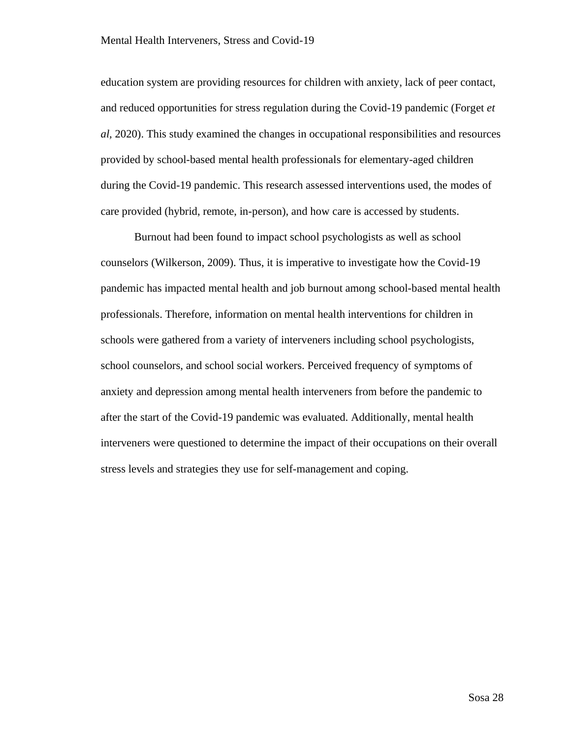education system are providing resources for children with anxiety, lack of peer contact, and reduced opportunities for stress regulation during the Covid-19 pandemic (Forget *et al,* 2020). This study examined the changes in occupational responsibilities and resources provided by school-based mental health professionals for elementary-aged children during the Covid-19 pandemic. This research assessed interventions used, the modes of care provided (hybrid, remote, in-person), and how care is accessed by students.

Burnout had been found to impact school psychologists as well as school counselors (Wilkerson, 2009). Thus, it is imperative to investigate how the Covid-19 pandemic has impacted mental health and job burnout among school-based mental health professionals. Therefore, information on mental health interventions for children in schools were gathered from a variety of interveners including school psychologists, school counselors, and school social workers. Perceived frequency of symptoms of anxiety and depression among mental health interveners from before the pandemic to after the start of the Covid-19 pandemic was evaluated. Additionally, mental health interveners were questioned to determine the impact of their occupations on their overall stress levels and strategies they use for self-management and coping.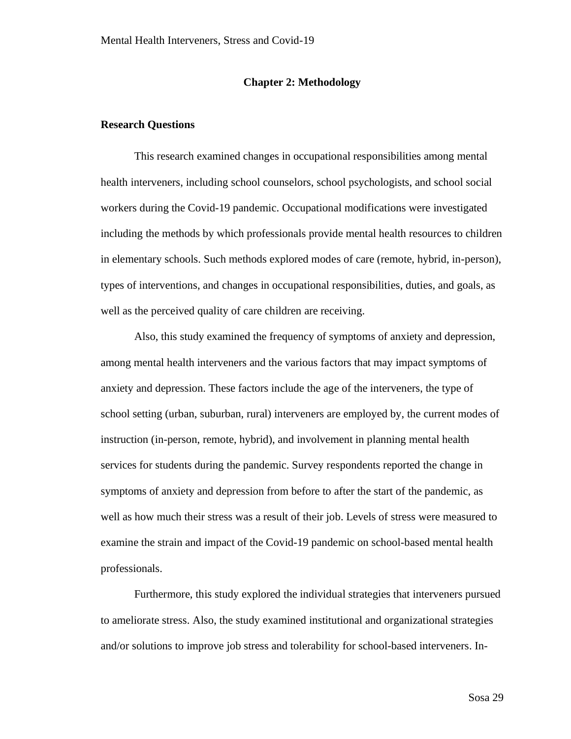#### **Chapter 2: Methodology**

#### <span id="page-33-1"></span><span id="page-33-0"></span>**Research Questions**

This research examined changes in occupational responsibilities among mental health interveners, including school counselors, school psychologists, and school social workers during the Covid-19 pandemic. Occupational modifications were investigated including the methods by which professionals provide mental health resources to children in elementary schools. Such methods explored modes of care (remote, hybrid, in-person), types of interventions, and changes in occupational responsibilities, duties, and goals, as well as the perceived quality of care children are receiving.

Also, this study examined the frequency of symptoms of anxiety and depression, among mental health interveners and the various factors that may impact symptoms of anxiety and depression. These factors include the age of the interveners, the type of school setting (urban, suburban, rural) interveners are employed by, the current modes of instruction (in-person, remote, hybrid), and involvement in planning mental health services for students during the pandemic. Survey respondents reported the change in symptoms of anxiety and depression from before to after the start of the pandemic, as well as how much their stress was a result of their job. Levels of stress were measured to examine the strain and impact of the Covid-19 pandemic on school-based mental health professionals.

Furthermore, this study explored the individual strategies that interveners pursued to ameliorate stress. Also, the study examined institutional and organizational strategies and/or solutions to improve job stress and tolerability for school-based interveners. In-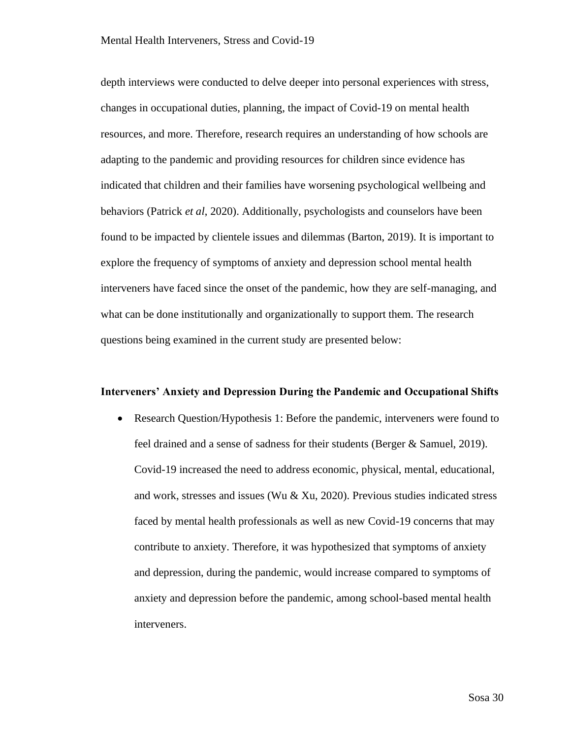depth interviews were conducted to delve deeper into personal experiences with stress, changes in occupational duties, planning, the impact of Covid-19 on mental health resources, and more. Therefore, research requires an understanding of how schools are adapting to the pandemic and providing resources for children since evidence has indicated that children and their families have worsening psychological wellbeing and behaviors (Patrick *et al*, 2020). Additionally, psychologists and counselors have been found to be impacted by clientele issues and dilemmas (Barton, 2019). It is important to explore the frequency of symptoms of anxiety and depression school mental health interveners have faced since the onset of the pandemic, how they are self-managing, and what can be done institutionally and organizationally to support them. The research questions being examined in the current study are presented below:

#### **Interveners' Anxiety and Depression During the Pandemic and Occupational Shifts**

• Research Question/Hypothesis 1: Before the pandemic, interveners were found to feel drained and a sense of sadness for their students (Berger & Samuel, 2019). Covid-19 increased the need to address economic, physical, mental, educational, and work, stresses and issues (Wu  $& Xu$ , 2020). Previous studies indicated stress faced by mental health professionals as well as new Covid-19 concerns that may contribute to anxiety. Therefore, it was hypothesized that symptoms of anxiety and depression, during the pandemic, would increase compared to symptoms of anxiety and depression before the pandemic, among school-based mental health interveners.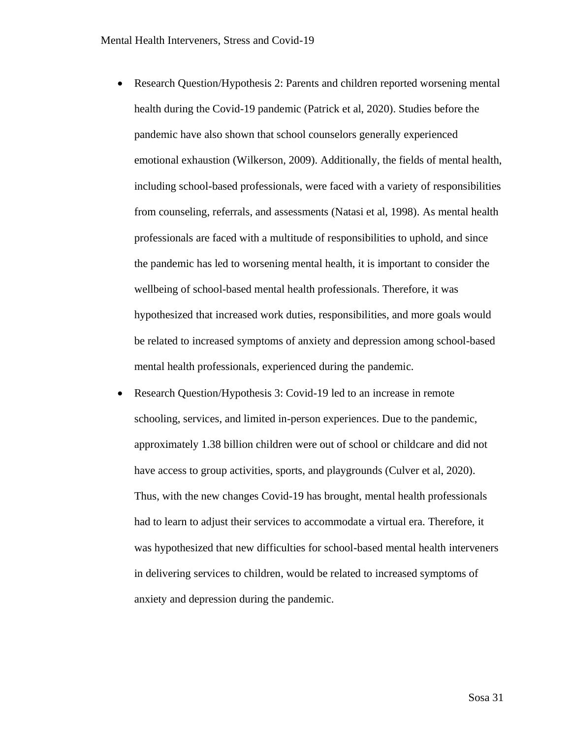- Research Question/Hypothesis 2: Parents and children reported worsening mental health during the Covid-19 pandemic (Patrick et al, 2020). Studies before the pandemic have also shown that school counselors generally experienced emotional exhaustion (Wilkerson, 2009). Additionally, the fields of mental health, including school-based professionals, were faced with a variety of responsibilities from counseling, referrals, and assessments (Natasi et al, 1998). As mental health professionals are faced with a multitude of responsibilities to uphold, and since the pandemic has led to worsening mental health, it is important to consider the wellbeing of school-based mental health professionals. Therefore, it was hypothesized that increased work duties, responsibilities, and more goals would be related to increased symptoms of anxiety and depression among school-based mental health professionals, experienced during the pandemic.
- Research Question/Hypothesis 3: Covid-19 led to an increase in remote schooling, services, and limited in-person experiences. Due to the pandemic, approximately 1.38 billion children were out of school or childcare and did not have access to group activities, sports, and playgrounds (Culver et al, 2020). Thus, with the new changes Covid-19 has brought, mental health professionals had to learn to adjust their services to accommodate a virtual era. Therefore, it was hypothesized that new difficulties for school-based mental health interveners in delivering services to children, would be related to increased symptoms of anxiety and depression during the pandemic.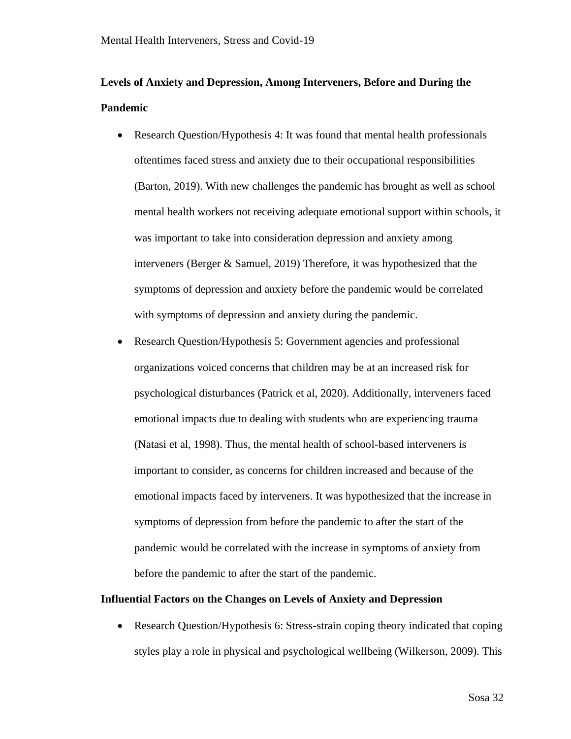# **Levels of Anxiety and Depression, Among Interveners, Before and During the Pandemic**

- Research Question/Hypothesis 4: It was found that mental health professionals oftentimes faced stress and anxiety due to their occupational responsibilities (Barton, 2019). With new challenges the pandemic has brought as well as school mental health workers not receiving adequate emotional support within schools, it was important to take into consideration depression and anxiety among interveners (Berger & Samuel, 2019) Therefore, it was hypothesized that the symptoms of depression and anxiety before the pandemic would be correlated with symptoms of depression and anxiety during the pandemic.
- Research Question/Hypothesis 5: Government agencies and professional organizations voiced concerns that children may be at an increased risk for psychological disturbances (Patrick et al, 2020). Additionally, interveners faced emotional impacts due to dealing with students who are experiencing trauma (Natasi et al, 1998). Thus, the mental health of school-based interveners is important to consider, as concerns for children increased and because of the emotional impacts faced by interveners. It was hypothesized that the increase in symptoms of depression from before the pandemic to after the start of the pandemic would be correlated with the increase in symptoms of anxiety from before the pandemic to after the start of the pandemic.

## **Influential Factors on the Changes on Levels of Anxiety and Depression**

• Research Question/Hypothesis 6: Stress-strain coping theory indicated that coping styles play a role in physical and psychological wellbeing (Wilkerson, 2009). This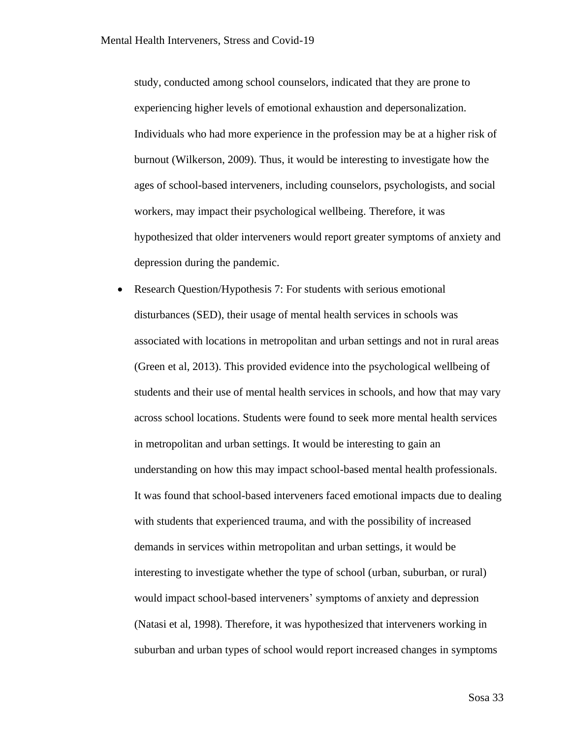study, conducted among school counselors, indicated that they are prone to experiencing higher levels of emotional exhaustion and depersonalization. Individuals who had more experience in the profession may be at a higher risk of burnout (Wilkerson, 2009). Thus, it would be interesting to investigate how the ages of school-based interveners, including counselors, psychologists, and social workers, may impact their psychological wellbeing. Therefore, it was hypothesized that older interveners would report greater symptoms of anxiety and depression during the pandemic.

• Research Question/Hypothesis 7: For students with serious emotional disturbances (SED), their usage of mental health services in schools was associated with locations in metropolitan and urban settings and not in rural areas (Green et al, 2013). This provided evidence into the psychological wellbeing of students and their use of mental health services in schools, and how that may vary across school locations. Students were found to seek more mental health services in metropolitan and urban settings. It would be interesting to gain an understanding on how this may impact school-based mental health professionals. It was found that school-based interveners faced emotional impacts due to dealing with students that experienced trauma, and with the possibility of increased demands in services within metropolitan and urban settings, it would be interesting to investigate whether the type of school (urban, suburban, or rural) would impact school-based interveners' symptoms of anxiety and depression (Natasi et al, 1998). Therefore, it was hypothesized that interveners working in suburban and urban types of school would report increased changes in symptoms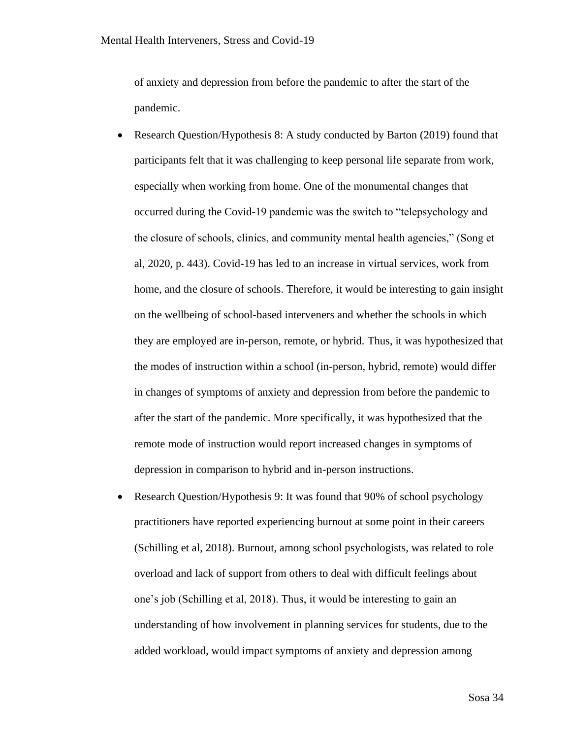of anxiety and depression from before the pandemic to after the start of the pandemic.

- Research Question/Hypothesis 8: A study conducted by Barton (2019) found that participants felt that it was challenging to keep personal life separate from work, especially when working from home. One of the monumental changes that occurred during the Covid-19 pandemic was the switch to "telepsychology and the closure of schools, clinics, and community mental health agencies," (Song et al, 2020, p. 443). Covid-19 has led to an increase in virtual services, work from home, and the closure of schools. Therefore, it would be interesting to gain insight on the wellbeing of school-based interveners and whether the schools in which they are employed are in-person, remote, or hybrid. Thus, it was hypothesized that the modes of instruction within a school (in-person, hybrid, remote) would differ in changes of symptoms of anxiety and depression from before the pandemic to after the start of the pandemic. More specifically, it was hypothesized that the remote mode of instruction would report increased changes in symptoms of depression in comparison to hybrid and in-person instructions.
- Research Question/Hypothesis 9: It was found that 90% of school psychology practitioners have reported experiencing burnout at some point in their careers (Schilling et al, 2018). Burnout, among school psychologists, was related to role overload and lack of support from others to deal with difficult feelings about one's job (Schilling et al, 2018). Thus, it would be interesting to gain an understanding of how involvement in planning services for students, due to the added workload, would impact symptoms of anxiety and depression among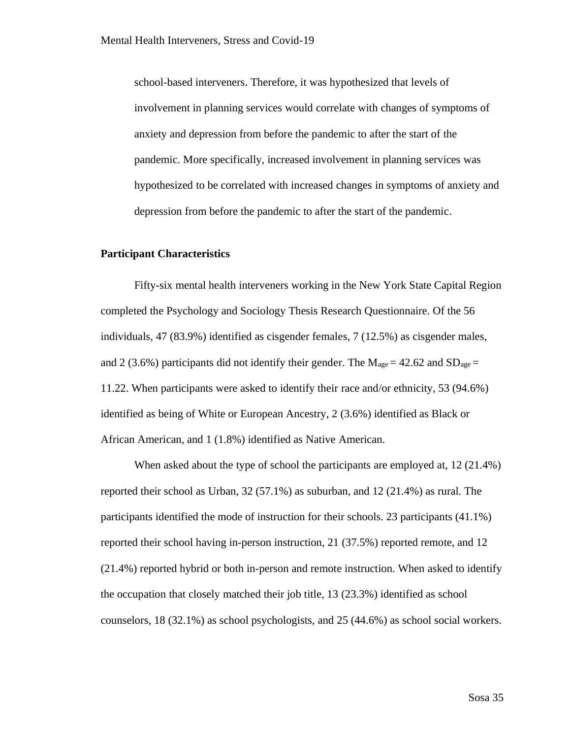school-based interveners. Therefore, it was hypothesized that levels of involvement in planning services would correlate with changes of symptoms of anxiety and depression from before the pandemic to after the start of the pandemic. More specifically, increased involvement in planning services was hypothesized to be correlated with increased changes in symptoms of anxiety and depression from before the pandemic to after the start of the pandemic.

## **Participant Characteristics**

Fifty-six mental health interveners working in the New York State Capital Region completed the Psychology and Sociology Thesis Research Questionnaire. Of the 56 individuals, 47 (83.9%) identified as cisgender females, 7 (12.5%) as cisgender males, and 2 (3.6%) participants did not identify their gender. The  $M_{\text{age}} = 42.62$  and  $SD_{\text{age}} =$ 11.22. When participants were asked to identify their race and/or ethnicity, 53 (94.6%) identified as being of White or European Ancestry, 2 (3.6%) identified as Black or African American, and 1 (1.8%) identified as Native American.

When asked about the type of school the participants are employed at, 12 (21.4%) reported their school as Urban, 32 (57.1%) as suburban, and 12 (21.4%) as rural. The participants identified the mode of instruction for their schools. 23 participants (41.1%) reported their school having in-person instruction, 21 (37.5%) reported remote, and 12 (21.4%) reported hybrid or both in-person and remote instruction. When asked to identify the occupation that closely matched their job title, 13 (23.3%) identified as school counselors, 18 (32.1%) as school psychologists, and 25 (44.6%) as school social workers.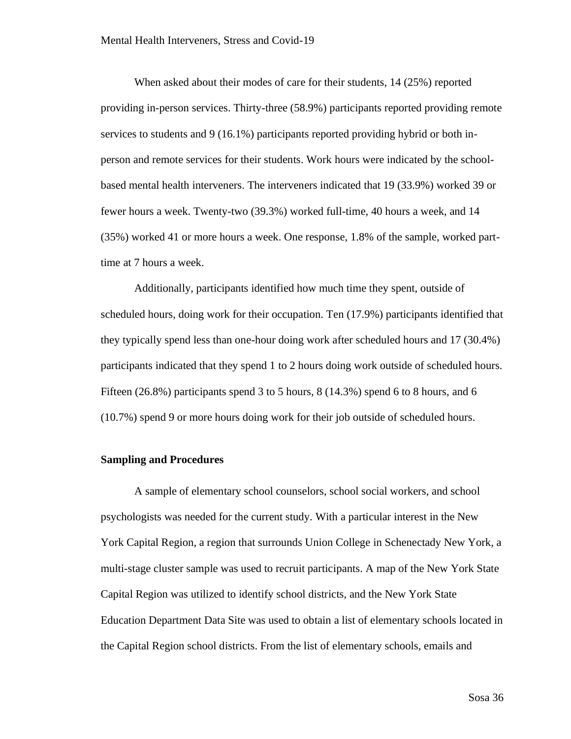When asked about their modes of care for their students, 14 (25%) reported providing in-person services. Thirty-three (58.9%) participants reported providing remote services to students and 9 (16.1%) participants reported providing hybrid or both inperson and remote services for their students. Work hours were indicated by the schoolbased mental health interveners. The interveners indicated that 19 (33.9%) worked 39 or fewer hours a week. Twenty-two (39.3%) worked full-time, 40 hours a week, and 14 (35%) worked 41 or more hours a week. One response, 1.8% of the sample, worked parttime at 7 hours a week.

Additionally, participants identified how much time they spent, outside of scheduled hours, doing work for their occupation. Ten (17.9%) participants identified that they typically spend less than one-hour doing work after scheduled hours and 17 (30.4%) participants indicated that they spend 1 to 2 hours doing work outside of scheduled hours. Fifteen (26.8%) participants spend 3 to 5 hours, 8 (14.3%) spend 6 to 8 hours, and 6 (10.7%) spend 9 or more hours doing work for their job outside of scheduled hours.

## **Sampling and Procedures**

A sample of elementary school counselors, school social workers, and school psychologists was needed for the current study. With a particular interest in the New York Capital Region, a region that surrounds Union College in Schenectady New York, a multi-stage cluster sample was used to recruit participants. A map of the New York State Capital Region was utilized to identify school districts, and the New York State Education Department Data Site was used to obtain a list of elementary schools located in the Capital Region school districts. From the list of elementary schools, emails and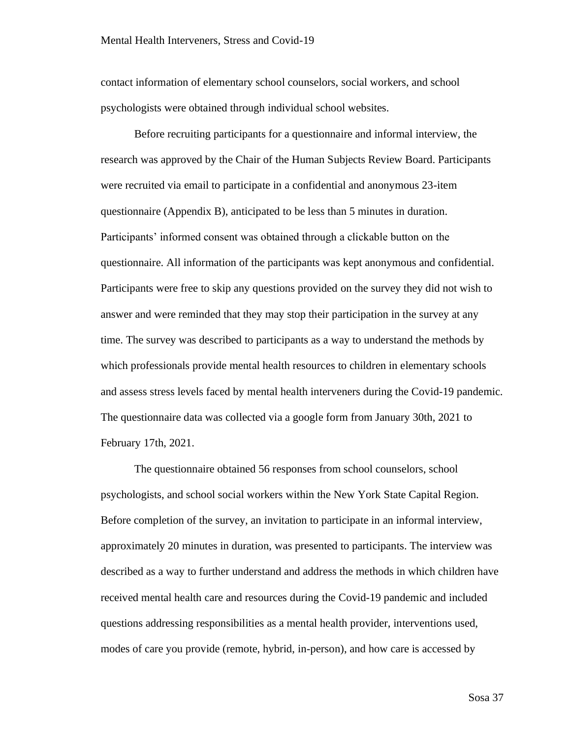contact information of elementary school counselors, social workers, and school psychologists were obtained through individual school websites.

Before recruiting participants for a questionnaire and informal interview, the research was approved by the Chair of the Human Subjects Review Board. Participants were recruited via email to participate in a confidential and anonymous 23-item questionnaire (Appendix B), anticipated to be less than 5 minutes in duration. Participants' informed consent was obtained through a clickable button on the questionnaire. All information of the participants was kept anonymous and confidential. Participants were free to skip any questions provided on the survey they did not wish to answer and were reminded that they may stop their participation in the survey at any time. The survey was described to participants as a way to understand the methods by which professionals provide mental health resources to children in elementary schools and assess stress levels faced by mental health interveners during the Covid-19 pandemic. The questionnaire data was collected via a google form from January 30th, 2021 to February 17th, 2021.

The questionnaire obtained 56 responses from school counselors, school psychologists, and school social workers within the New York State Capital Region. Before completion of the survey, an invitation to participate in an informal interview, approximately 20 minutes in duration, was presented to participants. The interview was described as a way to further understand and address the methods in which children have received mental health care and resources during the Covid-19 pandemic and included questions addressing responsibilities as a mental health provider, interventions used, modes of care you provide (remote, hybrid, in-person), and how care is accessed by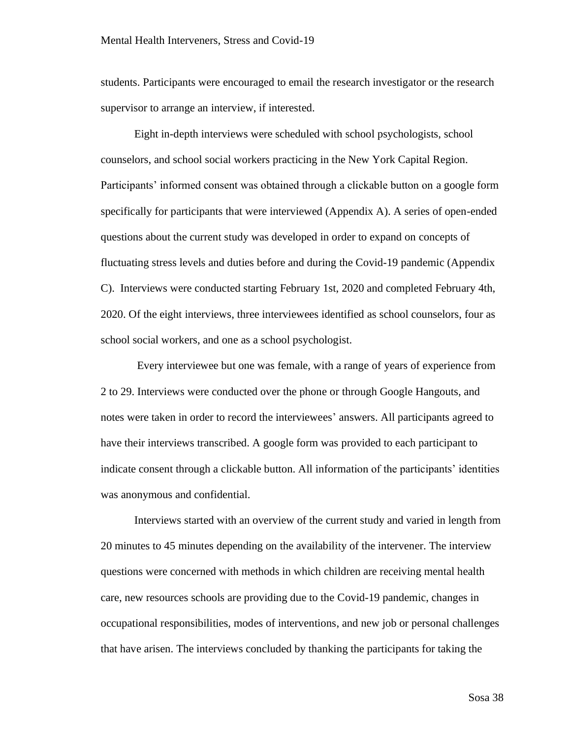students. Participants were encouraged to email the research investigator or the research supervisor to arrange an interview, if interested.

Eight in-depth interviews were scheduled with school psychologists, school counselors, and school social workers practicing in the New York Capital Region. Participants' informed consent was obtained through a clickable button on a google form specifically for participants that were interviewed (Appendix A). A series of open-ended questions about the current study was developed in order to expand on concepts of fluctuating stress levels and duties before and during the Covid-19 pandemic (Appendix C). Interviews were conducted starting February 1st, 2020 and completed February 4th, 2020. Of the eight interviews, three interviewees identified as school counselors, four as school social workers, and one as a school psychologist.

Every interviewee but one was female, with a range of years of experience from 2 to 29. Interviews were conducted over the phone or through Google Hangouts, and notes were taken in order to record the interviewees' answers. All participants agreed to have their interviews transcribed. A google form was provided to each participant to indicate consent through a clickable button. All information of the participants' identities was anonymous and confidential.

Interviews started with an overview of the current study and varied in length from 20 minutes to 45 minutes depending on the availability of the intervener. The interview questions were concerned with methods in which children are receiving mental health care, new resources schools are providing due to the Covid-19 pandemic, changes in occupational responsibilities, modes of interventions, and new job or personal challenges that have arisen. The interviews concluded by thanking the participants for taking the

Sosa 38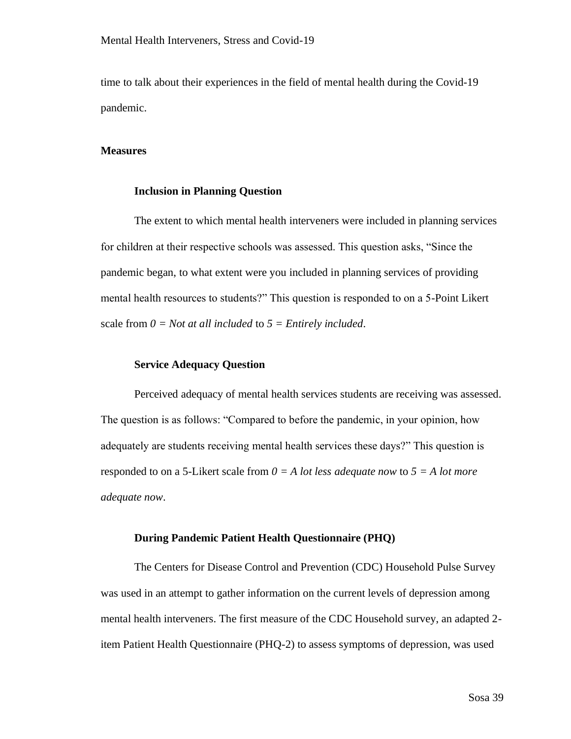time to talk about their experiences in the field of mental health during the Covid-19 pandemic.

## **Measures**

### **Inclusion in Planning Question**

The extent to which mental health interveners were included in planning services for children at their respective schools was assessed. This question asks, "Since the pandemic began, to what extent were you included in planning services of providing mental health resources to students?" This question is responded to on a 5-Point Likert scale from *0 = Not at all included* to *5 = Entirely included*.

## **Service Adequacy Question**

Perceived adequacy of mental health services students are receiving was assessed. The question is as follows: "Compared to before the pandemic, in your opinion, how adequately are students receiving mental health services these days?" This question is responded to on a 5-Likert scale from *0 = A lot less adequate now* to *5 = A lot more adequate now*.

#### **During Pandemic Patient Health Questionnaire (PHQ)**

The Centers for Disease Control and Prevention (CDC) Household Pulse Survey was used in an attempt to gather information on the current levels of depression among mental health interveners. The first measure of the CDC Household survey, an adapted 2 item Patient Health Questionnaire (PHQ-2) to assess symptoms of depression, was used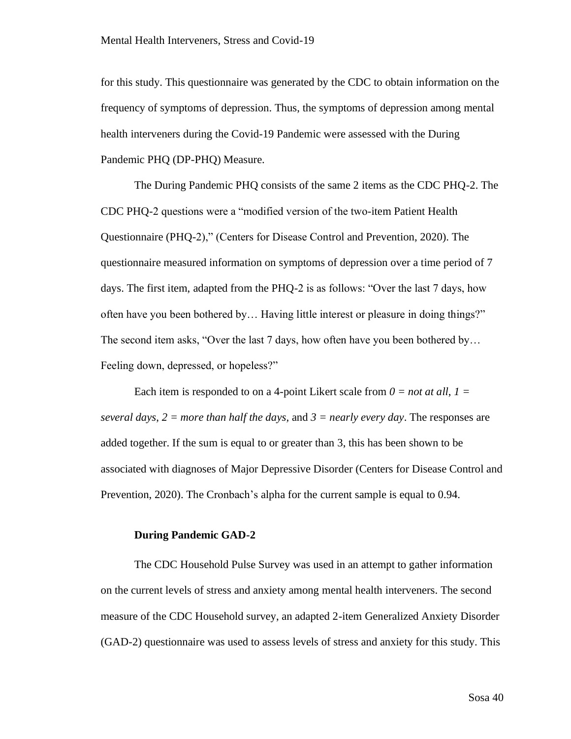for this study. This questionnaire was generated by the CDC to obtain information on the frequency of symptoms of depression. Thus, the symptoms of depression among mental health interveners during the Covid-19 Pandemic were assessed with the During Pandemic PHQ (DP-PHQ) Measure.

The During Pandemic PHQ consists of the same 2 items as the CDC PHQ-2. The CDC PHQ-2 questions were a "modified version of the two-item Patient Health Questionnaire (PHQ-2)," (Centers for Disease Control and Prevention, 2020). The questionnaire measured information on symptoms of depression over a time period of 7 days. The first item, adapted from the PHQ-2 is as follows: "Over the last 7 days, how often have you been bothered by… Having little interest or pleasure in doing things?" The second item asks, "Over the last 7 days, how often have you been bothered by… Feeling down, depressed, or hopeless?"

Each item is responded to on a 4-point Likert scale from  $0 = not at all, 1 =$ *several days*, *2 = more than half the days,* and *3 = nearly every day*. The responses are added together. If the sum is equal to or greater than 3, this has been shown to be associated with diagnoses of Major Depressive Disorder (Centers for Disease Control and Prevention, 2020). The Cronbach's alpha for the current sample is equal to 0.94.

## **During Pandemic GAD-2**

The CDC Household Pulse Survey was used in an attempt to gather information on the current levels of stress and anxiety among mental health interveners. The second measure of the CDC Household survey, an adapted 2-item Generalized Anxiety Disorder (GAD-2) questionnaire was used to assess levels of stress and anxiety for this study. This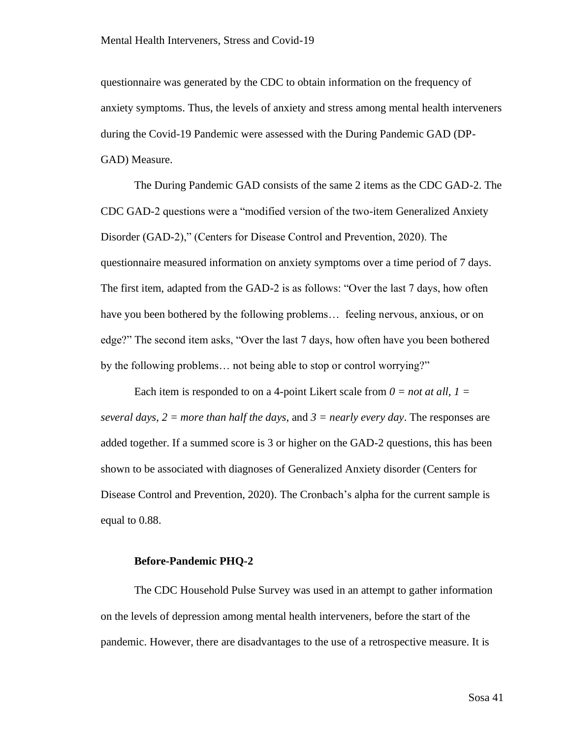questionnaire was generated by the CDC to obtain information on the frequency of anxiety symptoms. Thus, the levels of anxiety and stress among mental health interveners during the Covid-19 Pandemic were assessed with the During Pandemic GAD (DP-GAD) Measure.

The During Pandemic GAD consists of the same 2 items as the CDC GAD-2. The CDC GAD-2 questions were a "modified version of the two-item Generalized Anxiety Disorder (GAD-2)," (Centers for Disease Control and Prevention, 2020). The questionnaire measured information on anxiety symptoms over a time period of 7 days. The first item, adapted from the GAD-2 is as follows: "Over the last 7 days, how often have you been bothered by the following problems… feeling nervous, anxious, or on edge?" The second item asks, "Over the last 7 days, how often have you been bothered by the following problems… not being able to stop or control worrying?"

Each item is responded to on a 4-point Likert scale from  $0 = not$  at all,  $1 =$ *several days*, *2 = more than half the days*, and *3 = nearly every day*. The responses are added together. If a summed score is 3 or higher on the GAD-2 questions, this has been shown to be associated with diagnoses of Generalized Anxiety disorder (Centers for Disease Control and Prevention, 2020). The Cronbach's alpha for the current sample is equal to 0.88.

## **Before-Pandemic PHQ-2**

The CDC Household Pulse Survey was used in an attempt to gather information on the levels of depression among mental health interveners, before the start of the pandemic. However, there are disadvantages to the use of a retrospective measure. It is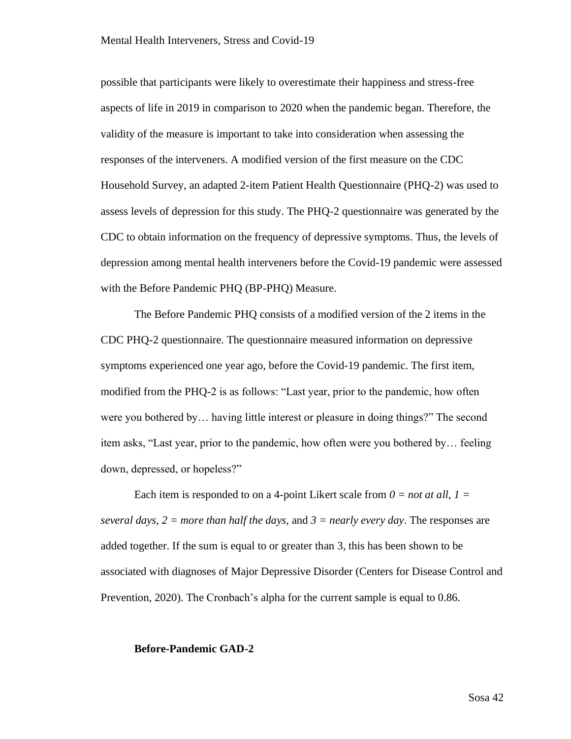possible that participants were likely to overestimate their happiness and stress-free aspects of life in 2019 in comparison to 2020 when the pandemic began. Therefore, the validity of the measure is important to take into consideration when assessing the responses of the interveners. A modified version of the first measure on the CDC Household Survey, an adapted 2-item Patient Health Questionnaire (PHQ-2) was used to assess levels of depression for this study. The PHQ-2 questionnaire was generated by the CDC to obtain information on the frequency of depressive symptoms. Thus, the levels of depression among mental health interveners before the Covid-19 pandemic were assessed with the Before Pandemic PHQ (BP-PHQ) Measure.

The Before Pandemic PHQ consists of a modified version of the 2 items in the CDC PHQ-2 questionnaire. The questionnaire measured information on depressive symptoms experienced one year ago, before the Covid-19 pandemic. The first item, modified from the PHQ-2 is as follows: "Last year, prior to the pandemic, how often were you bothered by… having little interest or pleasure in doing things?" The second item asks, "Last year, prior to the pandemic, how often were you bothered by… feeling down, depressed, or hopeless?"

Each item is responded to on a 4-point Likert scale from  $0 = not at all, 1 =$ *several days*, *2 = more than half the days,* and *3 = nearly every day*. The responses are added together. If the sum is equal to or greater than 3, this has been shown to be associated with diagnoses of Major Depressive Disorder (Centers for Disease Control and Prevention, 2020). The Cronbach's alpha for the current sample is equal to 0.86.

#### **Before-Pandemic GAD-2**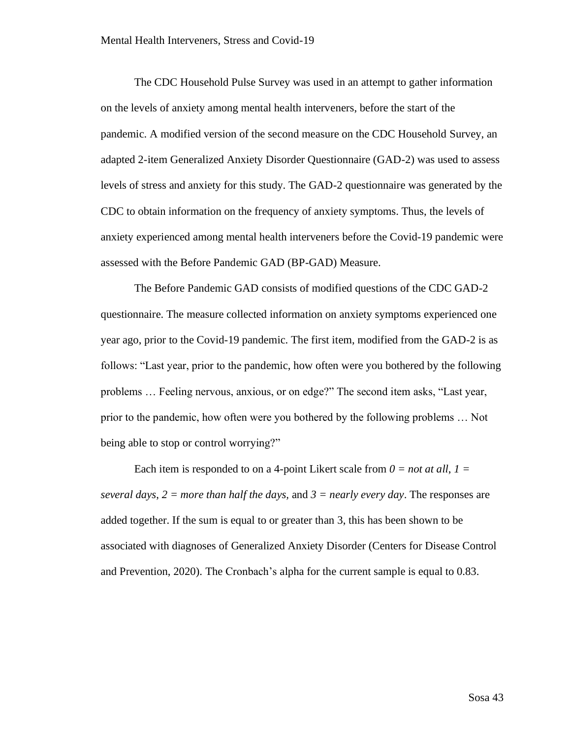The CDC Household Pulse Survey was used in an attempt to gather information on the levels of anxiety among mental health interveners, before the start of the pandemic. A modified version of the second measure on the CDC Household Survey, an adapted 2-item Generalized Anxiety Disorder Questionnaire (GAD-2) was used to assess levels of stress and anxiety for this study. The GAD-2 questionnaire was generated by the CDC to obtain information on the frequency of anxiety symptoms. Thus, the levels of anxiety experienced among mental health interveners before the Covid-19 pandemic were assessed with the Before Pandemic GAD (BP-GAD) Measure.

The Before Pandemic GAD consists of modified questions of the CDC GAD-2 questionnaire. The measure collected information on anxiety symptoms experienced one year ago, prior to the Covid-19 pandemic. The first item, modified from the GAD-2 is as follows: "Last year, prior to the pandemic, how often were you bothered by the following problems … Feeling nervous, anxious, or on edge?" The second item asks, "Last year, prior to the pandemic, how often were you bothered by the following problems … Not being able to stop or control worrying?"

Each item is responded to on a 4-point Likert scale from  $0 = not$  at all,  $1 =$ *several days*, *2 = more than half the days,* and *3 = nearly every day*. The responses are added together. If the sum is equal to or greater than 3, this has been shown to be associated with diagnoses of Generalized Anxiety Disorder (Centers for Disease Control and Prevention, 2020). The Cronbach's alpha for the current sample is equal to 0.83.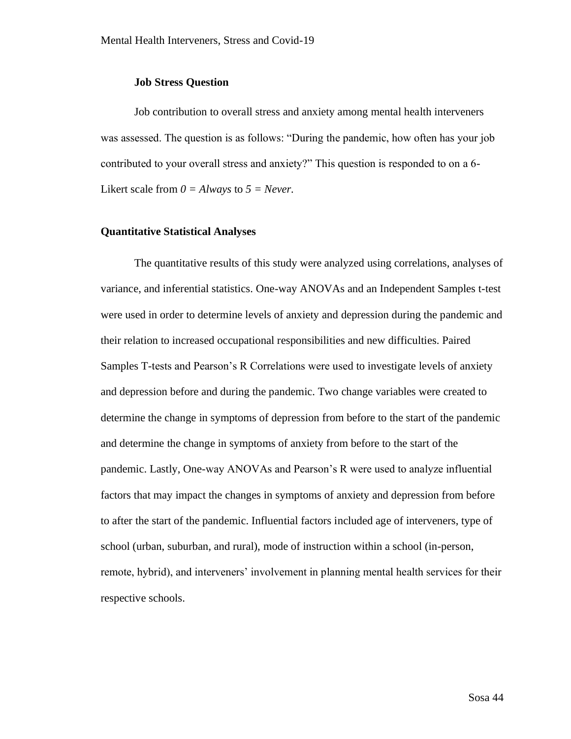## **Job Stress Question**

Job contribution to overall stress and anxiety among mental health interveners was assessed. The question is as follows: "During the pandemic, how often has your job contributed to your overall stress and anxiety?" This question is responded to on a 6- Likert scale from  $0 = Always$  to  $5 = Never$ .

# **Quantitative Statistical Analyses**

The quantitative results of this study were analyzed using correlations, analyses of variance, and inferential statistics. One-way ANOVAs and an Independent Samples t-test were used in order to determine levels of anxiety and depression during the pandemic and their relation to increased occupational responsibilities and new difficulties. Paired Samples T-tests and Pearson's R Correlations were used to investigate levels of anxiety and depression before and during the pandemic. Two change variables were created to determine the change in symptoms of depression from before to the start of the pandemic and determine the change in symptoms of anxiety from before to the start of the pandemic. Lastly, One-way ANOVAs and Pearson's R were used to analyze influential factors that may impact the changes in symptoms of anxiety and depression from before to after the start of the pandemic. Influential factors included age of interveners, type of school (urban, suburban, and rural), mode of instruction within a school (in-person, remote, hybrid), and interveners' involvement in planning mental health services for their respective schools.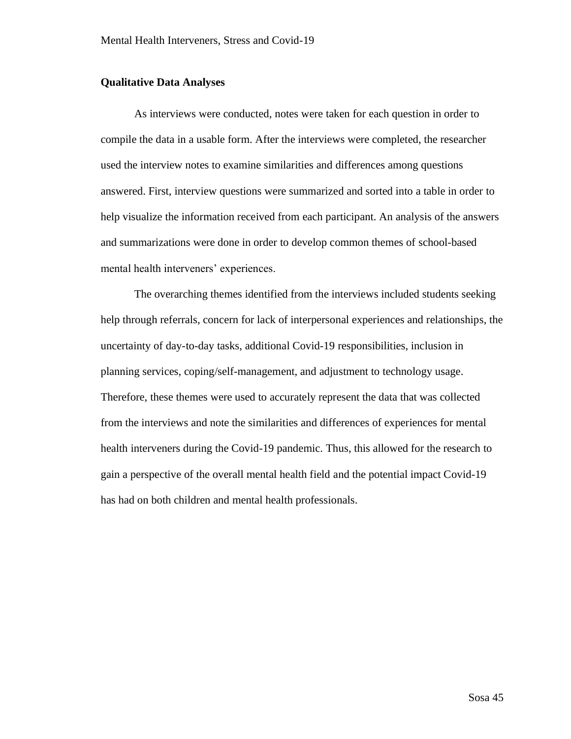# **Qualitative Data Analyses**

As interviews were conducted, notes were taken for each question in order to compile the data in a usable form. After the interviews were completed, the researcher used the interview notes to examine similarities and differences among questions answered. First, interview questions were summarized and sorted into a table in order to help visualize the information received from each participant. An analysis of the answers and summarizations were done in order to develop common themes of school-based mental health interveners' experiences.

The overarching themes identified from the interviews included students seeking help through referrals, concern for lack of interpersonal experiences and relationships, the uncertainty of day-to-day tasks, additional Covid-19 responsibilities, inclusion in planning services, coping/self-management, and adjustment to technology usage. Therefore, these themes were used to accurately represent the data that was collected from the interviews and note the similarities and differences of experiences for mental health interveners during the Covid-19 pandemic. Thus, this allowed for the research to gain a perspective of the overall mental health field and the potential impact Covid-19 has had on both children and mental health professionals.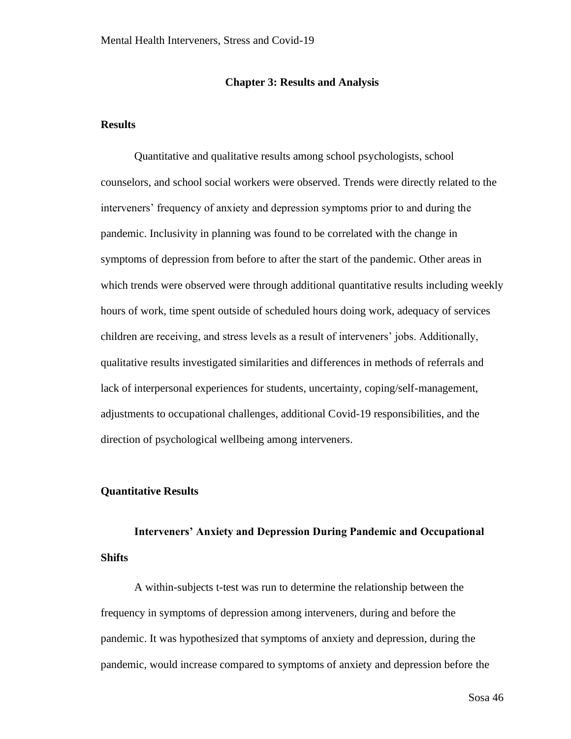## **Chapter 3: Results and Analysis**

# **Results**

Quantitative and qualitative results among school psychologists, school counselors, and school social workers were observed. Trends were directly related to the interveners' frequency of anxiety and depression symptoms prior to and during the pandemic. Inclusivity in planning was found to be correlated with the change in symptoms of depression from before to after the start of the pandemic. Other areas in which trends were observed were through additional quantitative results including weekly hours of work, time spent outside of scheduled hours doing work, adequacy of services children are receiving, and stress levels as a result of interveners' jobs. Additionally, qualitative results investigated similarities and differences in methods of referrals and lack of interpersonal experiences for students, uncertainty, coping/self-management, adjustments to occupational challenges, additional Covid-19 responsibilities, and the direction of psychological wellbeing among interveners.

#### **Quantitative Results**

# **Interveners' Anxiety and Depression During Pandemic and Occupational Shifts**

A within-subjects t-test was run to determine the relationship between the frequency in symptoms of depression among interveners, during and before the pandemic. It was hypothesized that symptoms of anxiety and depression, during the pandemic, would increase compared to symptoms of anxiety and depression before the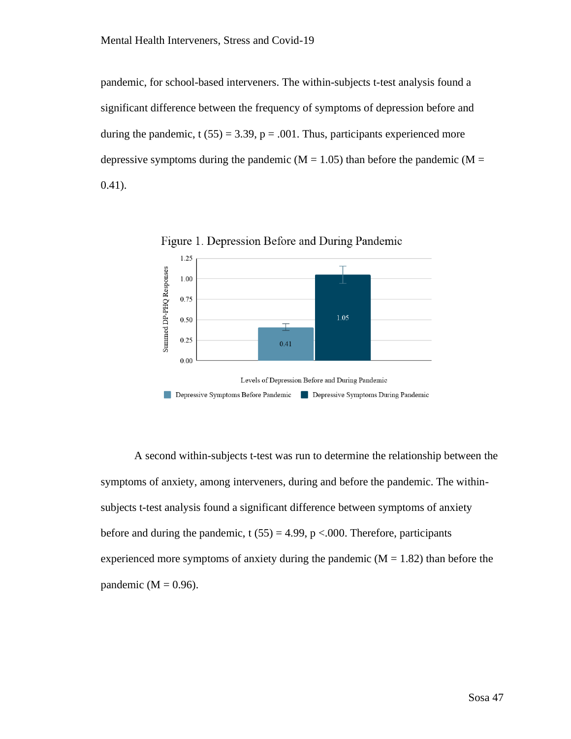pandemic, for school-based interveners. The within-subjects t-test analysis found a significant difference between the frequency of symptoms of depression before and during the pandemic,  $t (55) = 3.39$ ,  $p = .001$ . Thus, participants experienced more depressive symptoms during the pandemic ( $M = 1.05$ ) than before the pandemic ( $M =$ 0.41).



Figure 1. Depression Before and During Pandemic

A second within-subjects t-test was run to determine the relationship between the symptoms of anxiety, among interveners, during and before the pandemic. The withinsubjects t-test analysis found a significant difference between symptoms of anxiety before and during the pandemic, t  $(55) = 4.99$ , p <.000. Therefore, participants experienced more symptoms of anxiety during the pandemic  $(M = 1.82)$  than before the pandemic ( $M = 0.96$ ).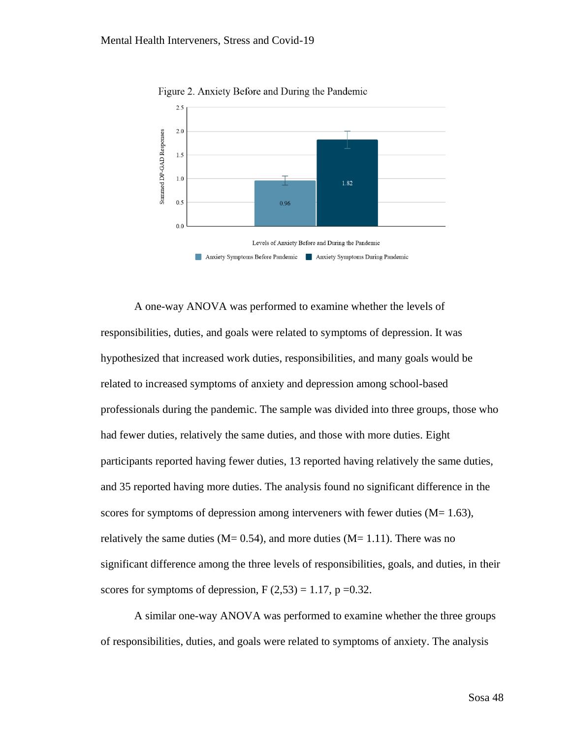

Figure 2. Anxiety Before and During the Pandemic

A one-way ANOVA was performed to examine whether the levels of responsibilities, duties, and goals were related to symptoms of depression. It was hypothesized that increased work duties, responsibilities, and many goals would be related to increased symptoms of anxiety and depression among school-based professionals during the pandemic. The sample was divided into three groups, those who had fewer duties, relatively the same duties, and those with more duties. Eight participants reported having fewer duties, 13 reported having relatively the same duties, and 35 reported having more duties. The analysis found no significant difference in the scores for symptoms of depression among interveners with fewer duties  $(M= 1.63)$ , relatively the same duties ( $M = 0.54$ ), and more duties ( $M = 1.11$ ). There was no significant difference among the three levels of responsibilities, goals, and duties, in their scores for symptoms of depression,  $F(2,53) = 1.17$ ,  $p = 0.32$ .

A similar one-way ANOVA was performed to examine whether the three groups of responsibilities, duties, and goals were related to symptoms of anxiety. The analysis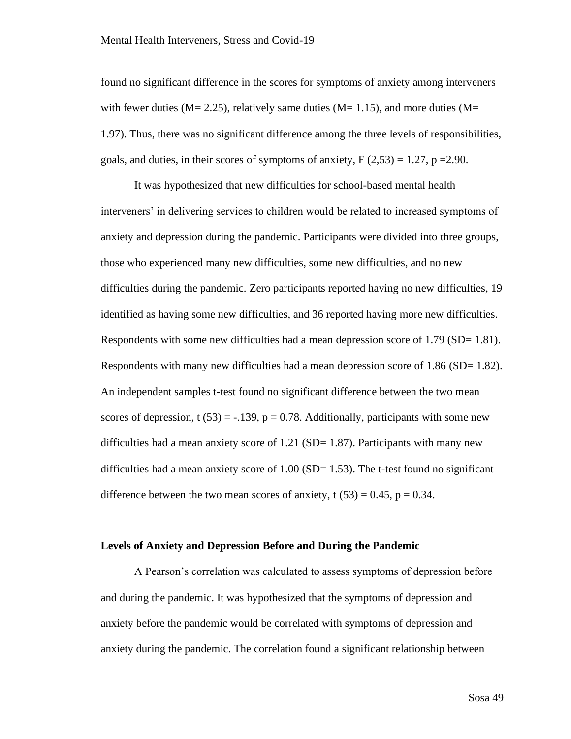found no significant difference in the scores for symptoms of anxiety among interveners with fewer duties ( $M = 2.25$ ), relatively same duties ( $M = 1.15$ ), and more duties ( $M = 1.15$ ) 1.97). Thus, there was no significant difference among the three levels of responsibilities, goals, and duties, in their scores of symptoms of anxiety,  $F(2,53) = 1.27$ ,  $p = 2.90$ .

It was hypothesized that new difficulties for school-based mental health interveners' in delivering services to children would be related to increased symptoms of anxiety and depression during the pandemic. Participants were divided into three groups, those who experienced many new difficulties, some new difficulties, and no new difficulties during the pandemic. Zero participants reported having no new difficulties, 19 identified as having some new difficulties, and 36 reported having more new difficulties. Respondents with some new difficulties had a mean depression score of 1.79 (SD= 1.81). Respondents with many new difficulties had a mean depression score of 1.86 (SD= 1.82). An independent samples t-test found no significant difference between the two mean scores of depression, t (53) = -.139,  $p = 0.78$ . Additionally, participants with some new difficulties had a mean anxiety score of  $1.21$  (SD=  $1.87$ ). Participants with many new difficulties had a mean anxiety score of  $1.00$  (SD= 1.53). The t-test found no significant difference between the two mean scores of anxiety, t  $(53) = 0.45$ , p = 0.34.

# **Levels of Anxiety and Depression Before and During the Pandemic**

A Pearson's correlation was calculated to assess symptoms of depression before and during the pandemic. It was hypothesized that the symptoms of depression and anxiety before the pandemic would be correlated with symptoms of depression and anxiety during the pandemic. The correlation found a significant relationship between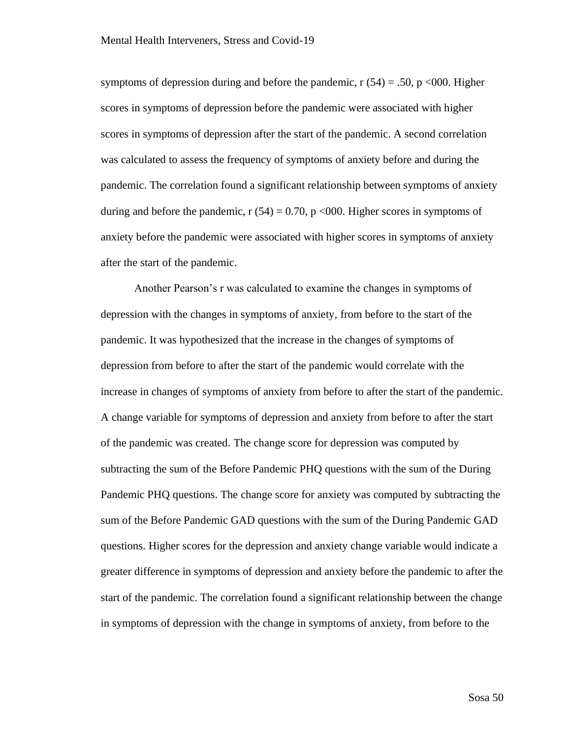symptoms of depression during and before the pandemic,  $r(54) = .50$ ,  $p \le 000$ . Higher scores in symptoms of depression before the pandemic were associated with higher scores in symptoms of depression after the start of the pandemic. A second correlation was calculated to assess the frequency of symptoms of anxiety before and during the pandemic. The correlation found a significant relationship between symptoms of anxiety during and before the pandemic,  $r(54) = 0.70$ ,  $p \le 0.00$ . Higher scores in symptoms of anxiety before the pandemic were associated with higher scores in symptoms of anxiety after the start of the pandemic.

Another Pearson's r was calculated to examine the changes in symptoms of depression with the changes in symptoms of anxiety, from before to the start of the pandemic. It was hypothesized that the increase in the changes of symptoms of depression from before to after the start of the pandemic would correlate with the increase in changes of symptoms of anxiety from before to after the start of the pandemic. A change variable for symptoms of depression and anxiety from before to after the start of the pandemic was created. The change score for depression was computed by subtracting the sum of the Before Pandemic PHQ questions with the sum of the During Pandemic PHQ questions. The change score for anxiety was computed by subtracting the sum of the Before Pandemic GAD questions with the sum of the During Pandemic GAD questions. Higher scores for the depression and anxiety change variable would indicate a greater difference in symptoms of depression and anxiety before the pandemic to after the start of the pandemic. The correlation found a significant relationship between the change in symptoms of depression with the change in symptoms of anxiety, from before to the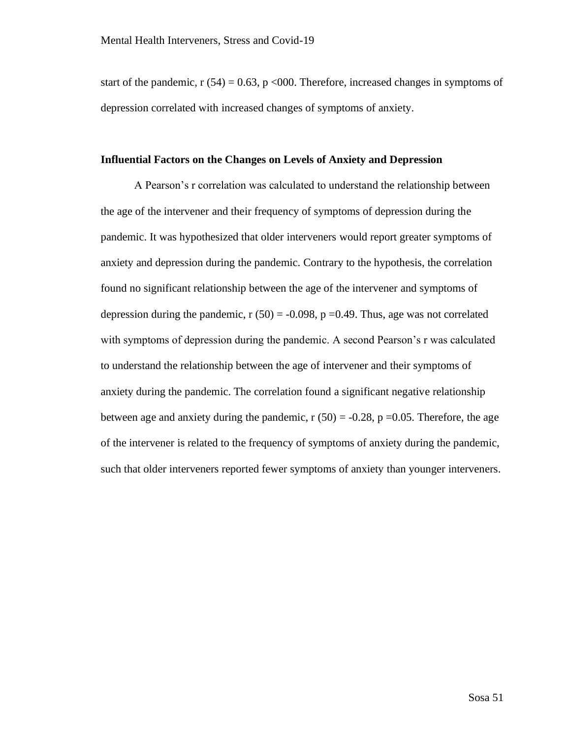start of the pandemic,  $r(54) = 0.63$ ,  $p \le 0.00$ . Therefore, increased changes in symptoms of depression correlated with increased changes of symptoms of anxiety.

## **Influential Factors on the Changes on Levels of Anxiety and Depression**

A Pearson's r correlation was calculated to understand the relationship between the age of the intervener and their frequency of symptoms of depression during the pandemic. It was hypothesized that older interveners would report greater symptoms of anxiety and depression during the pandemic. Contrary to the hypothesis, the correlation found no significant relationship between the age of the intervener and symptoms of depression during the pandemic,  $r(50) = -0.098$ ,  $p = 0.49$ . Thus, age was not correlated with symptoms of depression during the pandemic. A second Pearson's r was calculated to understand the relationship between the age of intervener and their symptoms of anxiety during the pandemic. The correlation found a significant negative relationship between age and anxiety during the pandemic,  $r(50) = -0.28$ ,  $p = 0.05$ . Therefore, the age of the intervener is related to the frequency of symptoms of anxiety during the pandemic, such that older interveners reported fewer symptoms of anxiety than younger interveners.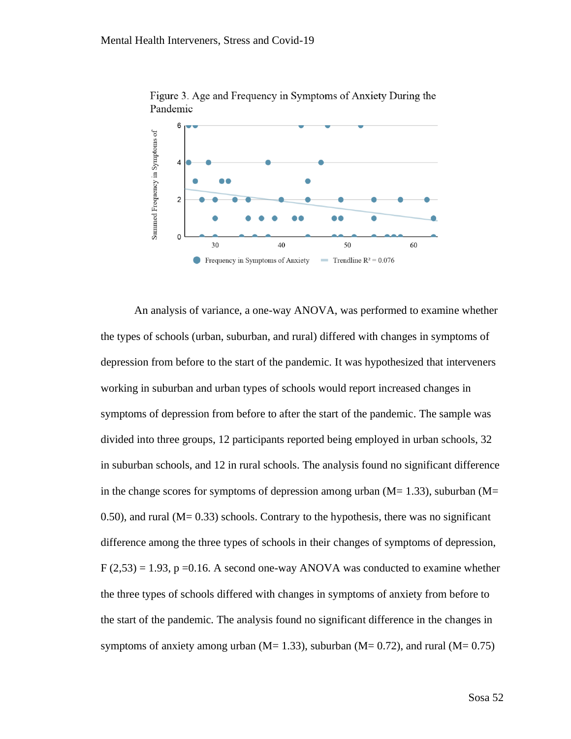

Figure 3. Age and Frequency in Symptoms of Anxiety During the Pandemic

An analysis of variance, a one-way ANOVA, was performed to examine whether the types of schools (urban, suburban, and rural) differed with changes in symptoms of depression from before to the start of the pandemic. It was hypothesized that interveners working in suburban and urban types of schools would report increased changes in symptoms of depression from before to after the start of the pandemic. The sample was divided into three groups, 12 participants reported being employed in urban schools, 32 in suburban schools, and 12 in rural schools. The analysis found no significant difference in the change scores for symptoms of depression among urban  $(M= 1.33)$ , suburban  $(M=$ 0.50), and rural  $(M= 0.33)$  schools. Contrary to the hypothesis, there was no significant difference among the three types of schools in their changes of symptoms of depression,  $F(2,53) = 1.93$ ,  $p = 0.16$ . A second one-way ANOVA was conducted to examine whether the three types of schools differed with changes in symptoms of anxiety from before to the start of the pandemic. The analysis found no significant difference in the changes in symptoms of anxiety among urban ( $M$ = 1.33), suburban ( $M$ = 0.72), and rural ( $M$ = 0.75)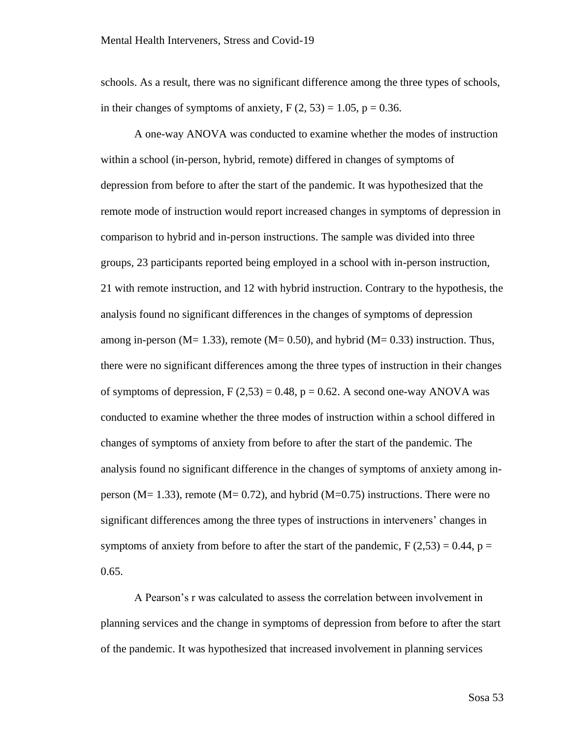schools. As a result, there was no significant difference among the three types of schools, in their changes of symptoms of anxiety,  $F(2, 53) = 1.05$ ,  $p = 0.36$ .

A one-way ANOVA was conducted to examine whether the modes of instruction within a school (in-person, hybrid, remote) differed in changes of symptoms of depression from before to after the start of the pandemic. It was hypothesized that the remote mode of instruction would report increased changes in symptoms of depression in comparison to hybrid and in-person instructions. The sample was divided into three groups, 23 participants reported being employed in a school with in-person instruction, 21 with remote instruction, and 12 with hybrid instruction. Contrary to the hypothesis, the analysis found no significant differences in the changes of symptoms of depression among in-person ( $M= 1.33$ ), remote ( $M= 0.50$ ), and hybrid ( $M= 0.33$ ) instruction. Thus, there were no significant differences among the three types of instruction in their changes of symptoms of depression,  $F(2,53) = 0.48$ ,  $p = 0.62$ . A second one-way ANOVA was conducted to examine whether the three modes of instruction within a school differed in changes of symptoms of anxiety from before to after the start of the pandemic. The analysis found no significant difference in the changes of symptoms of anxiety among inperson ( $M = 1.33$ ), remote ( $M = 0.72$ ), and hybrid ( $M = 0.75$ ) instructions. There were no significant differences among the three types of instructions in interveners' changes in symptoms of anxiety from before to after the start of the pandemic,  $F(2,53) = 0.44$ ,  $p =$ 0.65.

A Pearson's r was calculated to assess the correlation between involvement in planning services and the change in symptoms of depression from before to after the start of the pandemic. It was hypothesized that increased involvement in planning services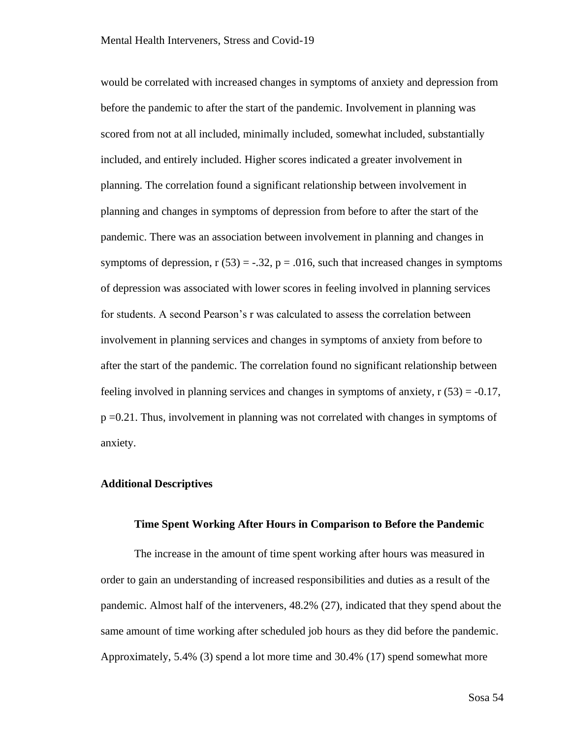would be correlated with increased changes in symptoms of anxiety and depression from before the pandemic to after the start of the pandemic. Involvement in planning was scored from not at all included, minimally included, somewhat included, substantially included, and entirely included. Higher scores indicated a greater involvement in planning. The correlation found a significant relationship between involvement in planning and changes in symptoms of depression from before to after the start of the pandemic. There was an association between involvement in planning and changes in symptoms of depression,  $r(53) = -.32$ ,  $p = .016$ , such that increased changes in symptoms of depression was associated with lower scores in feeling involved in planning services for students. A second Pearson's r was calculated to assess the correlation between involvement in planning services and changes in symptoms of anxiety from before to after the start of the pandemic. The correlation found no significant relationship between feeling involved in planning services and changes in symptoms of anxiety,  $r(53) = -0.17$ , p =0.21. Thus, involvement in planning was not correlated with changes in symptoms of anxiety.

# **Additional Descriptives**

#### **Time Spent Working After Hours in Comparison to Before the Pandemic**

The increase in the amount of time spent working after hours was measured in order to gain an understanding of increased responsibilities and duties as a result of the pandemic. Almost half of the interveners, 48.2% (27), indicated that they spend about the same amount of time working after scheduled job hours as they did before the pandemic. Approximately, 5.4% (3) spend a lot more time and 30.4% (17) spend somewhat more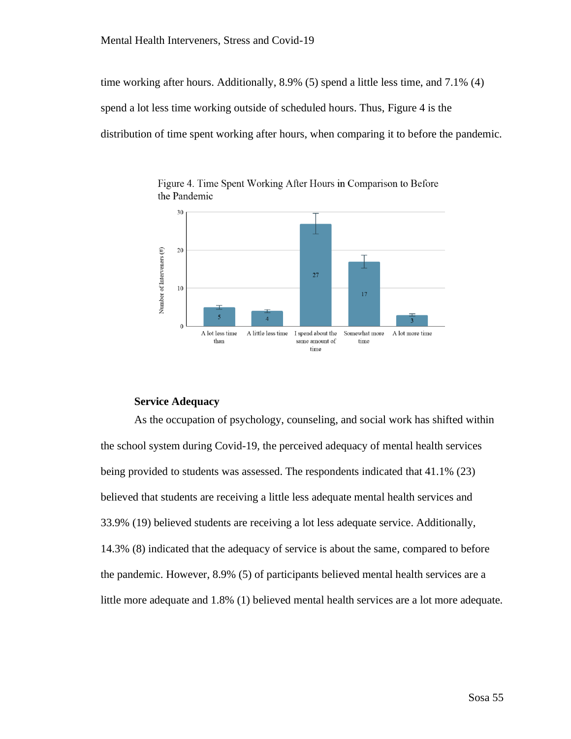time working after hours. Additionally, 8.9% (5) spend a little less time, and 7.1% (4) spend a lot less time working outside of scheduled hours. Thus, Figure 4 is the distribution of time spent working after hours, when comparing it to before the pandemic.



Figure 4. Time Spent Working After Hours in Comparison to Before the Pandemic

# **Service Adequacy**

As the occupation of psychology, counseling, and social work has shifted within the school system during Covid-19, the perceived adequacy of mental health services being provided to students was assessed. The respondents indicated that 41.1% (23) believed that students are receiving a little less adequate mental health services and 33.9% (19) believed students are receiving a lot less adequate service. Additionally, 14.3% (8) indicated that the adequacy of service is about the same, compared to before the pandemic. However, 8.9% (5) of participants believed mental health services are a little more adequate and 1.8% (1) believed mental health services are a lot more adequate.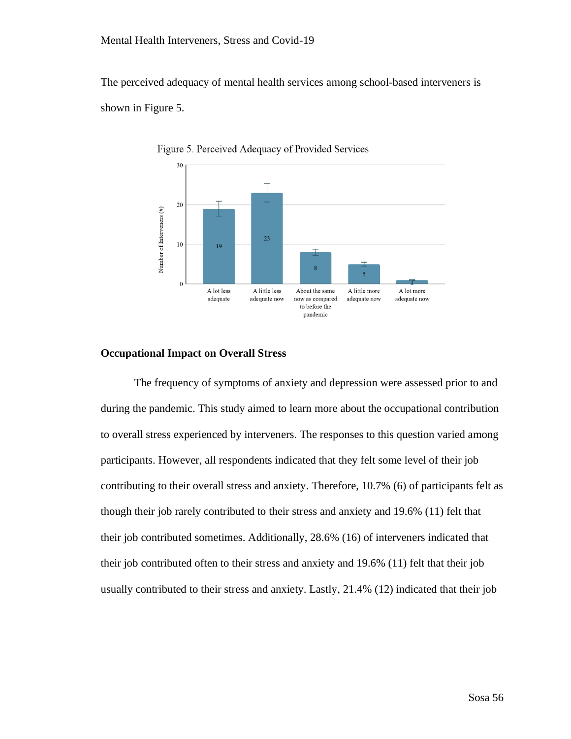The perceived adequacy of mental health services among school-based interveners is shown in Figure 5.



Figure 5. Perceived Adequacy of Provided Services

## **Occupational Impact on Overall Stress**

The frequency of symptoms of anxiety and depression were assessed prior to and during the pandemic. This study aimed to learn more about the occupational contribution to overall stress experienced by interveners. The responses to this question varied among participants. However, all respondents indicated that they felt some level of their job contributing to their overall stress and anxiety. Therefore, 10.7% (6) of participants felt as though their job rarely contributed to their stress and anxiety and 19.6% (11) felt that their job contributed sometimes. Additionally, 28.6% (16) of interveners indicated that their job contributed often to their stress and anxiety and 19.6% (11) felt that their job usually contributed to their stress and anxiety. Lastly, 21.4% (12) indicated that their job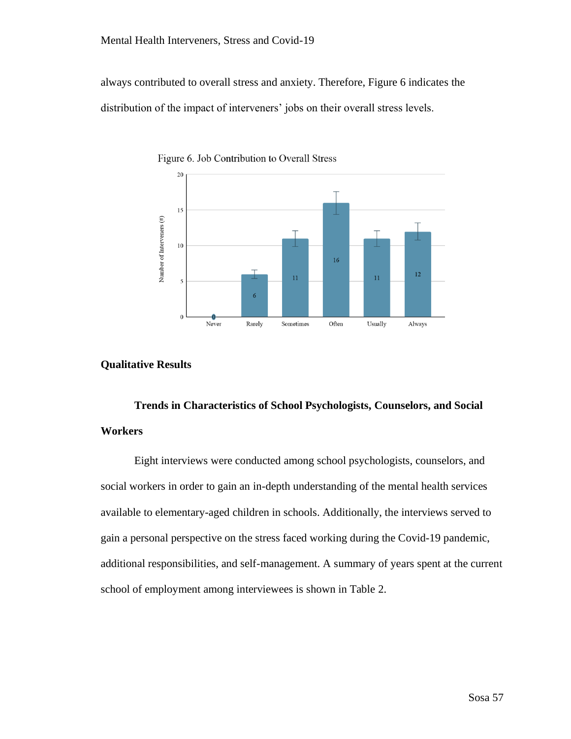always contributed to overall stress and anxiety. Therefore, Figure 6 indicates the distribution of the impact of interveners' jobs on their overall stress levels.



Figure 6. Job Contribution to Overall Stress

## **Qualitative Results**

# **Trends in Characteristics of School Psychologists, Counselors, and Social Workers**

Eight interviews were conducted among school psychologists, counselors, and social workers in order to gain an in-depth understanding of the mental health services available to elementary-aged children in schools. Additionally, the interviews served to gain a personal perspective on the stress faced working during the Covid-19 pandemic, additional responsibilities, and self-management. A summary of years spent at the current school of employment among interviewees is shown in Table 2.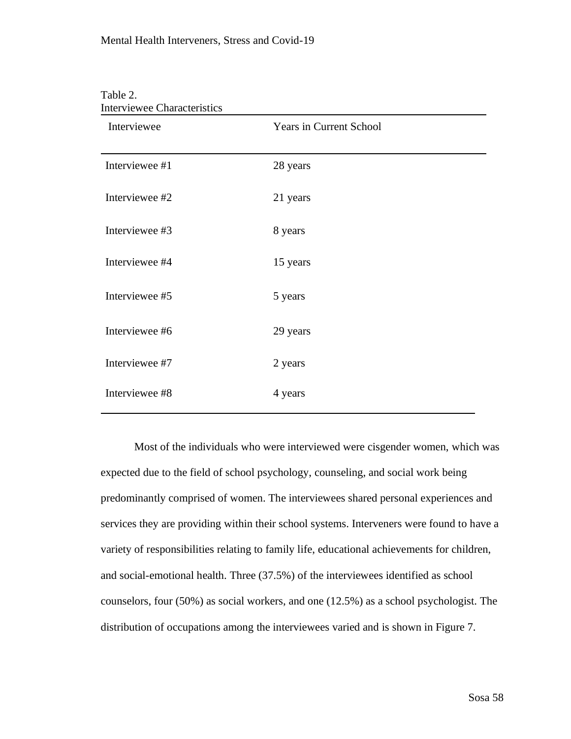| Interviewee    | <b>Years in Current School</b> |
|----------------|--------------------------------|
| Interviewee #1 | 28 years                       |
| Interviewee #2 | 21 years                       |
| Interviewee #3 | 8 years                        |
| Interviewee #4 | 15 years                       |
| Interviewee #5 | 5 years                        |
| Interviewee #6 | 29 years                       |
| Interviewee #7 | 2 years                        |
| Interviewee #8 | 4 years                        |

#### Table 2.  $\alpha$ <sub>i</sub>

Most of the individuals who were interviewed were cisgender women, which was expected due to the field of school psychology, counseling, and social work being predominantly comprised of women. The interviewees shared personal experiences and services they are providing within their school systems. Interveners were found to have a variety of responsibilities relating to family life, educational achievements for children, and social-emotional health. Three (37.5%) of the interviewees identified as school counselors, four (50%) as social workers, and one (12.5%) as a school psychologist. The distribution of occupations among the interviewees varied and is shown in Figure 7.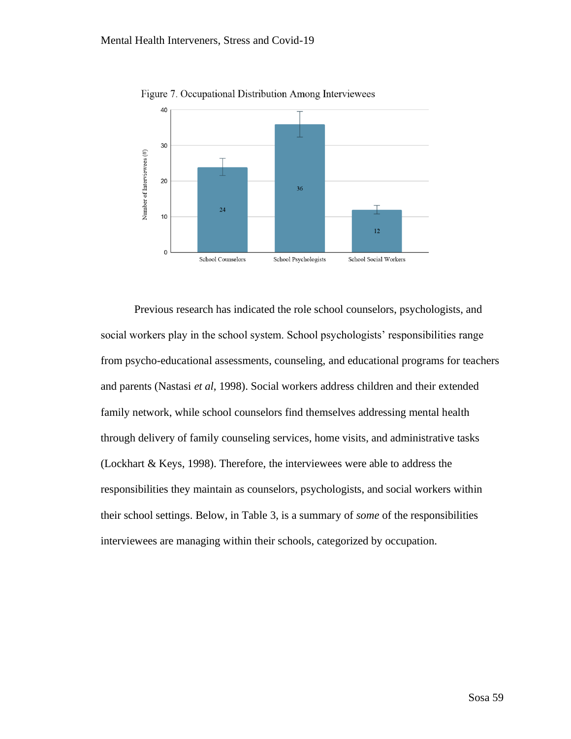

Figure 7. Occupational Distribution Among Interviewees

Previous research has indicated the role school counselors, psychologists, and social workers play in the school system. School psychologists' responsibilities range from psycho-educational assessments, counseling, and educational programs for teachers and parents (Nastasi *et al*, 1998). Social workers address children and their extended family network, while school counselors find themselves addressing mental health through delivery of family counseling services, home visits, and administrative tasks (Lockhart & Keys, 1998). Therefore, the interviewees were able to address the responsibilities they maintain as counselors, psychologists, and social workers within their school settings. Below, in Table 3, is a summary of *some* of the responsibilities interviewees are managing within their schools, categorized by occupation.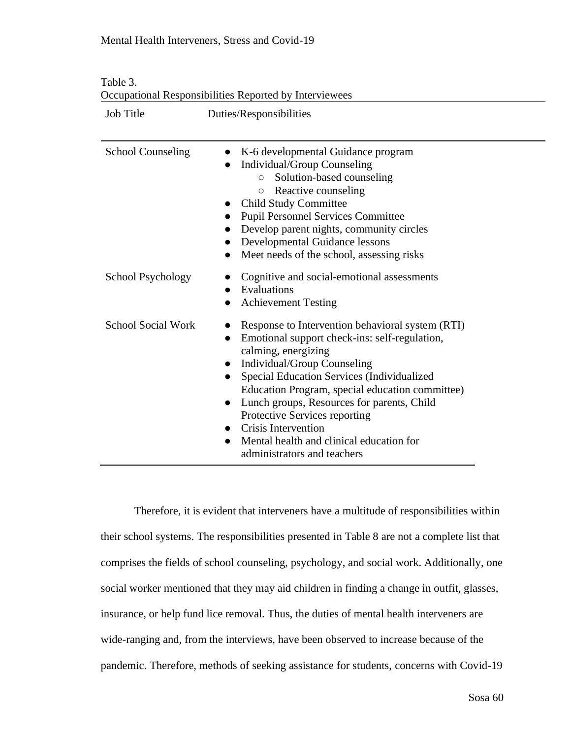| <b>Job Title</b>          | Duties/Responsibilities                                                                                                                                                                                                                                                                                                                                                                                                                                                            |
|---------------------------|------------------------------------------------------------------------------------------------------------------------------------------------------------------------------------------------------------------------------------------------------------------------------------------------------------------------------------------------------------------------------------------------------------------------------------------------------------------------------------|
| <b>School Counseling</b>  | K-6 developmental Guidance program<br>$\bullet$<br>Individual/Group Counseling<br>$\bullet$<br>Solution-based counseling<br>$\bigcirc$<br>Reactive counseling<br>$\circ$<br>• Child Study Committee<br><b>Pupil Personnel Services Committee</b><br>Develop parent nights, community circles<br>Developmental Guidance lessons<br>$\bullet$<br>Meet needs of the school, assessing risks<br>$\bullet$                                                                              |
| School Psychology         | Cognitive and social-emotional assessments<br>Evaluations<br><b>Achievement Testing</b>                                                                                                                                                                                                                                                                                                                                                                                            |
| <b>School Social Work</b> | Response to Intervention behavioral system (RTI)<br>Emotional support check-ins: self-regulation,<br>$\bullet$<br>calming, energizing<br>Individual/Group Counseling<br>$\bullet$<br>Special Education Services (Individualized<br>$\bullet$<br>Education Program, special education committee)<br>Lunch groups, Resources for parents, Child<br>Protective Services reporting<br>• Crisis Intervention<br>Mental health and clinical education for<br>administrators and teachers |

Table 3. Occupational Responsibilities Reported by Interviewees

Therefore, it is evident that interveners have a multitude of responsibilities within their school systems. The responsibilities presented in Table 8 are not a complete list that comprises the fields of school counseling, psychology, and social work. Additionally, one social worker mentioned that they may aid children in finding a change in outfit, glasses, insurance, or help fund lice removal. Thus, the duties of mental health interveners are wide-ranging and, from the interviews, have been observed to increase because of the pandemic. Therefore, methods of seeking assistance for students, concerns with Covid-19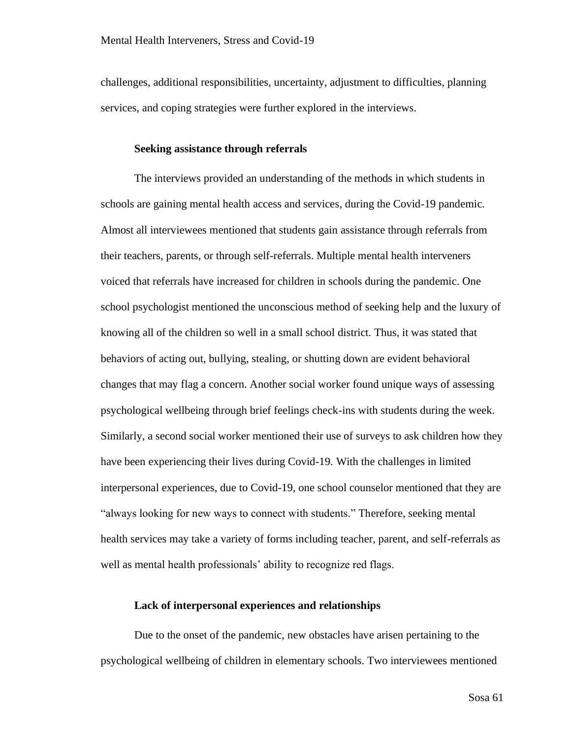challenges, additional responsibilities, uncertainty, adjustment to difficulties, planning services, and coping strategies were further explored in the interviews.

# **Seeking assistance through referrals**

The interviews provided an understanding of the methods in which students in schools are gaining mental health access and services, during the Covid-19 pandemic. Almost all interviewees mentioned that students gain assistance through referrals from their teachers, parents, or through self-referrals. Multiple mental health interveners voiced that referrals have increased for children in schools during the pandemic. One school psychologist mentioned the unconscious method of seeking help and the luxury of knowing all of the children so well in a small school district. Thus, it was stated that behaviors of acting out, bullying, stealing, or shutting down are evident behavioral changes that may flag a concern. Another social worker found unique ways of assessing psychological wellbeing through brief feelings check-ins with students during the week. Similarly, a second social worker mentioned their use of surveys to ask children how they have been experiencing their lives during Covid-19. With the challenges in limited interpersonal experiences, due to Covid-19, one school counselor mentioned that they are "always looking for new ways to connect with students." Therefore, seeking mental health services may take a variety of forms including teacher, parent, and self-referrals as well as mental health professionals' ability to recognize red flags.

## **Lack of interpersonal experiences and relationships**

Due to the onset of the pandemic, new obstacles have arisen pertaining to the psychological wellbeing of children in elementary schools. Two interviewees mentioned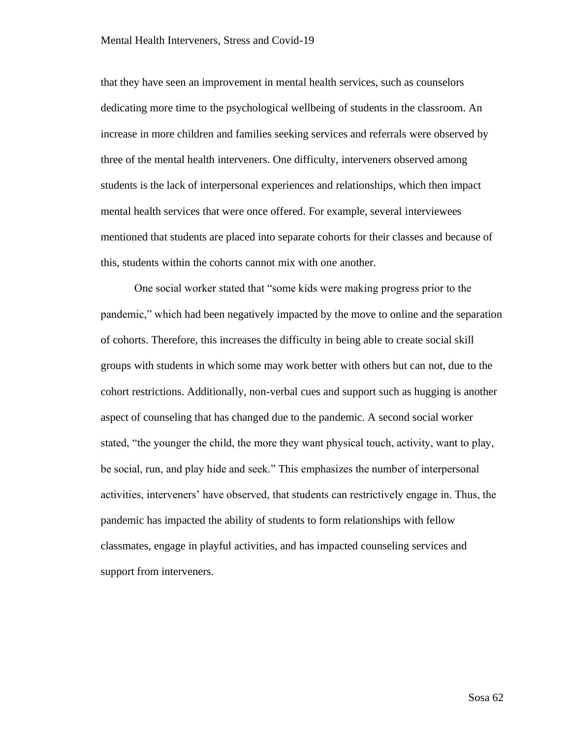that they have seen an improvement in mental health services, such as counselors dedicating more time to the psychological wellbeing of students in the classroom. An increase in more children and families seeking services and referrals were observed by three of the mental health interveners. One difficulty, interveners observed among students is the lack of interpersonal experiences and relationships, which then impact mental health services that were once offered. For example, several interviewees mentioned that students are placed into separate cohorts for their classes and because of this, students within the cohorts cannot mix with one another.

One social worker stated that "some kids were making progress prior to the pandemic," which had been negatively impacted by the move to online and the separation of cohorts. Therefore, this increases the difficulty in being able to create social skill groups with students in which some may work better with others but can not, due to the cohort restrictions. Additionally, non-verbal cues and support such as hugging is another aspect of counseling that has changed due to the pandemic. A second social worker stated, "the younger the child, the more they want physical touch, activity, want to play, be social, run, and play hide and seek." This emphasizes the number of interpersonal activities, interveners' have observed, that students can restrictively engage in. Thus, the pandemic has impacted the ability of students to form relationships with fellow classmates, engage in playful activities, and has impacted counseling services and support from interveners.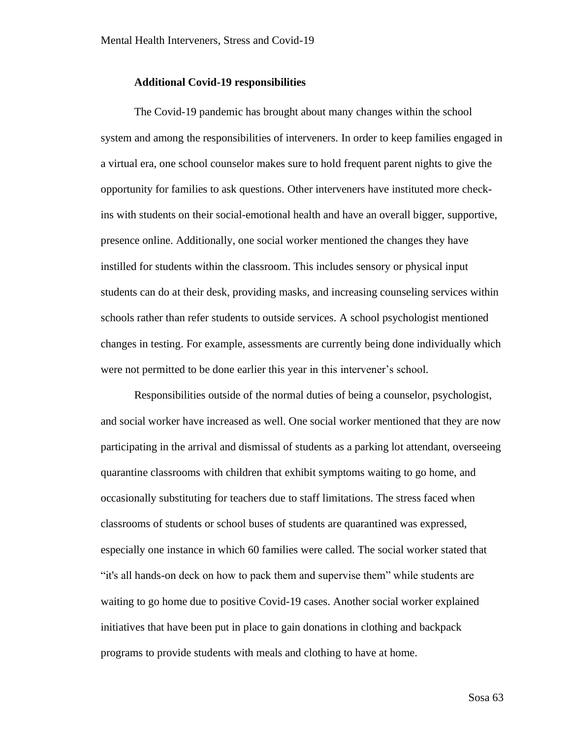#### **Additional Covid-19 responsibilities**

The Covid-19 pandemic has brought about many changes within the school system and among the responsibilities of interveners. In order to keep families engaged in a virtual era, one school counselor makes sure to hold frequent parent nights to give the opportunity for families to ask questions. Other interveners have instituted more checkins with students on their social-emotional health and have an overall bigger, supportive, presence online. Additionally, one social worker mentioned the changes they have instilled for students within the classroom. This includes sensory or physical input students can do at their desk, providing masks, and increasing counseling services within schools rather than refer students to outside services. A school psychologist mentioned changes in testing. For example, assessments are currently being done individually which were not permitted to be done earlier this year in this intervener's school.

Responsibilities outside of the normal duties of being a counselor, psychologist, and social worker have increased as well. One social worker mentioned that they are now participating in the arrival and dismissal of students as a parking lot attendant, overseeing quarantine classrooms with children that exhibit symptoms waiting to go home, and occasionally substituting for teachers due to staff limitations. The stress faced when classrooms of students or school buses of students are quarantined was expressed, especially one instance in which 60 families were called. The social worker stated that "it's all hands-on deck on how to pack them and supervise them" while students are waiting to go home due to positive Covid-19 cases. Another social worker explained initiatives that have been put in place to gain donations in clothing and backpack programs to provide students with meals and clothing to have at home.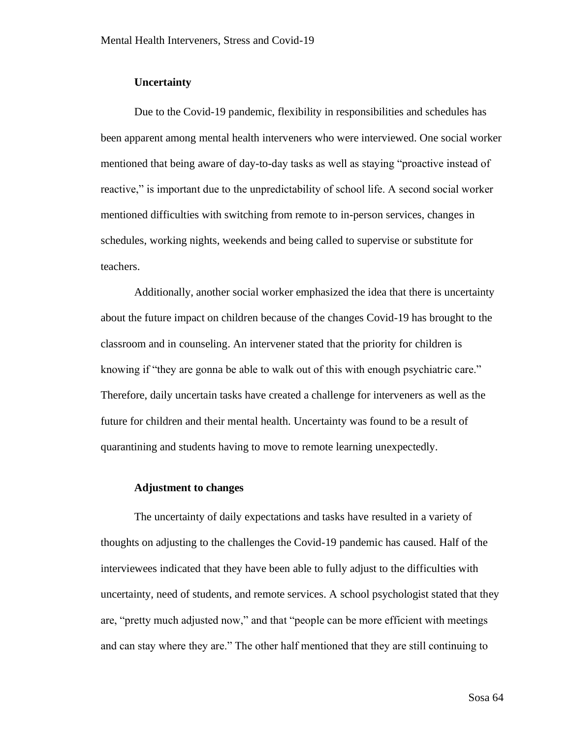## **Uncertainty**

Due to the Covid-19 pandemic, flexibility in responsibilities and schedules has been apparent among mental health interveners who were interviewed. One social worker mentioned that being aware of day-to-day tasks as well as staying "proactive instead of reactive," is important due to the unpredictability of school life. A second social worker mentioned difficulties with switching from remote to in-person services, changes in schedules, working nights, weekends and being called to supervise or substitute for teachers.

Additionally, another social worker emphasized the idea that there is uncertainty about the future impact on children because of the changes Covid-19 has brought to the classroom and in counseling. An intervener stated that the priority for children is knowing if "they are gonna be able to walk out of this with enough psychiatric care." Therefore, daily uncertain tasks have created a challenge for interveners as well as the future for children and their mental health. Uncertainty was found to be a result of quarantining and students having to move to remote learning unexpectedly.

## **Adjustment to changes**

The uncertainty of daily expectations and tasks have resulted in a variety of thoughts on adjusting to the challenges the Covid-19 pandemic has caused. Half of the interviewees indicated that they have been able to fully adjust to the difficulties with uncertainty, need of students, and remote services. A school psychologist stated that they are, "pretty much adjusted now," and that "people can be more efficient with meetings and can stay where they are." The other half mentioned that they are still continuing to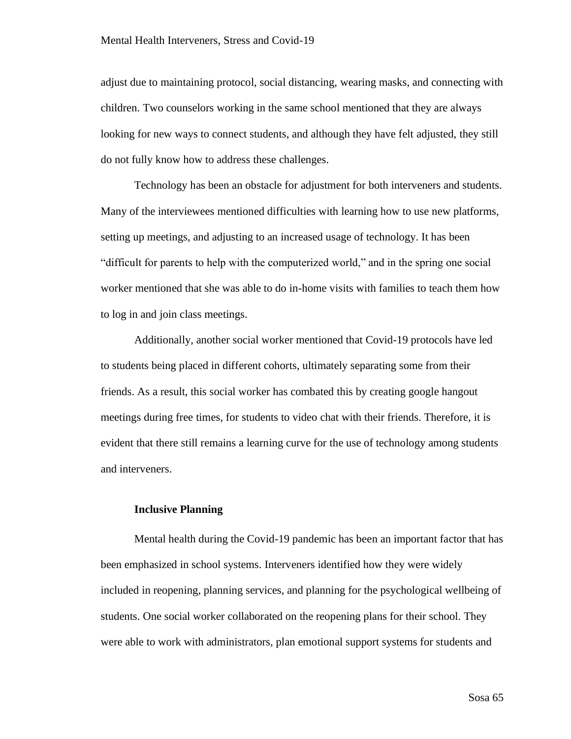adjust due to maintaining protocol, social distancing, wearing masks, and connecting with children. Two counselors working in the same school mentioned that they are always looking for new ways to connect students, and although they have felt adjusted, they still do not fully know how to address these challenges.

Technology has been an obstacle for adjustment for both interveners and students. Many of the interviewees mentioned difficulties with learning how to use new platforms, setting up meetings, and adjusting to an increased usage of technology. It has been "difficult for parents to help with the computerized world," and in the spring one social worker mentioned that she was able to do in-home visits with families to teach them how to log in and join class meetings.

Additionally, another social worker mentioned that Covid-19 protocols have led to students being placed in different cohorts, ultimately separating some from their friends. As a result, this social worker has combated this by creating google hangout meetings during free times, for students to video chat with their friends. Therefore, it is evident that there still remains a learning curve for the use of technology among students and interveners.

### **Inclusive Planning**

Mental health during the Covid-19 pandemic has been an important factor that has been emphasized in school systems. Interveners identified how they were widely included in reopening, planning services, and planning for the psychological wellbeing of students. One social worker collaborated on the reopening plans for their school. They were able to work with administrators, plan emotional support systems for students and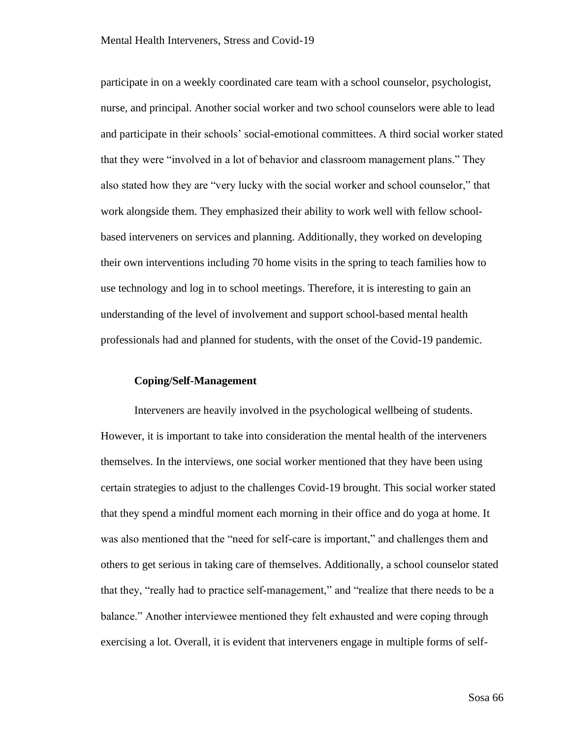participate in on a weekly coordinated care team with a school counselor, psychologist, nurse, and principal. Another social worker and two school counselors were able to lead and participate in their schools' social-emotional committees. A third social worker stated that they were "involved in a lot of behavior and classroom management plans." They also stated how they are "very lucky with the social worker and school counselor," that work alongside them. They emphasized their ability to work well with fellow schoolbased interveners on services and planning. Additionally, they worked on developing their own interventions including 70 home visits in the spring to teach families how to use technology and log in to school meetings. Therefore, it is interesting to gain an understanding of the level of involvement and support school-based mental health professionals had and planned for students, with the onset of the Covid-19 pandemic.

# **Coping/Self-Management**

Interveners are heavily involved in the psychological wellbeing of students. However, it is important to take into consideration the mental health of the interveners themselves. In the interviews, one social worker mentioned that they have been using certain strategies to adjust to the challenges Covid-19 brought. This social worker stated that they spend a mindful moment each morning in their office and do yoga at home. It was also mentioned that the "need for self-care is important," and challenges them and others to get serious in taking care of themselves. Additionally, a school counselor stated that they, "really had to practice self-management," and "realize that there needs to be a balance." Another interviewee mentioned they felt exhausted and were coping through exercising a lot. Overall, it is evident that interveners engage in multiple forms of self-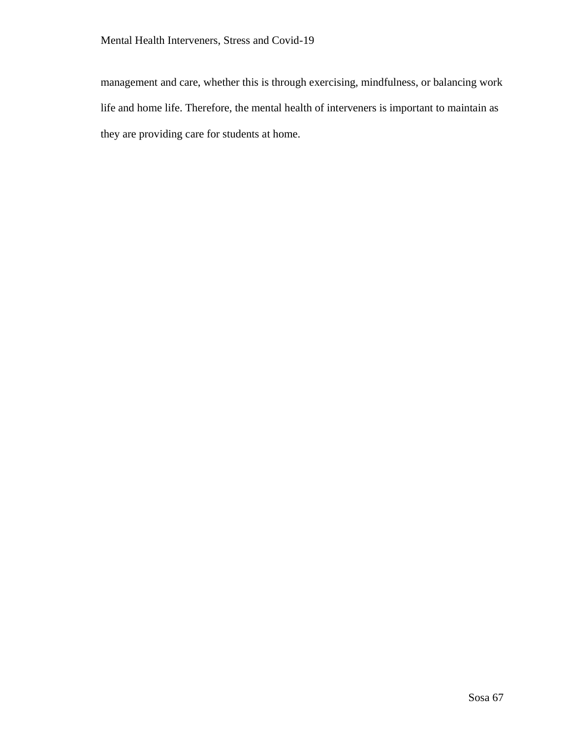management and care, whether this is through exercising, mindfulness, or balancing work life and home life. Therefore, the mental health of interveners is important to maintain as they are providing care for students at home.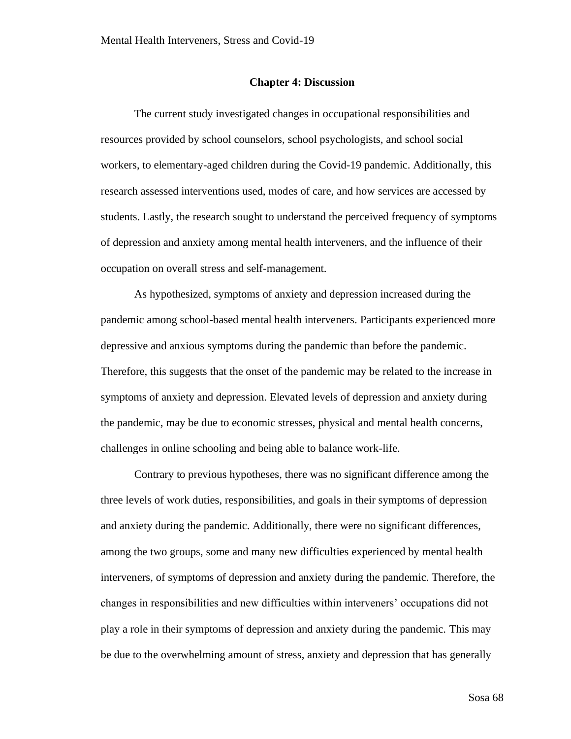#### **Chapter 4: Discussion**

The current study investigated changes in occupational responsibilities and resources provided by school counselors, school psychologists, and school social workers, to elementary-aged children during the Covid-19 pandemic. Additionally, this research assessed interventions used, modes of care, and how services are accessed by students. Lastly, the research sought to understand the perceived frequency of symptoms of depression and anxiety among mental health interveners, and the influence of their occupation on overall stress and self-management.

As hypothesized, symptoms of anxiety and depression increased during the pandemic among school-based mental health interveners. Participants experienced more depressive and anxious symptoms during the pandemic than before the pandemic. Therefore, this suggests that the onset of the pandemic may be related to the increase in symptoms of anxiety and depression. Elevated levels of depression and anxiety during the pandemic, may be due to economic stresses, physical and mental health concerns, challenges in online schooling and being able to balance work-life.

Contrary to previous hypotheses, there was no significant difference among the three levels of work duties, responsibilities, and goals in their symptoms of depression and anxiety during the pandemic. Additionally, there were no significant differences, among the two groups, some and many new difficulties experienced by mental health interveners, of symptoms of depression and anxiety during the pandemic. Therefore, the changes in responsibilities and new difficulties within interveners' occupations did not play a role in their symptoms of depression and anxiety during the pandemic. This may be due to the overwhelming amount of stress, anxiety and depression that has generally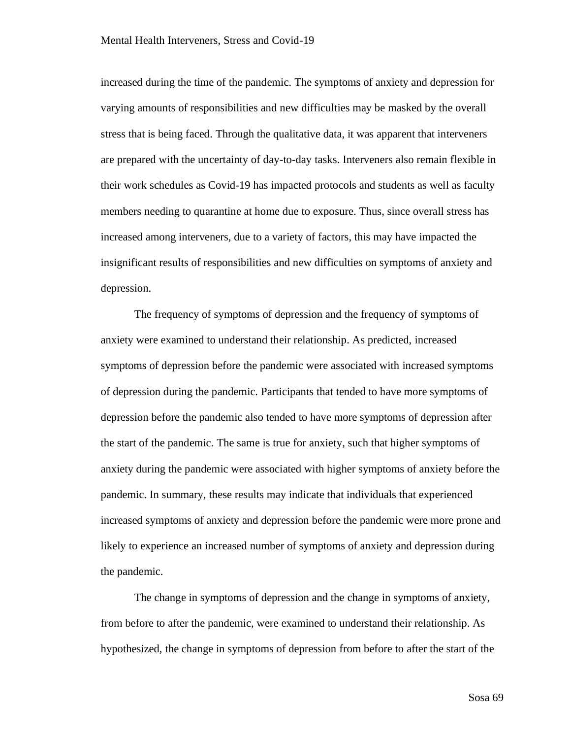increased during the time of the pandemic. The symptoms of anxiety and depression for varying amounts of responsibilities and new difficulties may be masked by the overall stress that is being faced. Through the qualitative data, it was apparent that interveners are prepared with the uncertainty of day-to-day tasks. Interveners also remain flexible in their work schedules as Covid-19 has impacted protocols and students as well as faculty members needing to quarantine at home due to exposure. Thus, since overall stress has increased among interveners, due to a variety of factors, this may have impacted the insignificant results of responsibilities and new difficulties on symptoms of anxiety and depression.

The frequency of symptoms of depression and the frequency of symptoms of anxiety were examined to understand their relationship. As predicted, increased symptoms of depression before the pandemic were associated with increased symptoms of depression during the pandemic. Participants that tended to have more symptoms of depression before the pandemic also tended to have more symptoms of depression after the start of the pandemic. The same is true for anxiety, such that higher symptoms of anxiety during the pandemic were associated with higher symptoms of anxiety before the pandemic. In summary, these results may indicate that individuals that experienced increased symptoms of anxiety and depression before the pandemic were more prone and likely to experience an increased number of symptoms of anxiety and depression during the pandemic.

The change in symptoms of depression and the change in symptoms of anxiety, from before to after the pandemic, were examined to understand their relationship. As hypothesized, the change in symptoms of depression from before to after the start of the

Sosa 69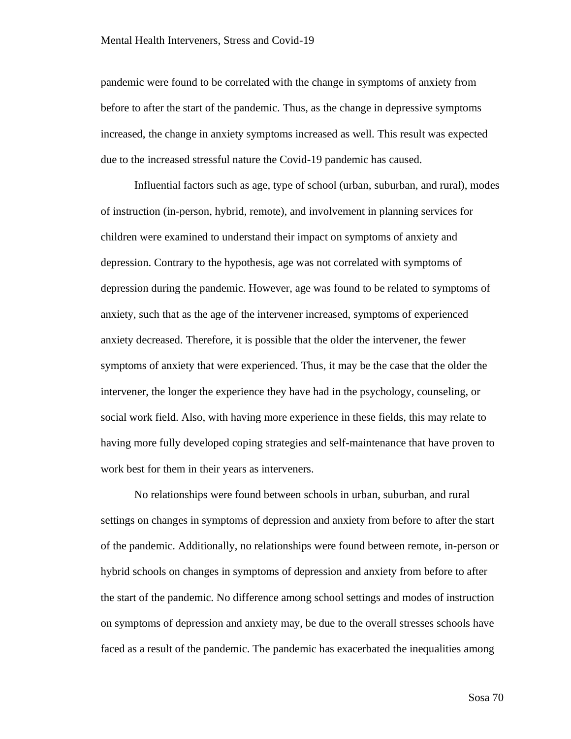pandemic were found to be correlated with the change in symptoms of anxiety from before to after the start of the pandemic. Thus, as the change in depressive symptoms increased, the change in anxiety symptoms increased as well. This result was expected due to the increased stressful nature the Covid-19 pandemic has caused.

Influential factors such as age, type of school (urban, suburban, and rural), modes of instruction (in-person, hybrid, remote), and involvement in planning services for children were examined to understand their impact on symptoms of anxiety and depression. Contrary to the hypothesis, age was not correlated with symptoms of depression during the pandemic. However, age was found to be related to symptoms of anxiety, such that as the age of the intervener increased, symptoms of experienced anxiety decreased. Therefore, it is possible that the older the intervener, the fewer symptoms of anxiety that were experienced. Thus, it may be the case that the older the intervener, the longer the experience they have had in the psychology, counseling, or social work field. Also, with having more experience in these fields, this may relate to having more fully developed coping strategies and self-maintenance that have proven to work best for them in their years as interveners.

No relationships were found between schools in urban, suburban, and rural settings on changes in symptoms of depression and anxiety from before to after the start of the pandemic. Additionally, no relationships were found between remote, in-person or hybrid schools on changes in symptoms of depression and anxiety from before to after the start of the pandemic. No difference among school settings and modes of instruction on symptoms of depression and anxiety may, be due to the overall stresses schools have faced as a result of the pandemic. The pandemic has exacerbated the inequalities among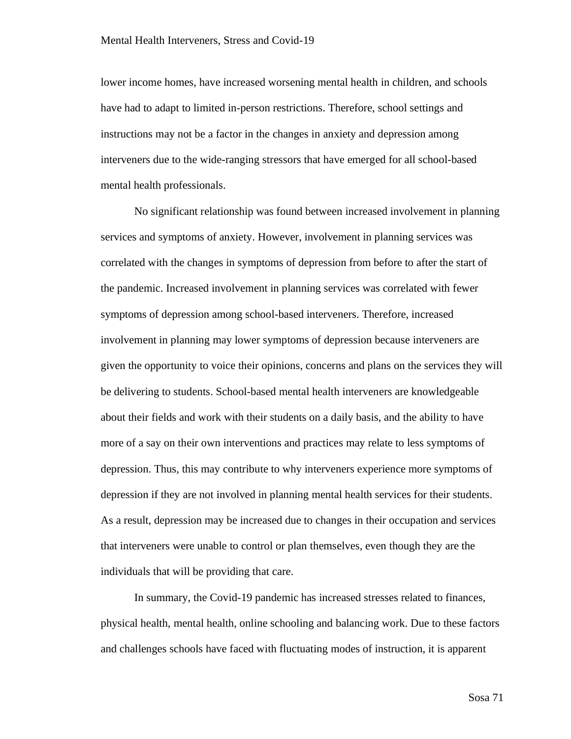lower income homes, have increased worsening mental health in children, and schools have had to adapt to limited in-person restrictions. Therefore, school settings and instructions may not be a factor in the changes in anxiety and depression among interveners due to the wide-ranging stressors that have emerged for all school-based mental health professionals.

No significant relationship was found between increased involvement in planning services and symptoms of anxiety. However, involvement in planning services was correlated with the changes in symptoms of depression from before to after the start of the pandemic. Increased involvement in planning services was correlated with fewer symptoms of depression among school-based interveners. Therefore, increased involvement in planning may lower symptoms of depression because interveners are given the opportunity to voice their opinions, concerns and plans on the services they will be delivering to students. School-based mental health interveners are knowledgeable about their fields and work with their students on a daily basis, and the ability to have more of a say on their own interventions and practices may relate to less symptoms of depression. Thus, this may contribute to why interveners experience more symptoms of depression if they are not involved in planning mental health services for their students. As a result, depression may be increased due to changes in their occupation and services that interveners were unable to control or plan themselves, even though they are the individuals that will be providing that care.

In summary, the Covid-19 pandemic has increased stresses related to finances, physical health, mental health, online schooling and balancing work. Due to these factors and challenges schools have faced with fluctuating modes of instruction, it is apparent

Sosa 71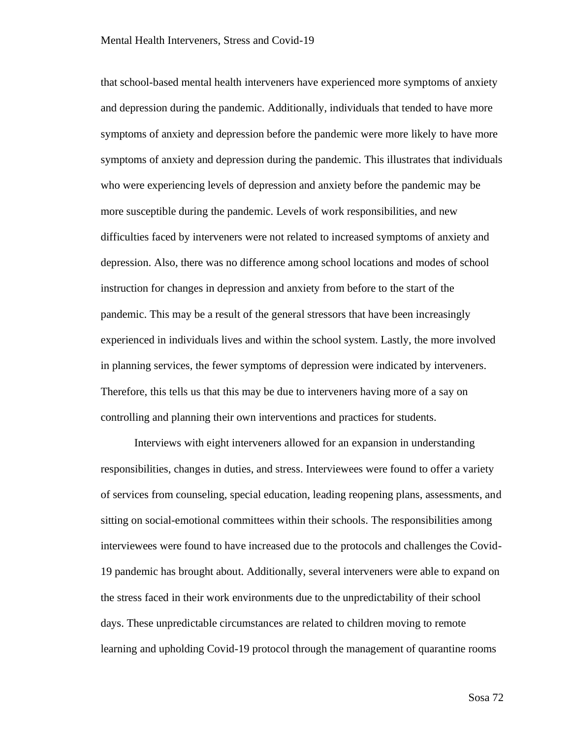that school-based mental health interveners have experienced more symptoms of anxiety and depression during the pandemic. Additionally, individuals that tended to have more symptoms of anxiety and depression before the pandemic were more likely to have more symptoms of anxiety and depression during the pandemic. This illustrates that individuals who were experiencing levels of depression and anxiety before the pandemic may be more susceptible during the pandemic. Levels of work responsibilities, and new difficulties faced by interveners were not related to increased symptoms of anxiety and depression. Also, there was no difference among school locations and modes of school instruction for changes in depression and anxiety from before to the start of the pandemic. This may be a result of the general stressors that have been increasingly experienced in individuals lives and within the school system. Lastly, the more involved in planning services, the fewer symptoms of depression were indicated by interveners. Therefore, this tells us that this may be due to interveners having more of a say on controlling and planning their own interventions and practices for students.

Interviews with eight interveners allowed for an expansion in understanding responsibilities, changes in duties, and stress. Interviewees were found to offer a variety of services from counseling, special education, leading reopening plans, assessments, and sitting on social-emotional committees within their schools. The responsibilities among interviewees were found to have increased due to the protocols and challenges the Covid-19 pandemic has brought about. Additionally, several interveners were able to expand on the stress faced in their work environments due to the unpredictability of their school days. These unpredictable circumstances are related to children moving to remote learning and upholding Covid-19 protocol through the management of quarantine rooms

Sosa 72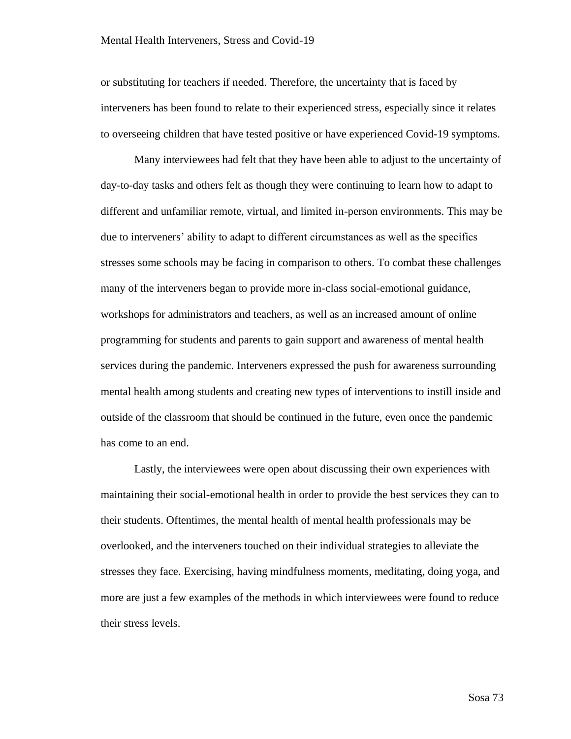or substituting for teachers if needed. Therefore, the uncertainty that is faced by interveners has been found to relate to their experienced stress, especially since it relates to overseeing children that have tested positive or have experienced Covid-19 symptoms.

Many interviewees had felt that they have been able to adjust to the uncertainty of day-to-day tasks and others felt as though they were continuing to learn how to adapt to different and unfamiliar remote, virtual, and limited in-person environments. This may be due to interveners' ability to adapt to different circumstances as well as the specifics stresses some schools may be facing in comparison to others. To combat these challenges many of the interveners began to provide more in-class social-emotional guidance, workshops for administrators and teachers, as well as an increased amount of online programming for students and parents to gain support and awareness of mental health services during the pandemic. Interveners expressed the push for awareness surrounding mental health among students and creating new types of interventions to instill inside and outside of the classroom that should be continued in the future, even once the pandemic has come to an end.

Lastly, the interviewees were open about discussing their own experiences with maintaining their social-emotional health in order to provide the best services they can to their students. Oftentimes, the mental health of mental health professionals may be overlooked, and the interveners touched on their individual strategies to alleviate the stresses they face. Exercising, having mindfulness moments, meditating, doing yoga, and more are just a few examples of the methods in which interviewees were found to reduce their stress levels.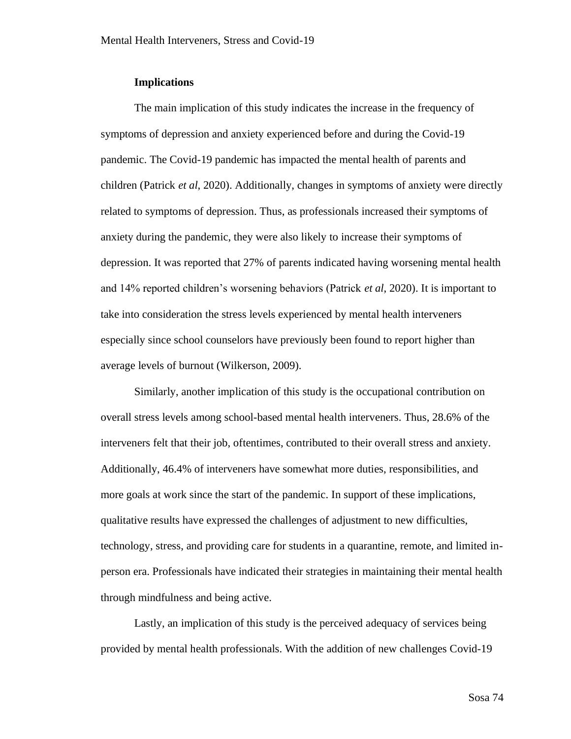### **Implications**

The main implication of this study indicates the increase in the frequency of symptoms of depression and anxiety experienced before and during the Covid-19 pandemic. The Covid-19 pandemic has impacted the mental health of parents and children (Patrick *et al*, 2020). Additionally, changes in symptoms of anxiety were directly related to symptoms of depression. Thus, as professionals increased their symptoms of anxiety during the pandemic, they were also likely to increase their symptoms of depression. It was reported that 27% of parents indicated having worsening mental health and 14% reported children's worsening behaviors (Patrick *et al*, 2020). It is important to take into consideration the stress levels experienced by mental health interveners especially since school counselors have previously been found to report higher than average levels of burnout (Wilkerson, 2009).

Similarly, another implication of this study is the occupational contribution on overall stress levels among school-based mental health interveners. Thus, 28.6% of the interveners felt that their job, oftentimes, contributed to their overall stress and anxiety. Additionally, 46.4% of interveners have somewhat more duties, responsibilities, and more goals at work since the start of the pandemic. In support of these implications, qualitative results have expressed the challenges of adjustment to new difficulties, technology, stress, and providing care for students in a quarantine, remote, and limited inperson era. Professionals have indicated their strategies in maintaining their mental health through mindfulness and being active.

Lastly, an implication of this study is the perceived adequacy of services being provided by mental health professionals. With the addition of new challenges Covid-19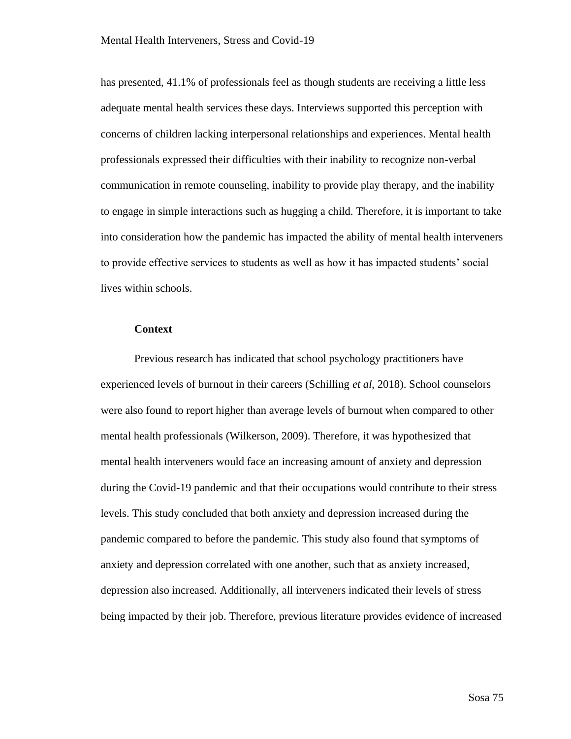has presented, 41.1% of professionals feel as though students are receiving a little less adequate mental health services these days. Interviews supported this perception with concerns of children lacking interpersonal relationships and experiences. Mental health professionals expressed their difficulties with their inability to recognize non-verbal communication in remote counseling, inability to provide play therapy, and the inability to engage in simple interactions such as hugging a child. Therefore, it is important to take into consideration how the pandemic has impacted the ability of mental health interveners to provide effective services to students as well as how it has impacted students' social lives within schools.

#### **Context**

Previous research has indicated that school psychology practitioners have experienced levels of burnout in their careers (Schilling *et al*, 2018). School counselors were also found to report higher than average levels of burnout when compared to other mental health professionals (Wilkerson, 2009). Therefore, it was hypothesized that mental health interveners would face an increasing amount of anxiety and depression during the Covid-19 pandemic and that their occupations would contribute to their stress levels. This study concluded that both anxiety and depression increased during the pandemic compared to before the pandemic. This study also found that symptoms of anxiety and depression correlated with one another, such that as anxiety increased, depression also increased. Additionally, all interveners indicated their levels of stress being impacted by their job. Therefore, previous literature provides evidence of increased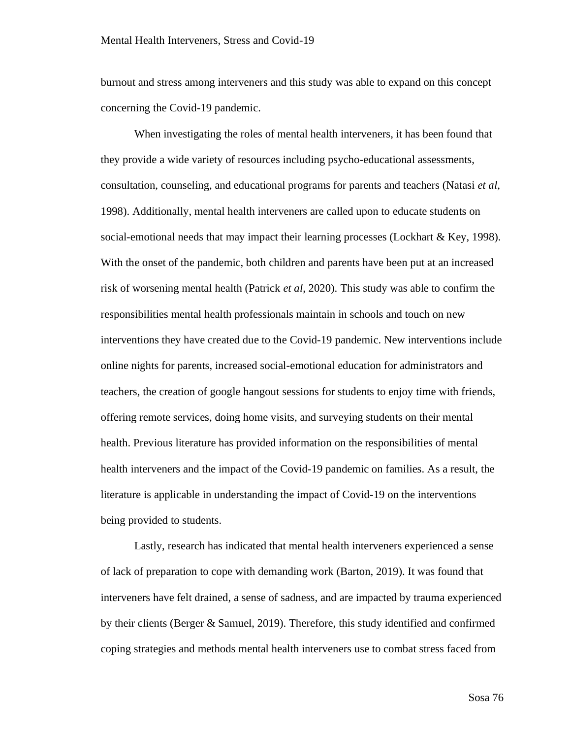burnout and stress among interveners and this study was able to expand on this concept concerning the Covid-19 pandemic.

When investigating the roles of mental health interveners, it has been found that they provide a wide variety of resources including psycho-educational assessments, consultation, counseling, and educational programs for parents and teachers (Natasi *et al*, 1998). Additionally, mental health interveners are called upon to educate students on social-emotional needs that may impact their learning processes (Lockhart & Key, 1998). With the onset of the pandemic, both children and parents have been put at an increased risk of worsening mental health (Patrick *et al*, 2020). This study was able to confirm the responsibilities mental health professionals maintain in schools and touch on new interventions they have created due to the Covid-19 pandemic. New interventions include online nights for parents, increased social-emotional education for administrators and teachers, the creation of google hangout sessions for students to enjoy time with friends, offering remote services, doing home visits, and surveying students on their mental health. Previous literature has provided information on the responsibilities of mental health interveners and the impact of the Covid-19 pandemic on families. As a result, the literature is applicable in understanding the impact of Covid-19 on the interventions being provided to students.

Lastly, research has indicated that mental health interveners experienced a sense of lack of preparation to cope with demanding work (Barton, 2019). It was found that interveners have felt drained, a sense of sadness, and are impacted by trauma experienced by their clients (Berger & Samuel, 2019). Therefore, this study identified and confirmed coping strategies and methods mental health interveners use to combat stress faced from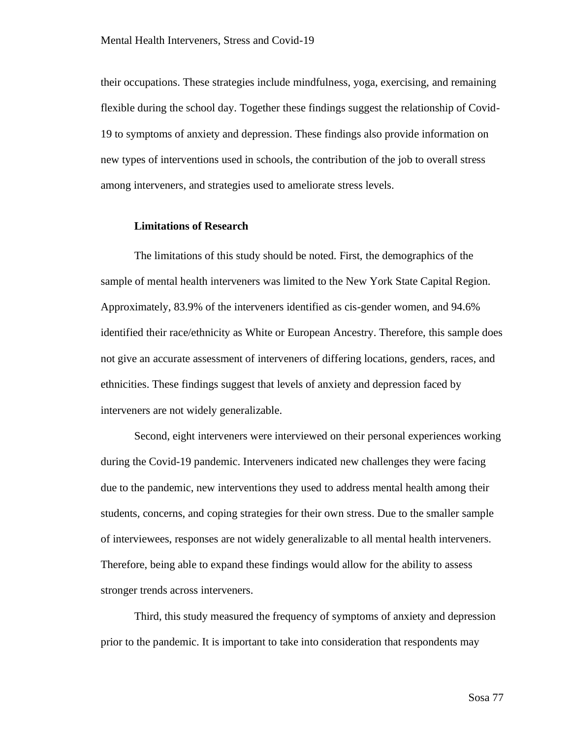their occupations. These strategies include mindfulness, yoga, exercising, and remaining flexible during the school day. Together these findings suggest the relationship of Covid-19 to symptoms of anxiety and depression. These findings also provide information on new types of interventions used in schools, the contribution of the job to overall stress among interveners, and strategies used to ameliorate stress levels.

### **Limitations of Research**

The limitations of this study should be noted. First, the demographics of the sample of mental health interveners was limited to the New York State Capital Region. Approximately, 83.9% of the interveners identified as cis-gender women, and 94.6% identified their race/ethnicity as White or European Ancestry. Therefore, this sample does not give an accurate assessment of interveners of differing locations, genders, races, and ethnicities. These findings suggest that levels of anxiety and depression faced by interveners are not widely generalizable.

Second, eight interveners were interviewed on their personal experiences working during the Covid-19 pandemic. Interveners indicated new challenges they were facing due to the pandemic, new interventions they used to address mental health among their students, concerns, and coping strategies for their own stress. Due to the smaller sample of interviewees, responses are not widely generalizable to all mental health interveners. Therefore, being able to expand these findings would allow for the ability to assess stronger trends across interveners.

Third, this study measured the frequency of symptoms of anxiety and depression prior to the pandemic. It is important to take into consideration that respondents may

Sosa 77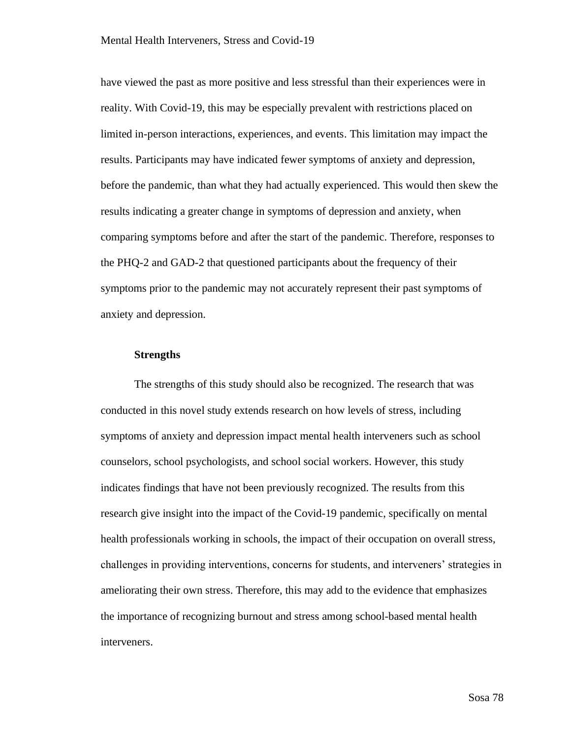have viewed the past as more positive and less stressful than their experiences were in reality. With Covid-19, this may be especially prevalent with restrictions placed on limited in-person interactions, experiences, and events. This limitation may impact the results. Participants may have indicated fewer symptoms of anxiety and depression, before the pandemic, than what they had actually experienced. This would then skew the results indicating a greater change in symptoms of depression and anxiety, when comparing symptoms before and after the start of the pandemic. Therefore, responses to the PHQ-2 and GAD-2 that questioned participants about the frequency of their symptoms prior to the pandemic may not accurately represent their past symptoms of anxiety and depression.

#### **Strengths**

The strengths of this study should also be recognized. The research that was conducted in this novel study extends research on how levels of stress, including symptoms of anxiety and depression impact mental health interveners such as school counselors, school psychologists, and school social workers. However, this study indicates findings that have not been previously recognized. The results from this research give insight into the impact of the Covid-19 pandemic, specifically on mental health professionals working in schools, the impact of their occupation on overall stress, challenges in providing interventions, concerns for students, and interveners' strategies in ameliorating their own stress. Therefore, this may add to the evidence that emphasizes the importance of recognizing burnout and stress among school-based mental health interveners.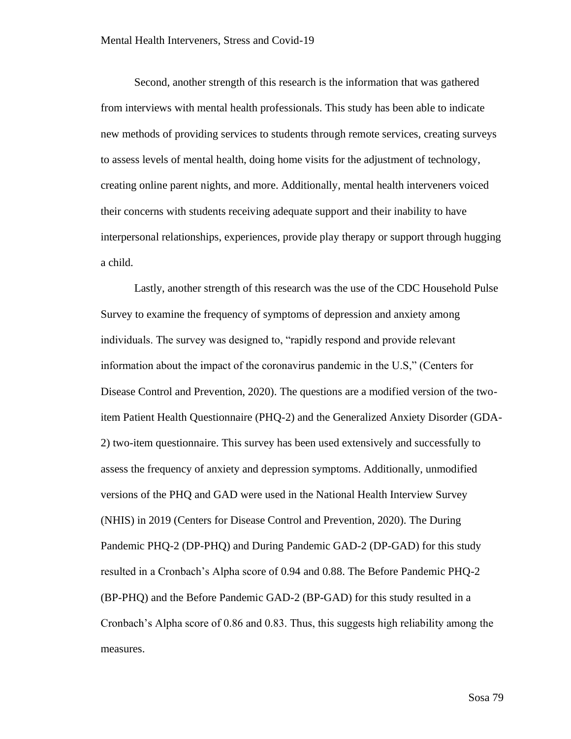Second, another strength of this research is the information that was gathered from interviews with mental health professionals. This study has been able to indicate new methods of providing services to students through remote services, creating surveys to assess levels of mental health, doing home visits for the adjustment of technology, creating online parent nights, and more. Additionally, mental health interveners voiced their concerns with students receiving adequate support and their inability to have interpersonal relationships, experiences, provide play therapy or support through hugging a child.

Lastly, another strength of this research was the use of the CDC Household Pulse Survey to examine the frequency of symptoms of depression and anxiety among individuals. The survey was designed to, "rapidly respond and provide relevant information about the impact of the coronavirus pandemic in the U.S," (Centers for Disease Control and Prevention, 2020). The questions are a modified version of the twoitem Patient Health Questionnaire (PHQ-2) and the Generalized Anxiety Disorder (GDA-2) two-item questionnaire. This survey has been used extensively and successfully to assess the frequency of anxiety and depression symptoms. Additionally, unmodified versions of the PHQ and GAD were used in the National Health Interview Survey (NHIS) in 2019 (Centers for Disease Control and Prevention, 2020). The During Pandemic PHQ-2 (DP-PHQ) and During Pandemic GAD-2 (DP-GAD) for this study resulted in a Cronbach's Alpha score of 0.94 and 0.88. The Before Pandemic PHQ-2 (BP-PHQ) and the Before Pandemic GAD-2 (BP-GAD) for this study resulted in a Cronbach's Alpha score of 0.86 and 0.83. Thus, this suggests high reliability among the measures.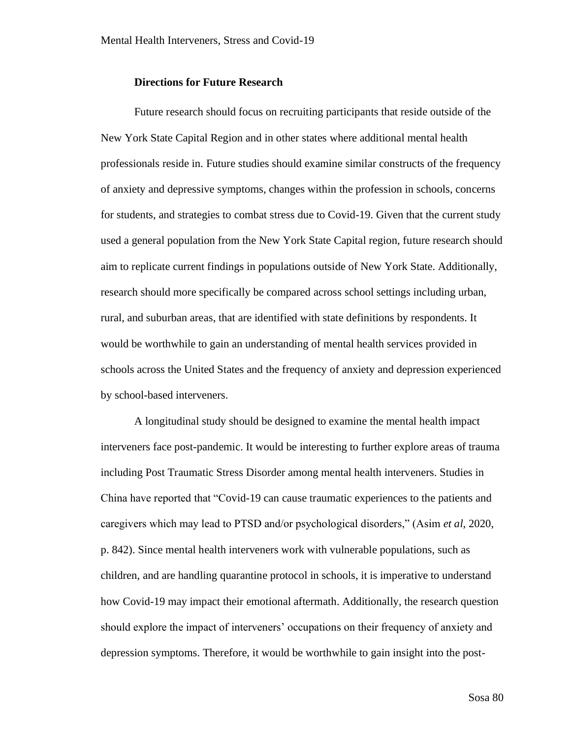### **Directions for Future Research**

Future research should focus on recruiting participants that reside outside of the New York State Capital Region and in other states where additional mental health professionals reside in. Future studies should examine similar constructs of the frequency of anxiety and depressive symptoms, changes within the profession in schools, concerns for students, and strategies to combat stress due to Covid-19. Given that the current study used a general population from the New York State Capital region, future research should aim to replicate current findings in populations outside of New York State. Additionally, research should more specifically be compared across school settings including urban, rural, and suburban areas, that are identified with state definitions by respondents. It would be worthwhile to gain an understanding of mental health services provided in schools across the United States and the frequency of anxiety and depression experienced by school-based interveners.

A longitudinal study should be designed to examine the mental health impact interveners face post-pandemic. It would be interesting to further explore areas of trauma including Post Traumatic Stress Disorder among mental health interveners. Studies in China have reported that "Covid-19 can cause traumatic experiences to the patients and caregivers which may lead to PTSD and/or psychological disorders," (Asim *et al*, 2020, p. 842). Since mental health interveners work with vulnerable populations, such as children, and are handling quarantine protocol in schools, it is imperative to understand how Covid-19 may impact their emotional aftermath. Additionally, the research question should explore the impact of interveners' occupations on their frequency of anxiety and depression symptoms. Therefore, it would be worthwhile to gain insight into the post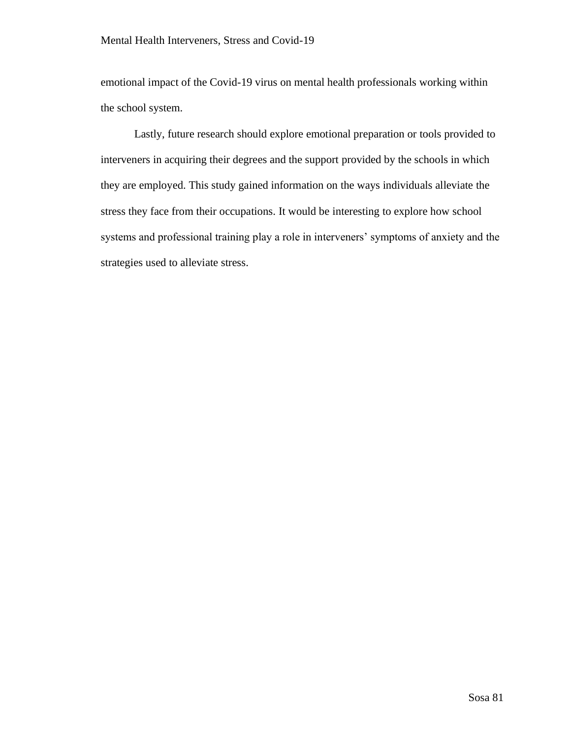emotional impact of the Covid-19 virus on mental health professionals working within the school system.

Lastly, future research should explore emotional preparation or tools provided to interveners in acquiring their degrees and the support provided by the schools in which they are employed. This study gained information on the ways individuals alleviate the stress they face from their occupations. It would be interesting to explore how school systems and professional training play a role in interveners' symptoms of anxiety and the strategies used to alleviate stress.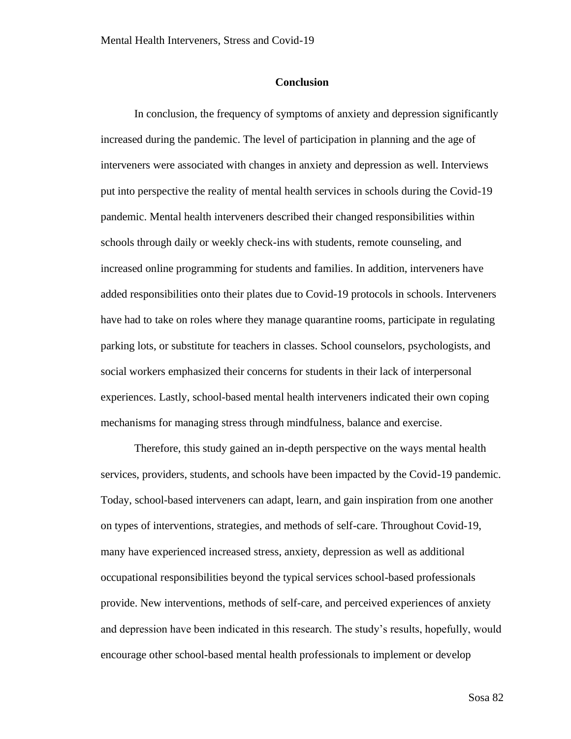### **Conclusion**

In conclusion, the frequency of symptoms of anxiety and depression significantly increased during the pandemic. The level of participation in planning and the age of interveners were associated with changes in anxiety and depression as well. Interviews put into perspective the reality of mental health services in schools during the Covid-19 pandemic. Mental health interveners described their changed responsibilities within schools through daily or weekly check-ins with students, remote counseling, and increased online programming for students and families. In addition, interveners have added responsibilities onto their plates due to Covid-19 protocols in schools. Interveners have had to take on roles where they manage quarantine rooms, participate in regulating parking lots, or substitute for teachers in classes. School counselors, psychologists, and social workers emphasized their concerns for students in their lack of interpersonal experiences. Lastly, school-based mental health interveners indicated their own coping mechanisms for managing stress through mindfulness, balance and exercise.

Therefore, this study gained an in-depth perspective on the ways mental health services, providers, students, and schools have been impacted by the Covid-19 pandemic. Today, school-based interveners can adapt, learn, and gain inspiration from one another on types of interventions, strategies, and methods of self-care. Throughout Covid-19, many have experienced increased stress, anxiety, depression as well as additional occupational responsibilities beyond the typical services school-based professionals provide. New interventions, methods of self-care, and perceived experiences of anxiety and depression have been indicated in this research. The study's results, hopefully, would encourage other school-based mental health professionals to implement or develop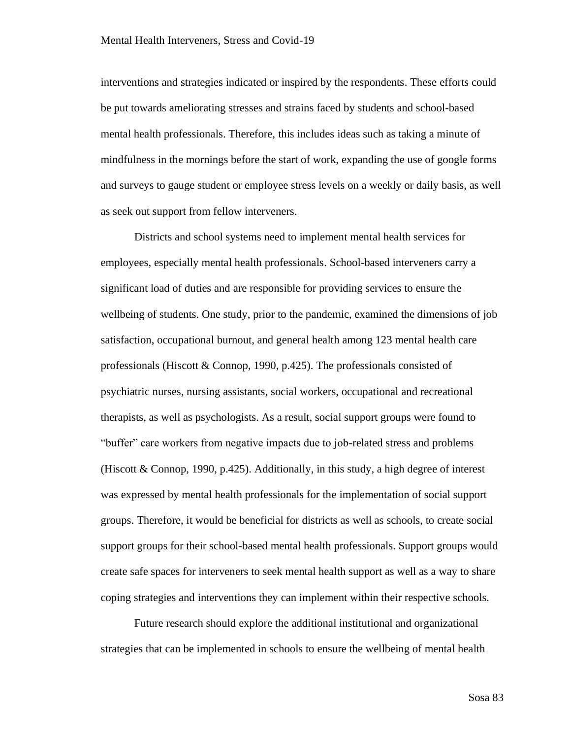interventions and strategies indicated or inspired by the respondents. These efforts could be put towards ameliorating stresses and strains faced by students and school-based mental health professionals. Therefore, this includes ideas such as taking a minute of mindfulness in the mornings before the start of work, expanding the use of google forms and surveys to gauge student or employee stress levels on a weekly or daily basis, as well as seek out support from fellow interveners.

Districts and school systems need to implement mental health services for employees, especially mental health professionals. School-based interveners carry a significant load of duties and are responsible for providing services to ensure the wellbeing of students. One study, prior to the pandemic, examined the dimensions of job satisfaction, occupational burnout, and general health among 123 mental health care professionals (Hiscott & Connop, 1990, p.425). The professionals consisted of psychiatric nurses, nursing assistants, social workers, occupational and recreational therapists, as well as psychologists. As a result, social support groups were found to "buffer" care workers from negative impacts due to job-related stress and problems (Hiscott & Connop, 1990, p.425). Additionally, in this study, a high degree of interest was expressed by mental health professionals for the implementation of social support groups. Therefore, it would be beneficial for districts as well as schools, to create social support groups for their school-based mental health professionals. Support groups would create safe spaces for interveners to seek mental health support as well as a way to share coping strategies and interventions they can implement within their respective schools.

Future research should explore the additional institutional and organizational strategies that can be implemented in schools to ensure the wellbeing of mental health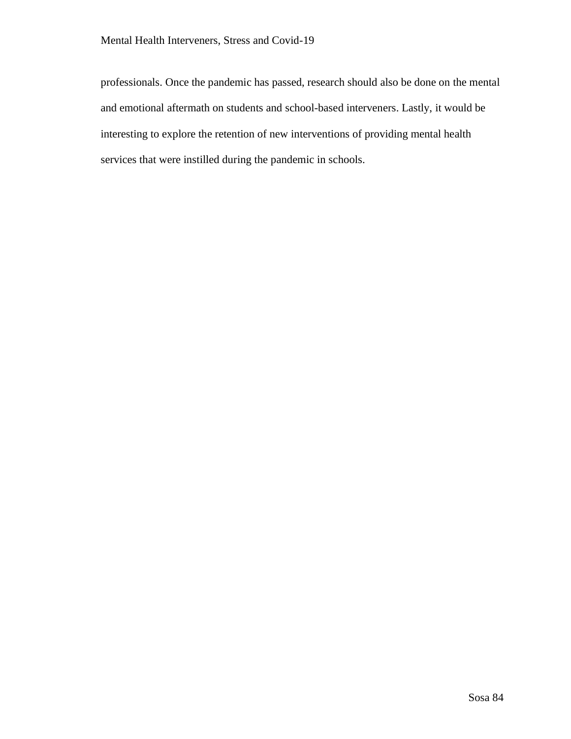professionals. Once the pandemic has passed, research should also be done on the mental and emotional aftermath on students and school-based interveners. Lastly, it would be interesting to explore the retention of new interventions of providing mental health services that were instilled during the pandemic in schools.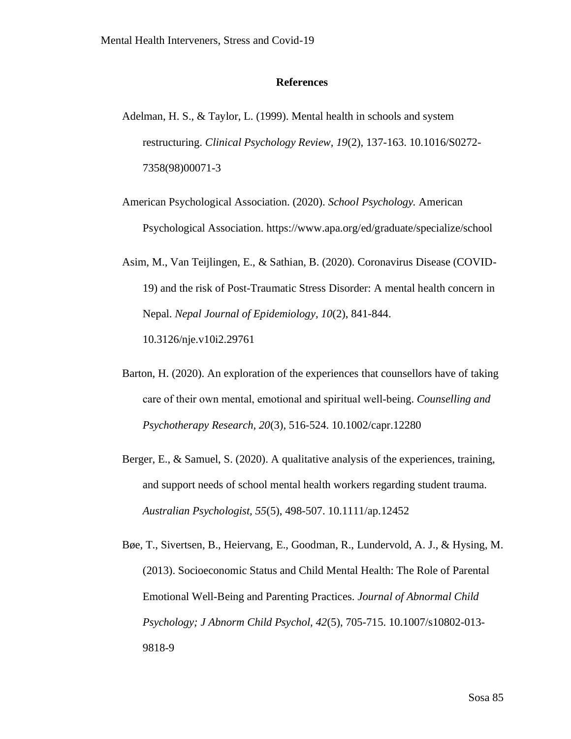### **References**

- Adelman, H. S., & Taylor, L. (1999). Mental health in schools and system restructuring. *Clinical Psychology Review, 19*(2), 137-163. 10.1016/S0272- 7358(98)00071-3
- American Psychological Association. (2020). *School Psychology.* American Psychological Association.<https://www.apa.org/ed/graduate/specialize/school>
- Asim, M., Van Teijlingen, E., & Sathian, B. (2020). Coronavirus Disease (COVID-19) and the risk of Post-Traumatic Stress Disorder: A mental health concern in Nepal. *Nepal Journal of Epidemiology, 10*(2), 841-844. 10.3126/nje.v10i2.29761
- Barton, H. (2020). An exploration of the experiences that counsellors have of taking care of their own mental, emotional and spiritual well‐being. *Counselling and Psychotherapy Research, 20*(3), 516-524. 10.1002/capr.12280
- Berger, E., & Samuel, S. (2020). A qualitative analysis of the experiences, training, and support needs of school mental health workers regarding student trauma. *Australian Psychologist, 55*(5), 498-507. 10.1111/ap.12452
- Bøe, T., Sivertsen, B., Heiervang, E., Goodman, R., Lundervold, A. J., & Hysing, M. (2013). Socioeconomic Status and Child Mental Health: The Role of Parental Emotional Well-Being and Parenting Practices. *Journal of Abnormal Child Psychology; J Abnorm Child Psychol, 42*(5), 705-715. 10.1007/s10802-013- 9818-9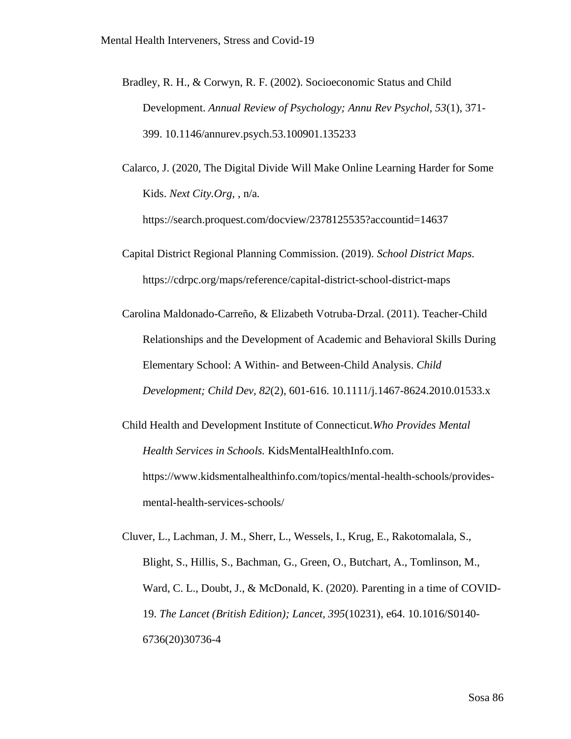- Bradley, R. H., & Corwyn, R. F. (2002). Socioeconomic Status and Child Development. *Annual Review of Psychology; Annu Rev Psychol, 53*(1), 371- 399. 10.1146/annurev.psych.53.100901.135233
- Calarco, J. (2020, The Digital Divide Will Make Online Learning Harder for Some Kids. *Next City.Org,* , n/a.

<https://search.proquest.com/docview/2378125535?accountid=14637>

- Capital District Regional Planning Commission. (2019). *School District Maps.*  <https://cdrpc.org/maps/reference/capital-district-school-district-maps>
- Carolina Maldonado-Carreño, & Elizabeth Votruba-Drzal. (2011). Teacher-Child Relationships and the Development of Academic and Behavioral Skills During Elementary School: A Within- and Between-Child Analysis. *Child Development; Child Dev, 82*(2), 601-616. 10.1111/j.1467-8624.2010.01533.x
- Child Health and Development Institute of Connecticut.*Who Provides Mental Health Services in Schools.* KidsMentalHealthInfo.com. [https://www.kidsmentalhealthinfo.com/topics/mental-health-schools/provides](https://www.kidsmentalhealthinfo.com/topics/mental-health-schools/provides-mental-health-services-schools/)[mental-health-services-schools/](https://www.kidsmentalhealthinfo.com/topics/mental-health-schools/provides-mental-health-services-schools/)

Cluver, L., Lachman, J. M., Sherr, L., Wessels, I., Krug, E., Rakotomalala, S., Blight, S., Hillis, S., Bachman, G., Green, O., Butchart, A., Tomlinson, M., Ward, C. L., Doubt, J., & McDonald, K. (2020). Parenting in a time of COVID-19. *The Lancet (British Edition); Lancet, 395*(10231), e64. 10.1016/S0140- 6736(20)30736-4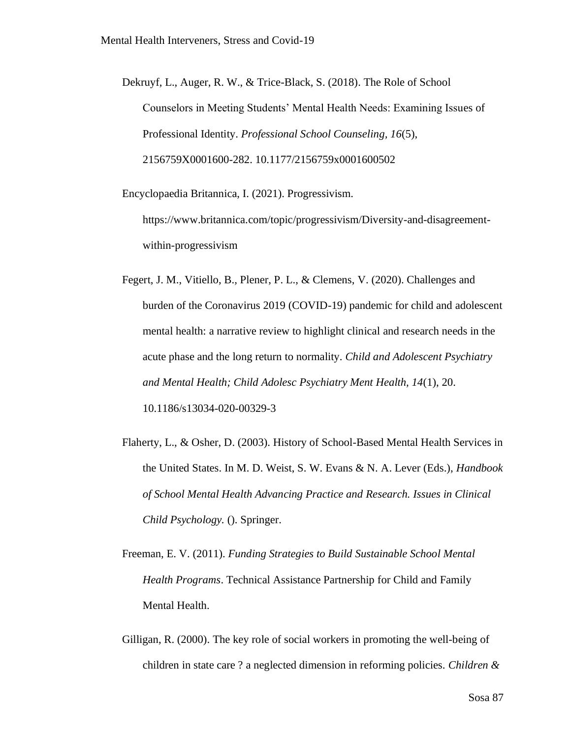Dekruyf, L., Auger, R. W., & Trice-Black, S. (2018). The Role of School Counselors in Meeting Students' Mental Health Needs: Examining Issues of Professional Identity. *Professional School Counseling, 16*(5), 2156759X0001600-282. 10.1177/2156759x0001600502

Encyclopaedia Britannica, I. (2021). Progressivism. [https://www.britannica.com/topic/progressivism/Diversity-and-disagreement](https://www.britannica.com/topic/progressivism/Diversity-and-disagreement-within-progressivism)[within-progressivism](https://www.britannica.com/topic/progressivism/Diversity-and-disagreement-within-progressivism)

- Fegert, J. M., Vitiello, B., Plener, P. L., & Clemens, V. (2020). Challenges and burden of the Coronavirus 2019 (COVID-19) pandemic for child and adolescent mental health: a narrative review to highlight clinical and research needs in the acute phase and the long return to normality. *Child and Adolescent Psychiatry and Mental Health; Child Adolesc Psychiatry Ment Health, 14*(1), 20. 10.1186/s13034-020-00329-3
- Flaherty, L., & Osher, D. (2003). History of School-Based Mental Health Services in the United States. In M. D. Weist, S. W. Evans & N. A. Lever (Eds.), *Handbook of School Mental Health Advancing Practice and Research. Issues in Clinical Child Psychology.* (). Springer.
- Freeman, E. V. (2011). *Funding Strategies to Build Sustainable School Mental Health Programs*. Technical Assistance Partnership for Child and Family Mental Health.
- Gilligan, R. (2000). The key role of social workers in promoting the well-being of children in state care ? a neglected dimension in reforming policies. *Children &*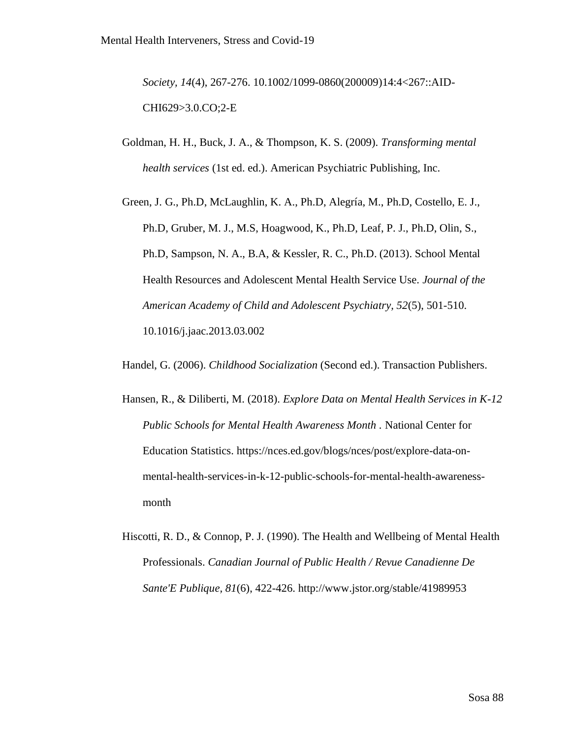*Society, 14*(4), 267-276. 10.1002/1099-0860(200009)14:4<267::AID-CHI629>3.0.CO;2-E

- Goldman, H. H., Buck, J. A., & Thompson, K. S. (2009). *Transforming mental health services* (1st ed. ed.). American Psychiatric Publishing, Inc.
- Green, J. G., Ph.D, McLaughlin, K. A., Ph.D, Alegría, M., Ph.D, Costello, E. J., Ph.D, Gruber, M. J., M.S, Hoagwood, K., Ph.D, Leaf, P. J., Ph.D, Olin, S., Ph.D, Sampson, N. A., B.A, & Kessler, R. C., Ph.D. (2013). School Mental Health Resources and Adolescent Mental Health Service Use. *Journal of the American Academy of Child and Adolescent Psychiatry, 52*(5), 501-510. 10.1016/j.jaac.2013.03.002
- Handel, G. (2006). *Childhood Socialization* (Second ed.). Transaction Publishers.
- Hansen, R., & Diliberti, M. (2018). *Explore Data on Mental Health Services in K-12 Public Schools for Mental Health Awareness Month .* National Center for Education Statistics. [https://nces.ed.gov/blogs/nces/post/explore-data-on](https://nces.ed.gov/blogs/nces/post/explore-data-on-mental-health-services-in-k-12-public-schools-for-mental-health-awareness-month)[mental-health-services-in-k-12-public-schools-for-mental-health-awareness](https://nces.ed.gov/blogs/nces/post/explore-data-on-mental-health-services-in-k-12-public-schools-for-mental-health-awareness-month)[month](https://nces.ed.gov/blogs/nces/post/explore-data-on-mental-health-services-in-k-12-public-schools-for-mental-health-awareness-month)
- Hiscotti, R. D., & Connop, P. J. (1990). The Health and Wellbeing of Mental Health Professionals. *Canadian Journal of Public Health / Revue Canadienne De Sante'E Publique, 81*(6), 422-426.<http://www.jstor.org/stable/41989953>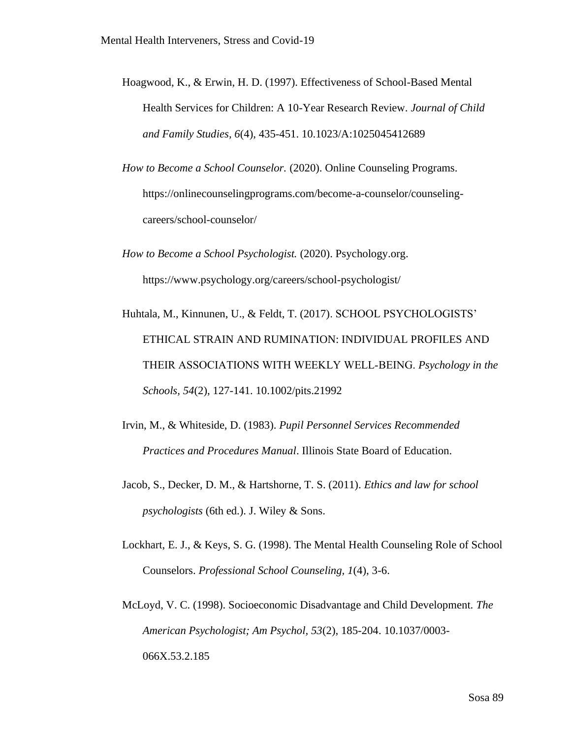- Hoagwood, K., & Erwin, H. D. (1997). Effectiveness of School-Based Mental Health Services for Children: A 10-Year Research Review. *Journal of Child and Family Studies, 6*(4), 435-451. 10.1023/A:1025045412689
- *How to Become a School Counselor.* (2020). Online Counseling Programs. [https://onlinecounselingprograms.com/become-a-counselor/counseling](https://onlinecounselingprograms.com/become-a-counselor/counseling-careers/school-counselor/)[careers/school-counselor/](https://onlinecounselingprograms.com/become-a-counselor/counseling-careers/school-counselor/)
- *How to Become a School Psychologist.* (2020). Psychology.org. <https://www.psychology.org/careers/school-psychologist/>
- Huhtala, M., Kinnunen, U., & Feldt, T. (2017). SCHOOL PSYCHOLOGISTS' ETHICAL STRAIN AND RUMINATION: INDIVIDUAL PROFILES AND THEIR ASSOCIATIONS WITH WEEKLY WELL‐BEING. *Psychology in the Schools, 54*(2), 127-141. 10.1002/pits.21992
- Irvin, M., & Whiteside, D. (1983). *Pupil Personnel Services Recommended Practices and Procedures Manual*. Illinois State Board of Education.
- Jacob, S., Decker, D. M., & Hartshorne, T. S. (2011). *Ethics and law for school psychologists* (6th ed.). J. Wiley & Sons.
- Lockhart, E. J., & Keys, S. G. (1998). The Mental Health Counseling Role of School Counselors. *Professional School Counseling, 1*(4), 3-6.
- McLoyd, V. C. (1998). Socioeconomic Disadvantage and Child Development. *The American Psychologist; Am Psychol, 53*(2), 185-204. 10.1037/0003- 066X.53.2.185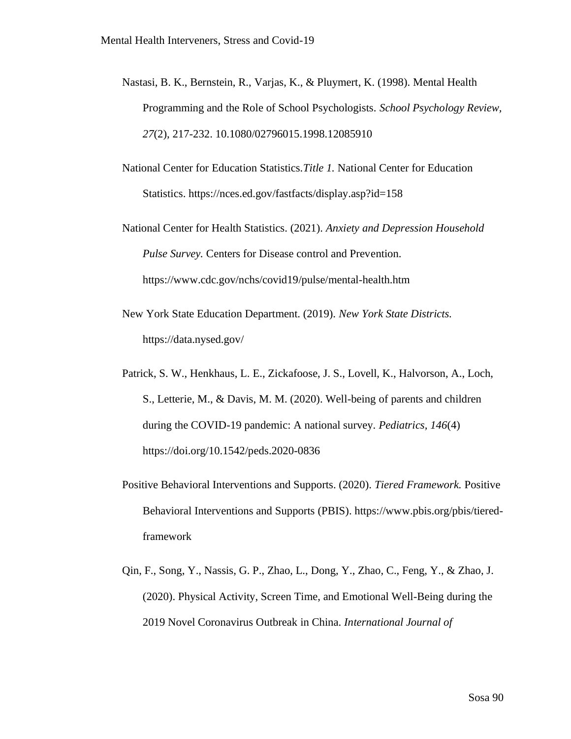- Nastasi, B. K., Bernstein, R., Varjas, K., & Pluymert, K. (1998). Mental Health Programming and the Role of School Psychologists. *School Psychology Review, 27*(2), 217-232. 10.1080/02796015.1998.12085910
- National Center for Education Statistics.*Title 1.* National Center for Education Statistics.<https://nces.ed.gov/fastfacts/display.asp?id=158>
- National Center for Health Statistics. (2021). *Anxiety and Depression Household Pulse Survey.* Centers for Disease control and Prevention. <https://www.cdc.gov/nchs/covid19/pulse/mental-health.htm>
- New York State Education Department. (2019). *New York State Districts.*  <https://data.nysed.gov/>
- Patrick, S. W., Henkhaus, L. E., Zickafoose, J. S., Lovell, K., Halvorson, A., Loch, S., Letterie, M., & Davis, M. M. (2020). Well-being of parents and children during the COVID-19 pandemic: A national survey. *Pediatrics, 146*(4) <https://doi.org/10.1542/peds.2020-0836>
- Positive Behavioral Interventions and Supports. (2020). *Tiered Framework.* Positive Behavioral Interventions and Supports (PBIS). [https://www.pbis.org/pbis/tiered](https://www.pbis.org/pbis/tiered-framework)[framework](https://www.pbis.org/pbis/tiered-framework)
- Qin, F., Song, Y., Nassis, G. P., Zhao, L., Dong, Y., Zhao, C., Feng, Y., & Zhao, J. (2020). Physical Activity, Screen Time, and Emotional Well-Being during the 2019 Novel Coronavirus Outbreak in China. *International Journal of*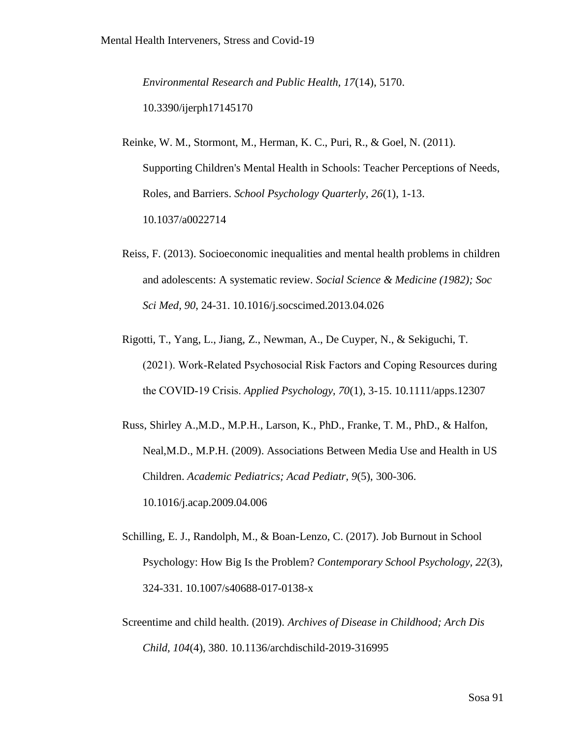*Environmental Research and Public Health, 17*(14), 5170. 10.3390/ijerph17145170

Reinke, W. M., Stormont, M., Herman, K. C., Puri, R., & Goel, N. (2011). Supporting Children's Mental Health in Schools: Teacher Perceptions of Needs, Roles, and Barriers. *School Psychology Quarterly, 26*(1), 1-13. 10.1037/a0022714

- Reiss, F. (2013). Socioeconomic inequalities and mental health problems in children and adolescents: A systematic review. *Social Science & Medicine (1982); Soc Sci Med, 90*, 24-31. 10.1016/j.socscimed.2013.04.026
- Rigotti, T., Yang, L., Jiang, Z., Newman, A., De Cuyper, N., & Sekiguchi, T. (2021). Work‐Related Psychosocial Risk Factors and Coping Resources during the COVID‐19 Crisis. *Applied Psychology, 70*(1), 3-15. 10.1111/apps.12307
- Russ, Shirley A.,M.D., M.P.H., Larson, K., PhD., Franke, T. M., PhD., & Halfon, Neal,M.D., M.P.H. (2009). Associations Between Media Use and Health in US Children. *Academic Pediatrics; Acad Pediatr, 9*(5), 300-306. 10.1016/j.acap.2009.04.006
- Schilling, E. J., Randolph, M., & Boan-Lenzo, C. (2017). Job Burnout in School Psychology: How Big Is the Problem? *Contemporary School Psychology, 22*(3), 324-331. 10.1007/s40688-017-0138-x
- Screentime and child health. (2019). *Archives of Disease in Childhood; Arch Dis Child, 104*(4), 380. 10.1136/archdischild-2019-316995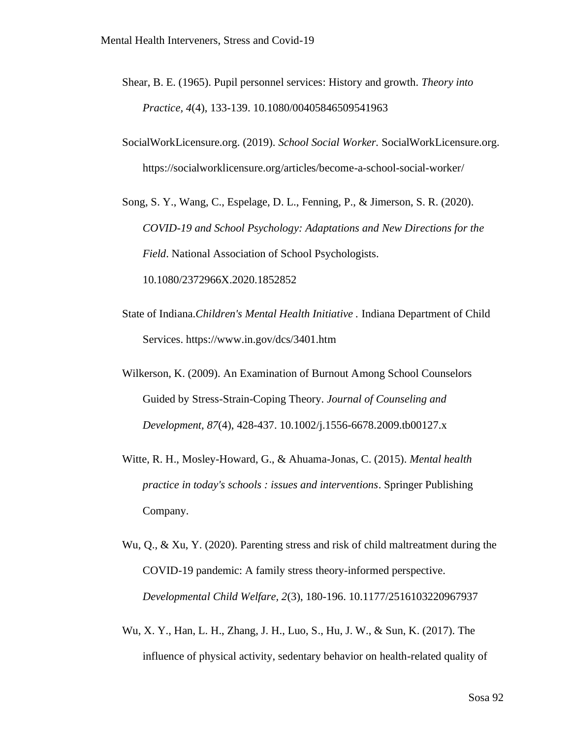- Shear, B. E. (1965). Pupil personnel services: History and growth. *Theory into Practice, 4*(4), 133-139. 10.1080/00405846509541963
- SocialWorkLicensure.org. (2019). *School Social Worker.* SocialWorkLicensure.org. <https://socialworklicensure.org/articles/become-a-school-social-worker/>
- Song, S. Y., Wang, C., Espelage, D. L., Fenning, P., & Jimerson, S. R. (2020). *COVID-19 and School Psychology: Adaptations and New Directions for the Field*. National Association of School Psychologists. 10.1080/2372966X.2020.1852852
- State of Indiana.*Children's Mental Health Initiative .* Indiana Department of Child Services.<https://www.in.gov/dcs/3401.htm>
- Wilkerson, K. (2009). An Examination of Burnout Among School Counselors Guided by Stress-Strain-Coping Theory. *Journal of Counseling and Development, 87*(4), 428-437. 10.1002/j.1556-6678.2009.tb00127.x
- Witte, R. H., Mosley-Howard, G., & Ahuama-Jonas, C. (2015). *Mental health practice in today's schools : issues and interventions*. Springer Publishing Company.
- Wu, Q., & Xu, Y. (2020). Parenting stress and risk of child maltreatment during the COVID-19 pandemic: A family stress theory-informed perspective. *Developmental Child Welfare, 2*(3), 180-196. 10.1177/2516103220967937
- Wu, X. Y., Han, L. H., Zhang, J. H., Luo, S., Hu, J. W., & Sun, K. (2017). The influence of physical activity, sedentary behavior on health-related quality of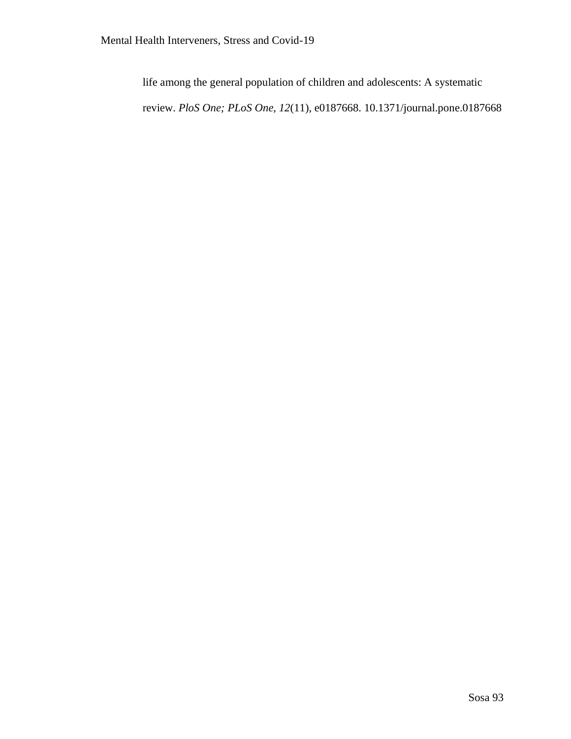life among the general population of children and adolescents: A systematic review. *PloS One; PLoS One, 12*(11), e0187668. 10.1371/journal.pone.0187668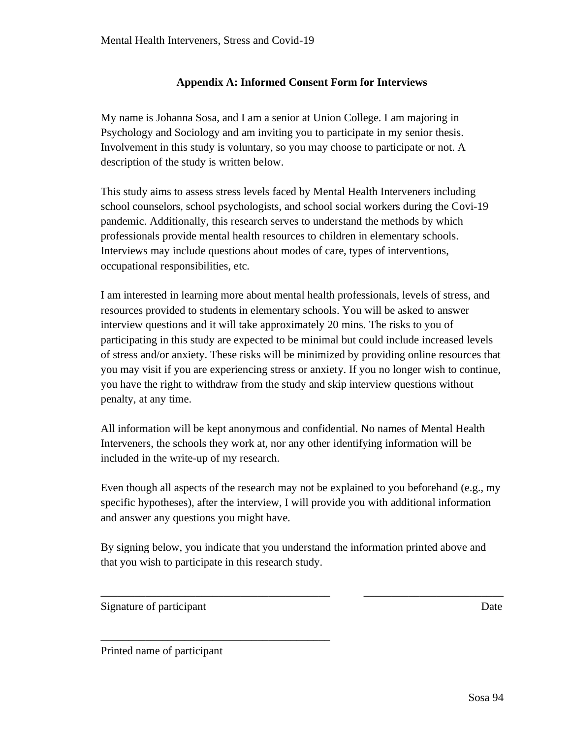# **Appendix A: Informed Consent Form for Interviews**

My name is Johanna Sosa, and I am a senior at Union College. I am majoring in Psychology and Sociology and am inviting you to participate in my senior thesis. Involvement in this study is voluntary, so you may choose to participate or not. A description of the study is written below.

This study aims to assess stress levels faced by Mental Health Interveners including school counselors, school psychologists, and school social workers during the Covi-19 pandemic. Additionally, this research serves to understand the methods by which professionals provide mental health resources to children in elementary schools. Interviews may include questions about modes of care, types of interventions, occupational responsibilities, etc.

I am interested in learning more about mental health professionals, levels of stress, and resources provided to students in elementary schools. You will be asked to answer interview questions and it will take approximately 20 mins. The risks to you of participating in this study are expected to be minimal but could include increased levels of stress and/or anxiety. These risks will be minimized by providing online resources that you may visit if you are experiencing stress or anxiety. If you no longer wish to continue, you have the right to withdraw from the study and skip interview questions without penalty, at any time.

All information will be kept anonymous and confidential. No names of Mental Health Interveners, the schools they work at, nor any other identifying information will be included in the write-up of my research.

Even though all aspects of the research may not be explained to you beforehand (e.g., my specific hypotheses), after the interview, I will provide you with additional information and answer any questions you might have.

By signing below, you indicate that you understand the information printed above and that you wish to participate in this research study.

\_\_\_\_\_\_\_\_\_\_\_\_\_\_\_\_\_\_\_\_\_\_\_\_\_\_\_\_\_\_\_\_\_\_\_\_\_\_\_\_\_ \_\_\_\_\_\_\_\_\_\_\_\_\_\_\_\_\_\_\_\_\_\_\_\_\_

Signature of participant Date

Printed name of participant

\_\_\_\_\_\_\_\_\_\_\_\_\_\_\_\_\_\_\_\_\_\_\_\_\_\_\_\_\_\_\_\_\_\_\_\_\_\_\_\_\_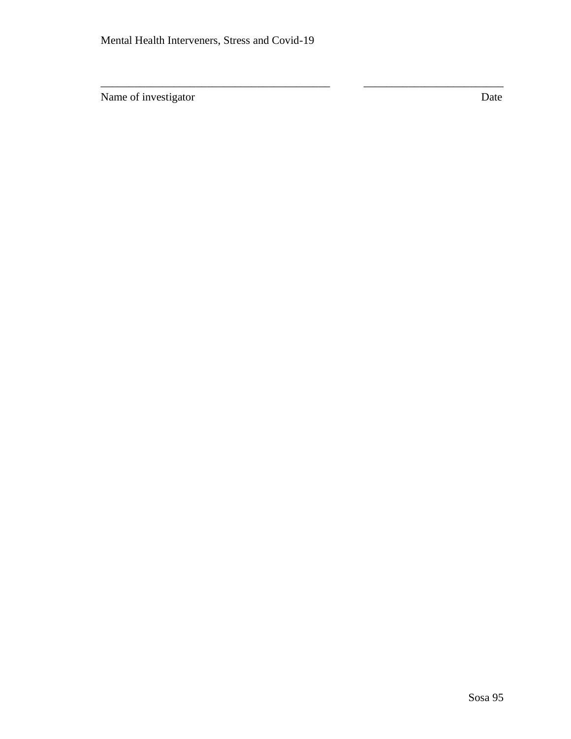\_\_\_\_\_\_\_\_\_\_\_\_\_\_\_\_\_\_\_\_\_\_\_\_\_\_\_\_\_\_\_\_\_\_\_\_\_\_\_\_\_ \_\_\_\_\_\_\_\_\_\_\_\_\_\_\_\_\_\_\_\_\_\_\_\_\_

Name of investigator Date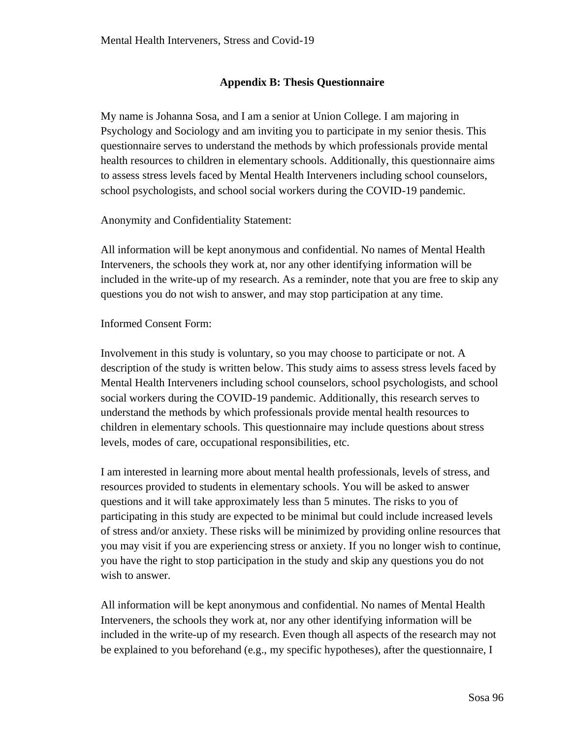# **Appendix B: Thesis Questionnaire**

My name is Johanna Sosa, and I am a senior at Union College. I am majoring in Psychology and Sociology and am inviting you to participate in my senior thesis. This questionnaire serves to understand the methods by which professionals provide mental health resources to children in elementary schools. Additionally, this questionnaire aims to assess stress levels faced by Mental Health Interveners including school counselors, school psychologists, and school social workers during the COVID-19 pandemic.

Anonymity and Confidentiality Statement:

All information will be kept anonymous and confidential. No names of Mental Health Interveners, the schools they work at, nor any other identifying information will be included in the write-up of my research. As a reminder, note that you are free to skip any questions you do not wish to answer, and may stop participation at any time.

Informed Consent Form:

Involvement in this study is voluntary, so you may choose to participate or not. A description of the study is written below. This study aims to assess stress levels faced by Mental Health Interveners including school counselors, school psychologists, and school social workers during the COVID-19 pandemic. Additionally, this research serves to understand the methods by which professionals provide mental health resources to children in elementary schools. This questionnaire may include questions about stress levels, modes of care, occupational responsibilities, etc.

I am interested in learning more about mental health professionals, levels of stress, and resources provided to students in elementary schools. You will be asked to answer questions and it will take approximately less than 5 minutes. The risks to you of participating in this study are expected to be minimal but could include increased levels of stress and/or anxiety. These risks will be minimized by providing online resources that you may visit if you are experiencing stress or anxiety. If you no longer wish to continue, you have the right to stop participation in the study and skip any questions you do not wish to answer.

All information will be kept anonymous and confidential. No names of Mental Health Interveners, the schools they work at, nor any other identifying information will be included in the write-up of my research. Even though all aspects of the research may not be explained to you beforehand (e.g., my specific hypotheses), after the questionnaire, I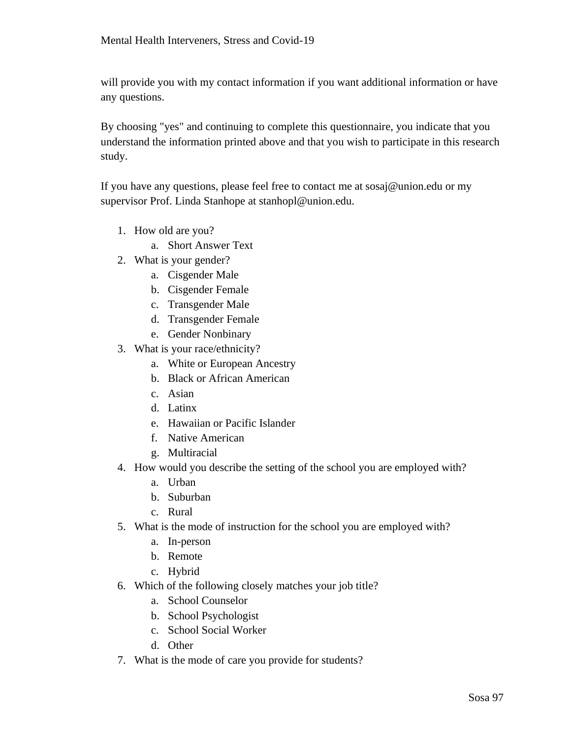will provide you with my contact information if you want additional information or have any questions.

By choosing "yes" and continuing to complete this questionnaire, you indicate that you understand the information printed above and that you wish to participate in this research study.

If you have any questions, please feel free to contact me at sosaj@union.edu or my supervisor Prof. Linda Stanhope at stanhopl@union.edu.

- 1. How old are you?
	- a. Short Answer Text
- 2. What is your gender?
	- a. Cisgender Male
	- b. Cisgender Female
	- c. Transgender Male
	- d. Transgender Female
	- e. Gender Nonbinary
- 3. What is your race/ethnicity?
	- a. White or European Ancestry
	- b. Black or African American
	- c. Asian
	- d. Latinx
	- e. Hawaiian or Pacific Islander
	- f. Native American
	- g. Multiracial
- 4. How would you describe the setting of the school you are employed with?
	- a. Urban
	- b. Suburban
	- c. Rural
- 5. What is the mode of instruction for the school you are employed with?
	- a. In-person
	- b. Remote
	- c. Hybrid
- 6. Which of the following closely matches your job title?
	- a. School Counselor
	- b. School Psychologist
	- c. School Social Worker
	- d. Other
- 7. What is the mode of care you provide for students?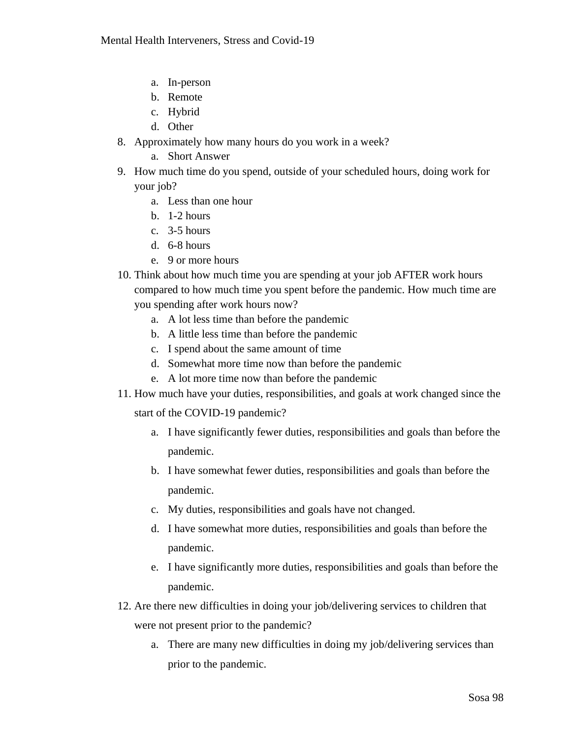- a. In-person
- b. Remote
- c. Hybrid
- d. Other
- 8. Approximately how many hours do you work in a week?
	- a. Short Answer
- 9. How much time do you spend, outside of your scheduled hours, doing work for your job?
	- a. Less than one hour
	- b. 1-2 hours
	- c. 3-5 hours
	- d. 6-8 hours
	- e. 9 or more hours
- 10. Think about how much time you are spending at your job AFTER work hours compared to how much time you spent before the pandemic. How much time are you spending after work hours now?
	- a. A lot less time than before the pandemic
	- b. A little less time than before the pandemic
	- c. I spend about the same amount of time
	- d. Somewhat more time now than before the pandemic
	- e. A lot more time now than before the pandemic
- 11. How much have your duties, responsibilities, and goals at work changed since the

start of the COVID-19 pandemic?

- a. I have significantly fewer duties, responsibilities and goals than before the pandemic.
- b. I have somewhat fewer duties, responsibilities and goals than before the pandemic.
- c. My duties, responsibilities and goals have not changed.
- d. I have somewhat more duties, responsibilities and goals than before the pandemic.
- e. I have significantly more duties, responsibilities and goals than before the pandemic.
- 12. Are there new difficulties in doing your job/delivering services to children that were not present prior to the pandemic?
	- a. There are many new difficulties in doing my job/delivering services than prior to the pandemic.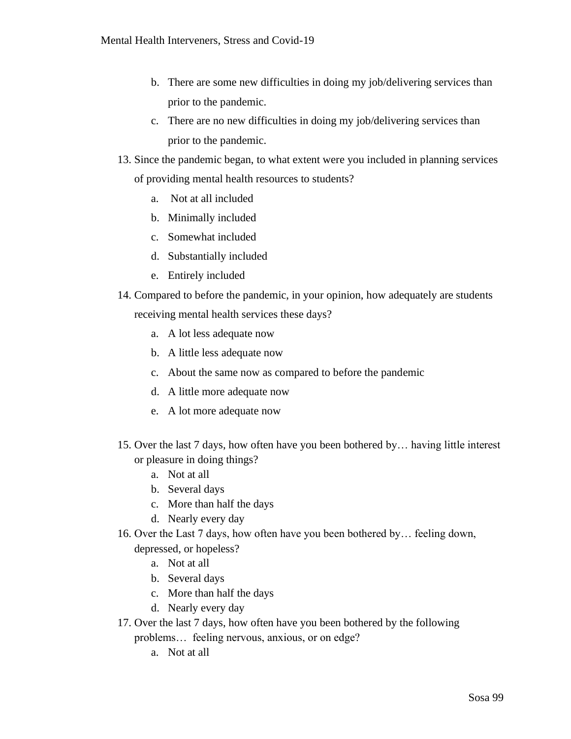- b. There are some new difficulties in doing my job/delivering services than prior to the pandemic.
- c. There are no new difficulties in doing my job/delivering services than prior to the pandemic.
- 13. Since the pandemic began, to what extent were you included in planning services of providing mental health resources to students?
	- a. Not at all included
	- b. Minimally included
	- c. Somewhat included
	- d. Substantially included
	- e. Entirely included
- 14. Compared to before the pandemic, in your opinion, how adequately are students receiving mental health services these days?
	- a. A lot less adequate now
	- b. A little less adequate now
	- c. About the same now as compared to before the pandemic
	- d. A little more adequate now
	- e. A lot more adequate now
- 15. Over the last 7 days, how often have you been bothered by… having little interest or pleasure in doing things?
	- a. Not at all
	- b. Several days
	- c. More than half the days
	- d. Nearly every day
- 16. Over the Last 7 days, how often have you been bothered by… feeling down, depressed, or hopeless?
	- a. Not at all
	- b. Several days
	- c. More than half the days
	- d. Nearly every day
- 17. Over the last 7 days, how often have you been bothered by the following problems… feeling nervous, anxious, or on edge?
	- a. Not at all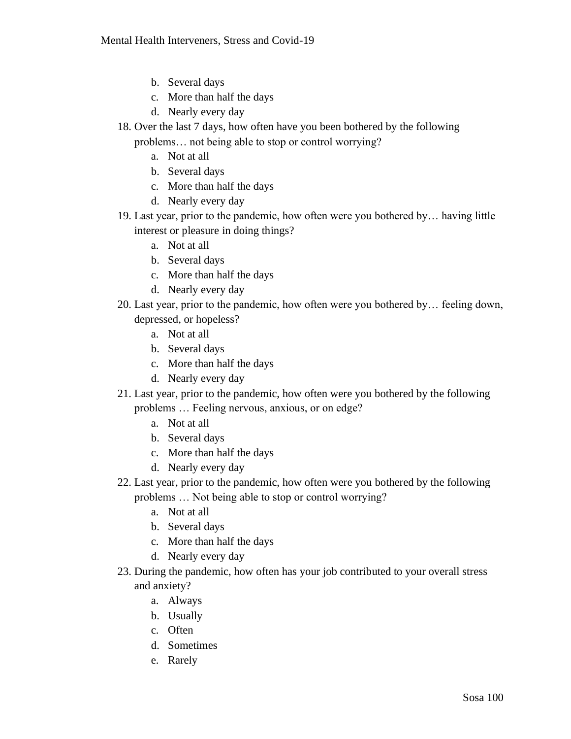- b. Several days
- c. More than half the days
- d. Nearly every day
- 18. Over the last 7 days, how often have you been bothered by the following problems… not being able to stop or control worrying?
	- a. Not at all
	- b. Several days
	- c. More than half the days
	- d. Nearly every day
- 19. Last year, prior to the pandemic, how often were you bothered by… having little interest or pleasure in doing things?
	- a. Not at all
	- b. Several days
	- c. More than half the days
	- d. Nearly every day
- 20. Last year, prior to the pandemic, how often were you bothered by… feeling down, depressed, or hopeless?
	- a. Not at all
	- b. Several days
	- c. More than half the days
	- d. Nearly every day
- 21. Last year, prior to the pandemic, how often were you bothered by the following problems … Feeling nervous, anxious, or on edge?
	- a. Not at all
	- b. Several days
	- c. More than half the days
	- d. Nearly every day
- 22. Last year, prior to the pandemic, how often were you bothered by the following problems … Not being able to stop or control worrying?
	- a. Not at all
	- b. Several days
	- c. More than half the days
	- d. Nearly every day
- 23. During the pandemic, how often has your job contributed to your overall stress and anxiety?
	- a. Always
	- b. Usually
	- c. Often
	- d. Sometimes
	- e. Rarely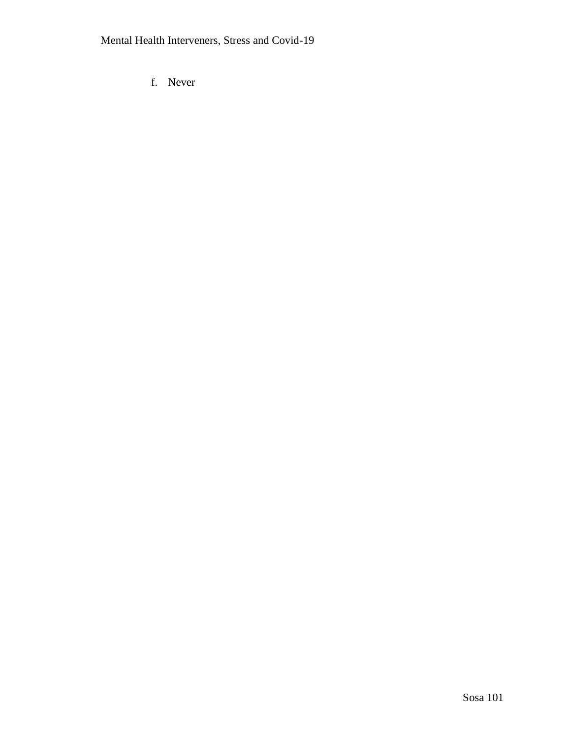f. Never